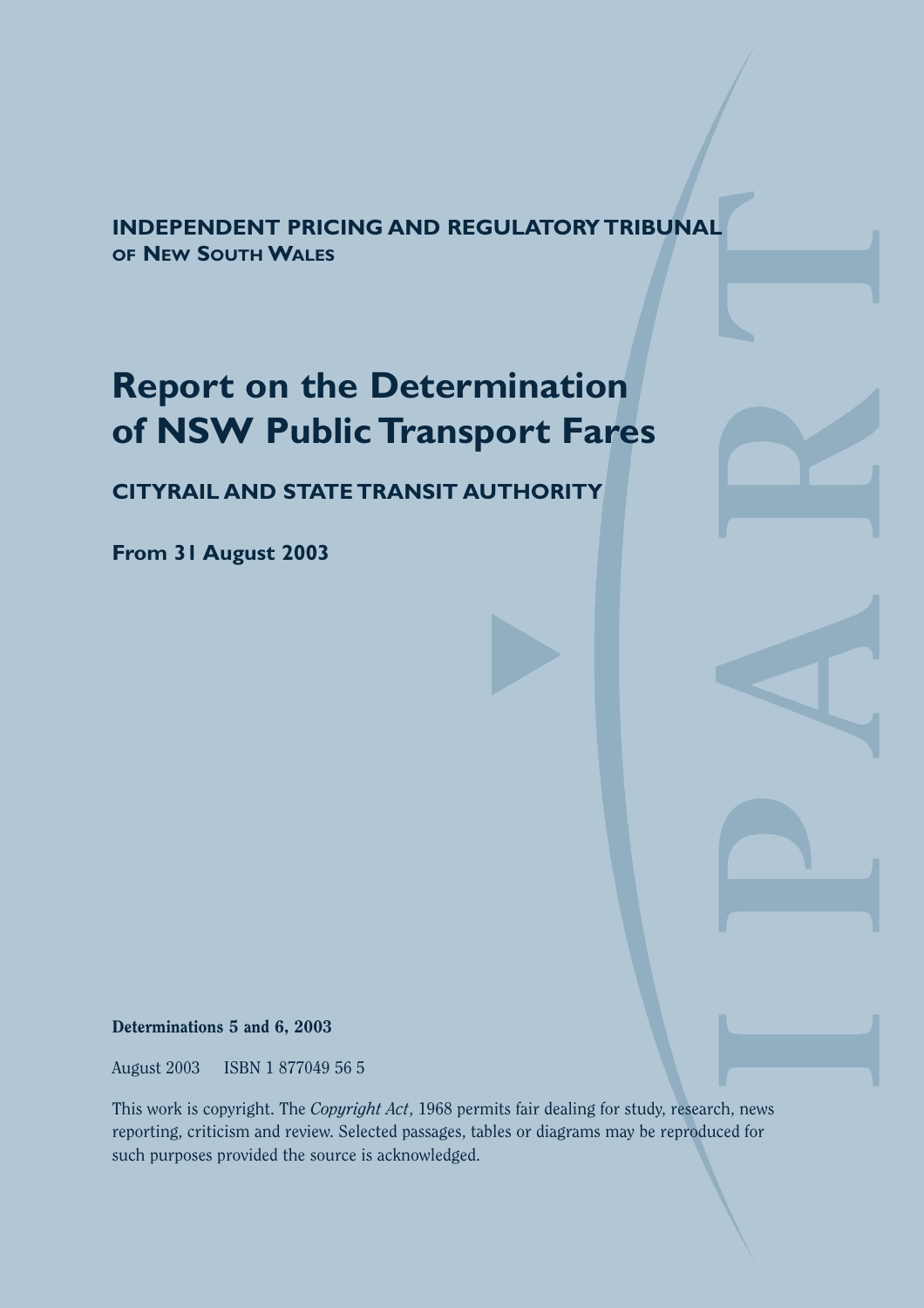**INDEPENDENT PRICING AND REGULATORY TRIBUNAL OF NEW SOUTH WALES**

# **Report on the Determination of NSW Public Transport Fares**

**CITYRAIL AND STATE TRANSIT AUTHORITY**

**From 31 August 2003**

Determinations 5 and 6, 2003

August 2003 ISBN 1 877049 56 5

This work is copyright. The *Copyright Act*, 1968 permits fair dealing for study, research, news reporting, criticism and review. Selected passages, tables or diagrams may be reproduced for such purposes provided the source is acknowledged.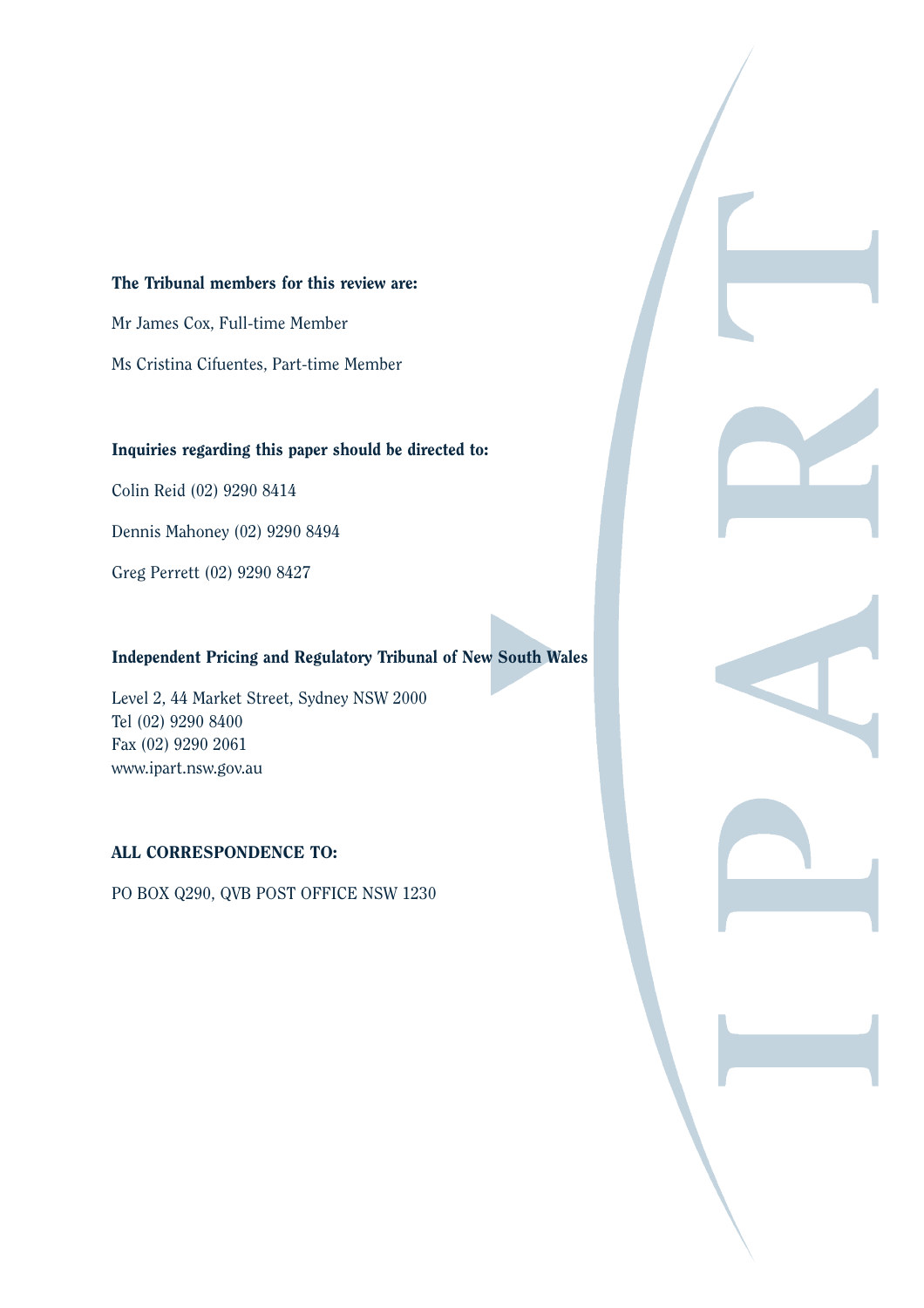### The Tribunal members for this review are:

Mr James Cox, Full-time Member

Ms Cristina Cifuentes, Part-time Member

#### Inquiries regarding this paper should be directed to:

Colin Reid (02) 9290 8414

Dennis Mahoney (02) 9290 8494

Greg Perrett (02) 9290 8427

## Independent Pricing and Regulatory Tribunal of New South Wales

Level 2, 44 Market Street, Sydney NSW 2000 Tel (02) 9290 8400 Fax (02) 9290 2061 www.ipart.nsw.gov.au

### ALL CORRESPONDENCE TO:

PO BOX Q290, QVB POST OFFICE NSW 1230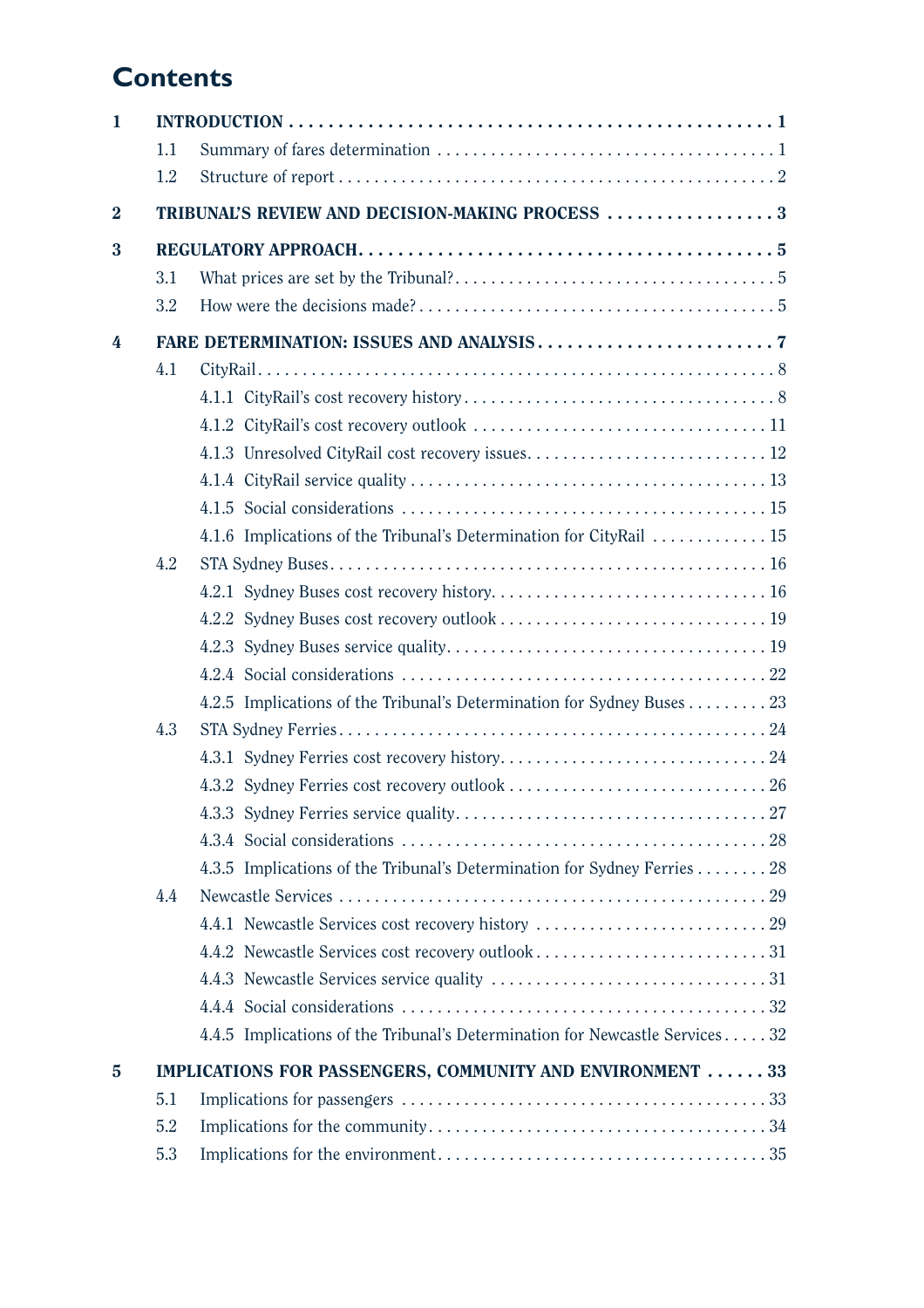# **Contents**

| 1              |     |                                                                             |
|----------------|-----|-----------------------------------------------------------------------------|
|                | 1.1 |                                                                             |
|                | 1.2 |                                                                             |
| $\overline{2}$ |     | TRIBUNAL'S REVIEW AND DECISION-MAKING PROCESS 3                             |
| 3              |     |                                                                             |
|                | 3.1 |                                                                             |
|                | 3.2 |                                                                             |
| 4              |     |                                                                             |
|                | 4.1 |                                                                             |
|                |     |                                                                             |
|                |     |                                                                             |
|                |     |                                                                             |
|                |     |                                                                             |
|                |     |                                                                             |
|                |     | 4.1.6 Implications of the Tribunal's Determination for CityRail  15         |
|                | 4.2 |                                                                             |
|                |     |                                                                             |
|                |     |                                                                             |
|                |     |                                                                             |
|                |     |                                                                             |
|                |     | 4.2.5 Implications of the Tribunal's Determination for Sydney Buses 23      |
|                | 4.3 |                                                                             |
|                |     |                                                                             |
|                |     |                                                                             |
|                |     |                                                                             |
|                |     |                                                                             |
|                |     | 4.3.5 Implications of the Tribunal's Determination for Sydney Ferries 28    |
|                | 4.4 |                                                                             |
|                |     |                                                                             |
|                |     |                                                                             |
|                |     |                                                                             |
|                |     |                                                                             |
|                |     | 4.4.5 Implications of the Tribunal's Determination for Newcastle Services32 |
| $\overline{5}$ |     | IMPLICATIONS FOR PASSENGERS, COMMUNITY AND ENVIRONMENT 33                   |
|                | 5.1 |                                                                             |
|                | 5.2 |                                                                             |
|                | 5.3 |                                                                             |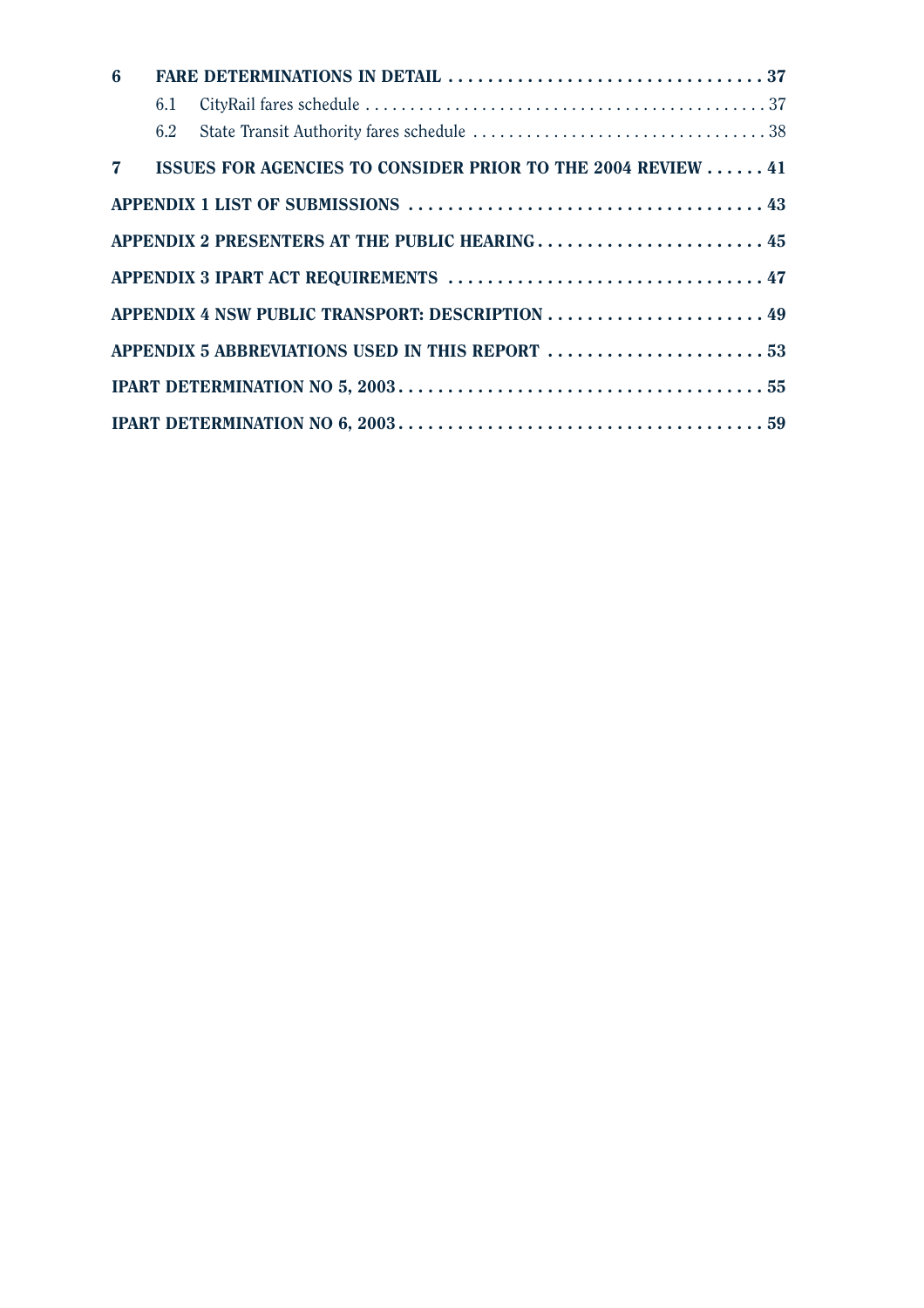| $6\phantom{1}$ |     |                                                               |  |
|----------------|-----|---------------------------------------------------------------|--|
|                | 6.1 |                                                               |  |
|                | 6.2 |                                                               |  |
|                |     | 7 ISSUES FOR AGENCIES TO CONSIDER PRIOR TO THE 2004 REVIEW 41 |  |
|                |     |                                                               |  |
|                |     | APPENDIX 2 PRESENTERS AT THE PUBLIC HEARING 45                |  |
|                |     | APPENDIX 3 IPART ACT REQUIREMENTS  47                         |  |
|                |     | APPENDIX 4 NSW PUBLIC TRANSPORT: DESCRIPTION  49              |  |
|                |     | APPENDIX 5 ABBREVIATIONS USED IN THIS REPORT  53              |  |
|                |     |                                                               |  |
|                |     |                                                               |  |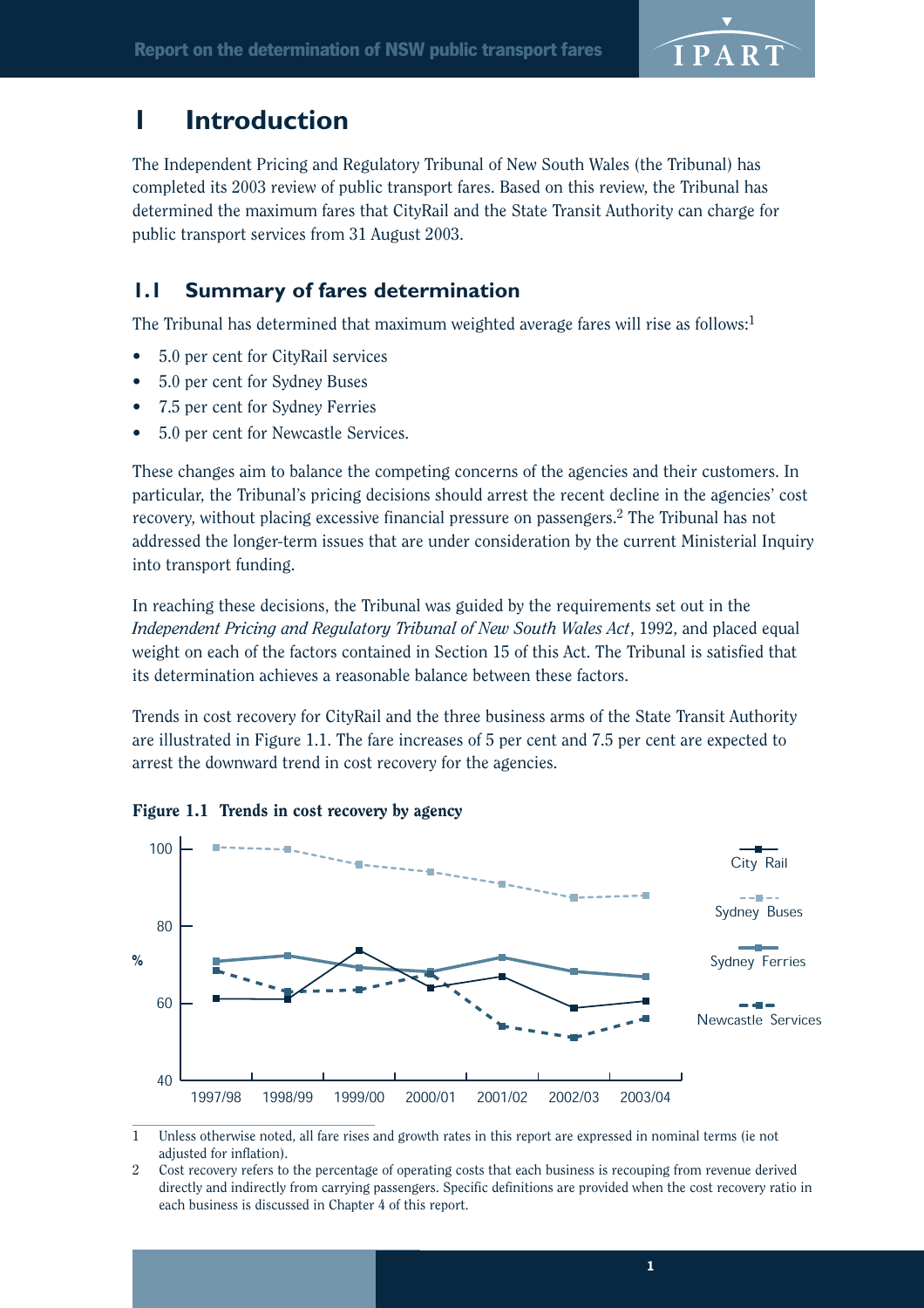

## **1 Introduction**

The Independent Pricing and Regulatory Tribunal of New South Wales (the Tribunal) has completed its 2003 review of public transport fares. Based on this review, the Tribunal has determined the maximum fares that CityRail and the State Transit Authority can charge for public transport services from 31 August 2003.

## **1.1 Summary of fares determination**

The Tribunal has determined that maximum weighted average fares will rise as follows:<sup>1</sup>

- 5.0 per cent for CityRail services
- 5.0 per cent for Sydney Buses
- 7.5 per cent for Sydney Ferries
- 5.0 per cent for Newcastle Services.

These changes aim to balance the competing concerns of the agencies and their customers. In particular, the Tribunal's pricing decisions should arrest the recent decline in the agencies' cost recovery, without placing excessive financial pressure on passengers.<sup>2</sup> The Tribunal has not addressed the longer-term issues that are under consideration by the current Ministerial Inquiry into transport funding.

In reaching these decisions, the Tribunal was guided by the requirements set out in the *Independent Pricing and Regulatory Tribunal of New South Wales Act*, 1992, and placed equal weight on each of the factors contained in Section 15 of this Act. The Tribunal is satisfied that its determination achieves a reasonable balance between these factors.

Trends in cost recovery for CityRail and the three business arms of the State Transit Authority are illustrated in Figure 1.1. The fare increases of 5 per cent and 7.5 per cent are expected to arrest the downward trend in cost recovery for the agencies.



Figure 1.1 Trends in cost recovery by agency

1 Unless otherwise noted, all fare rises and growth rates in this report are expressed in nominal terms (ie not adjusted for inflation).

2 Cost recovery refers to the percentage of operating costs that each business is recouping from revenue derived directly and indirectly from carrying passengers. Specific definitions are provided when the cost recovery ratio in each business is discussed in Chapter 4 of this report.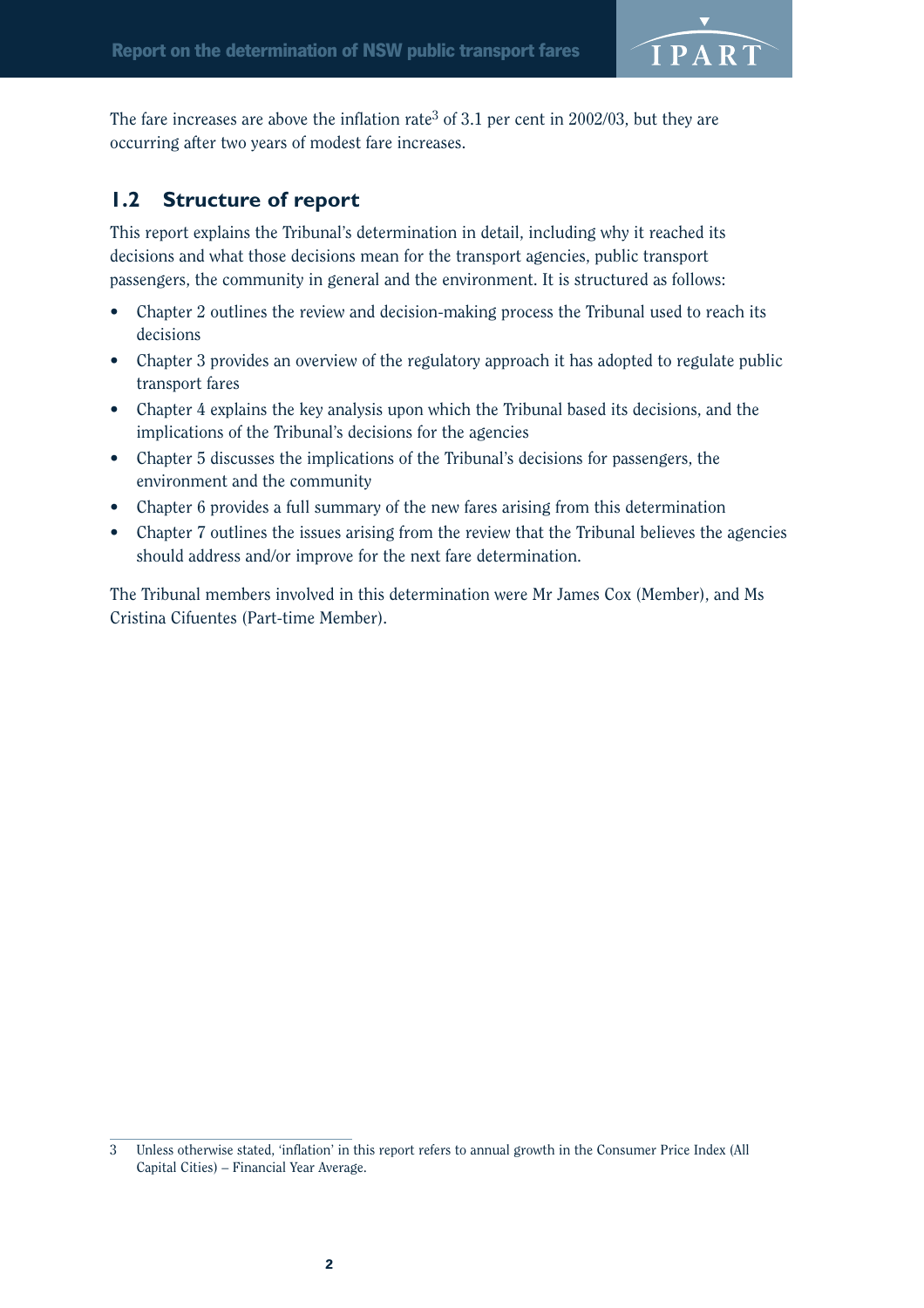

The fare increases are above the inflation rate<sup>3</sup> of 3.1 per cent in 2002/03, but they are occurring after two years of modest fare increases.

## **1.2 Structure of report**

This report explains the Tribunal's determination in detail, including why it reached its decisions and what those decisions mean for the transport agencies, public transport passengers, the community in general and the environment. It is structured as follows:

- Chapter 2 outlines the review and decision-making process the Tribunal used to reach its decisions
- Chapter 3 provides an overview of the regulatory approach it has adopted to regulate public transport fares
- Chapter 4 explains the key analysis upon which the Tribunal based its decisions, and the implications of the Tribunal's decisions for the agencies
- Chapter 5 discusses the implications of the Tribunal's decisions for passengers, the environment and the community
- Chapter 6 provides a full summary of the new fares arising from this determination
- Chapter 7 outlines the issues arising from the review that the Tribunal believes the agencies should address and/or improve for the next fare determination.

The Tribunal members involved in this determination were Mr James Cox (Member), and Ms Cristina Cifuentes (Part-time Member).

<sup>3</sup> Unless otherwise stated, 'inflation' in this report refers to annual growth in the Consumer Price Index (All Capital Cities) – Financial Year Average.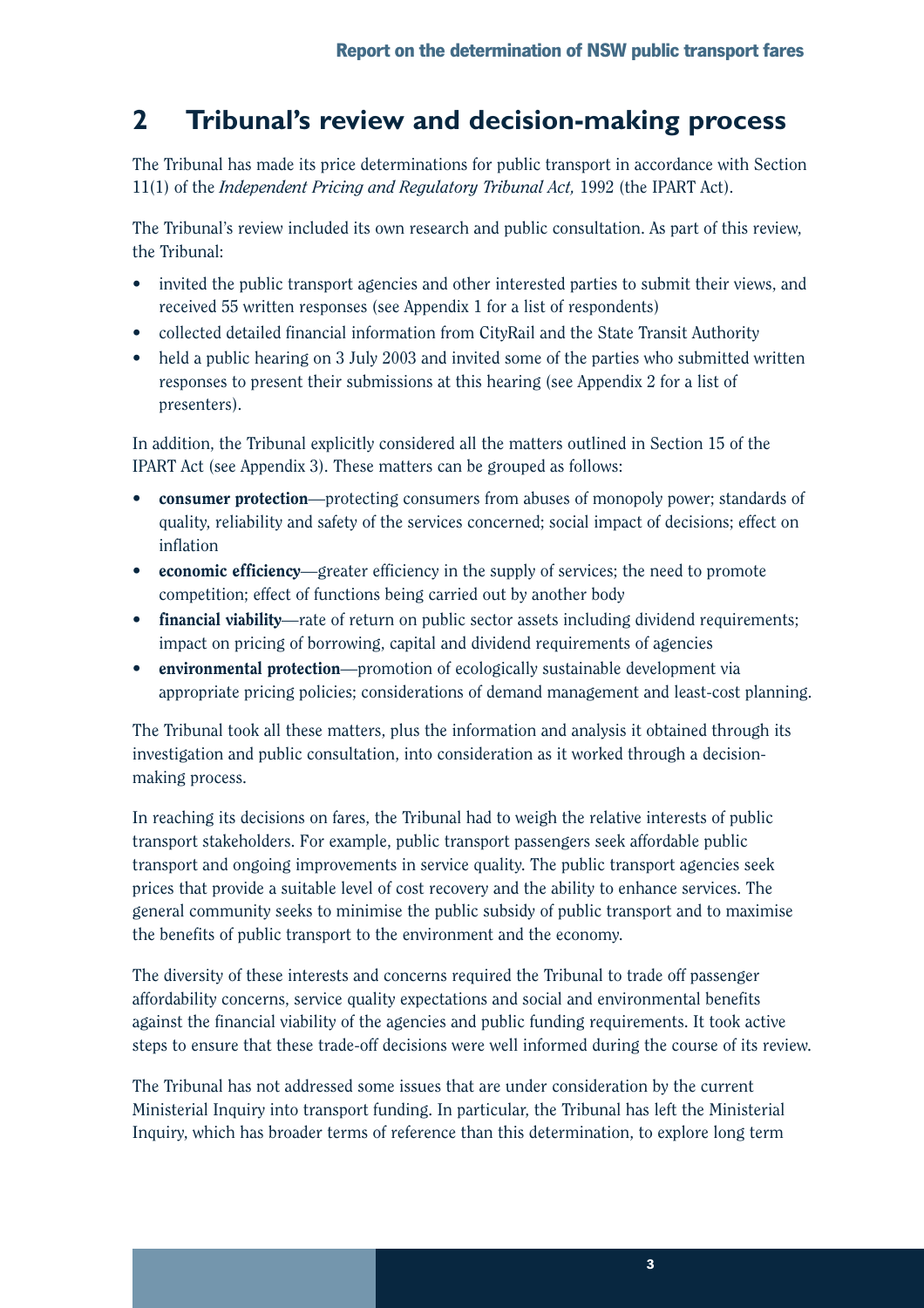## **2 Tribunal's review and decision-making process**

The Tribunal has made its price determinations for public transport in accordance with Section 11(1) of the *Independent Pricing and Regulatory Tribunal Act,* 1992 (the IPART Act).

The Tribunal's review included its own research and public consultation. As part of this review, the Tribunal:

- invited the public transport agencies and other interested parties to submit their views, and received 55 written responses (see Appendix 1 for a list of respondents)
- collected detailed financial information from CityRail and the State Transit Authority
- held a public hearing on 3 July 2003 and invited some of the parties who submitted written responses to present their submissions at this hearing (see Appendix 2 for a list of presenters).

In addition, the Tribunal explicitly considered all the matters outlined in Section 15 of the IPART Act (see Appendix 3). These matters can be grouped as follows:

- **consumer protection**—protecting consumers from abuses of monopoly power; standards of quality, reliability and safety of the services concerned; social impact of decisions; effect on inflation
- economic efficiency—greater efficiency in the supply of services; the need to promote competition; effect of functions being carried out by another body
- financial viability—rate of return on public sector assets including dividend requirements; impact on pricing of borrowing, capital and dividend requirements of agencies
- environmental protection—promotion of ecologically sustainable development via appropriate pricing policies; considerations of demand management and least-cost planning.

The Tribunal took all these matters, plus the information and analysis it obtained through its investigation and public consultation, into consideration as it worked through a decisionmaking process.

In reaching its decisions on fares, the Tribunal had to weigh the relative interests of public transport stakeholders. For example, public transport passengers seek affordable public transport and ongoing improvements in service quality. The public transport agencies seek prices that provide a suitable level of cost recovery and the ability to enhance services. The general community seeks to minimise the public subsidy of public transport and to maximise the benefits of public transport to the environment and the economy.

The diversity of these interests and concerns required the Tribunal to trade off passenger affordability concerns, service quality expectations and social and environmental benefits against the financial viability of the agencies and public funding requirements. It took active steps to ensure that these trade-off decisions were well informed during the course of its review.

The Tribunal has not addressed some issues that are under consideration by the current Ministerial Inquiry into transport funding. In particular, the Tribunal has left the Ministerial Inquiry, which has broader terms of reference than this determination, to explore long term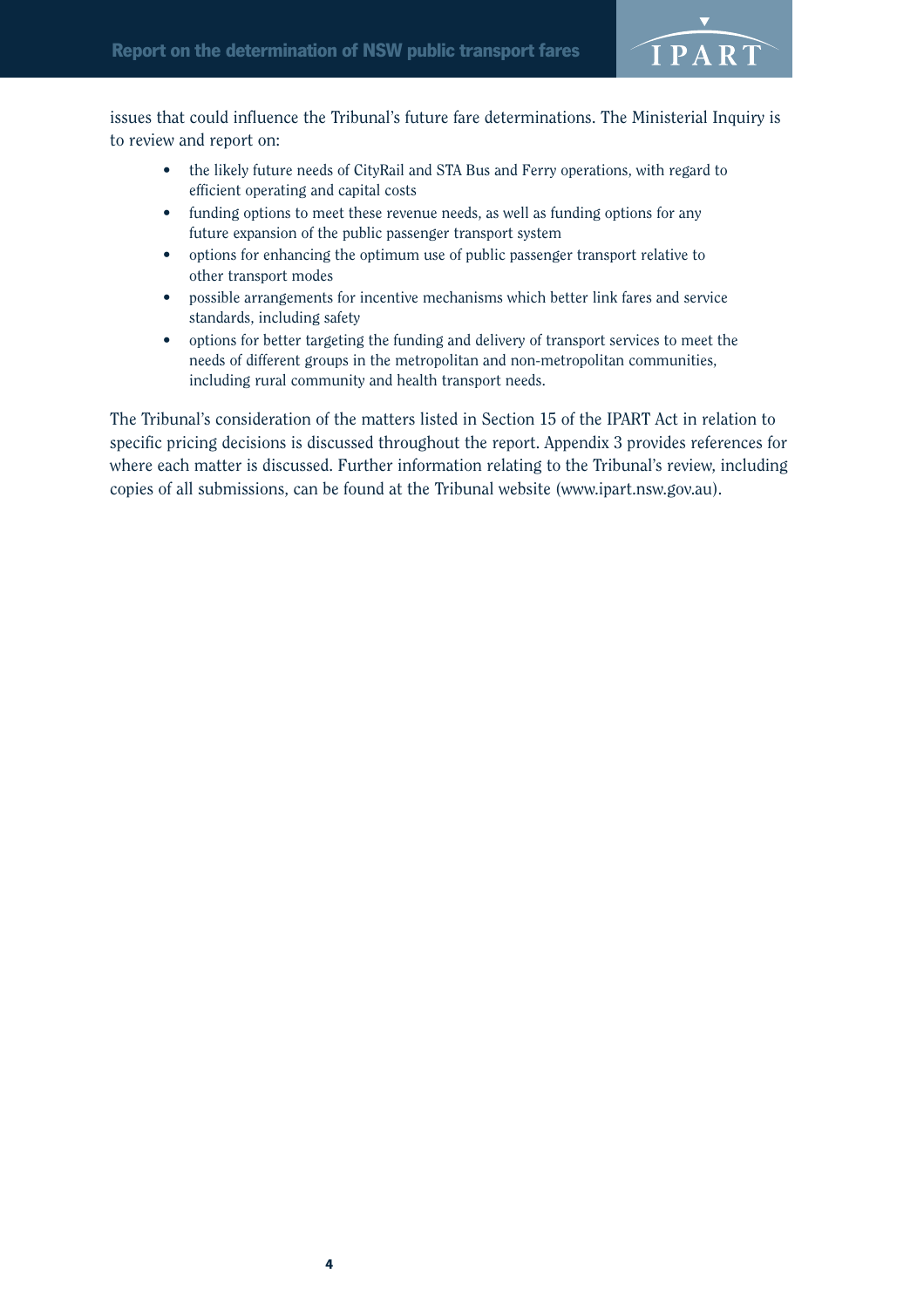

issues that could influence the Tribunal's future fare determinations. The Ministerial Inquiry is to review and report on:

- the likely future needs of CityRail and STA Bus and Ferry operations, with regard to efficient operating and capital costs
- funding options to meet these revenue needs, as well as funding options for any future expansion of the public passenger transport system
- options for enhancing the optimum use of public passenger transport relative to other transport modes
- possible arrangements for incentive mechanisms which better link fares and service standards, including safety
- options for better targeting the funding and delivery of transport services to meet the needs of different groups in the metropolitan and non-metropolitan communities, including rural community and health transport needs.

The Tribunal's consideration of the matters listed in Section 15 of the IPART Act in relation to specific pricing decisions is discussed throughout the report. Appendix 3 provides references for where each matter is discussed. Further information relating to the Tribunal's review, including copies of all submissions, can be found at the Tribunal website (www.ipart.nsw.gov.au).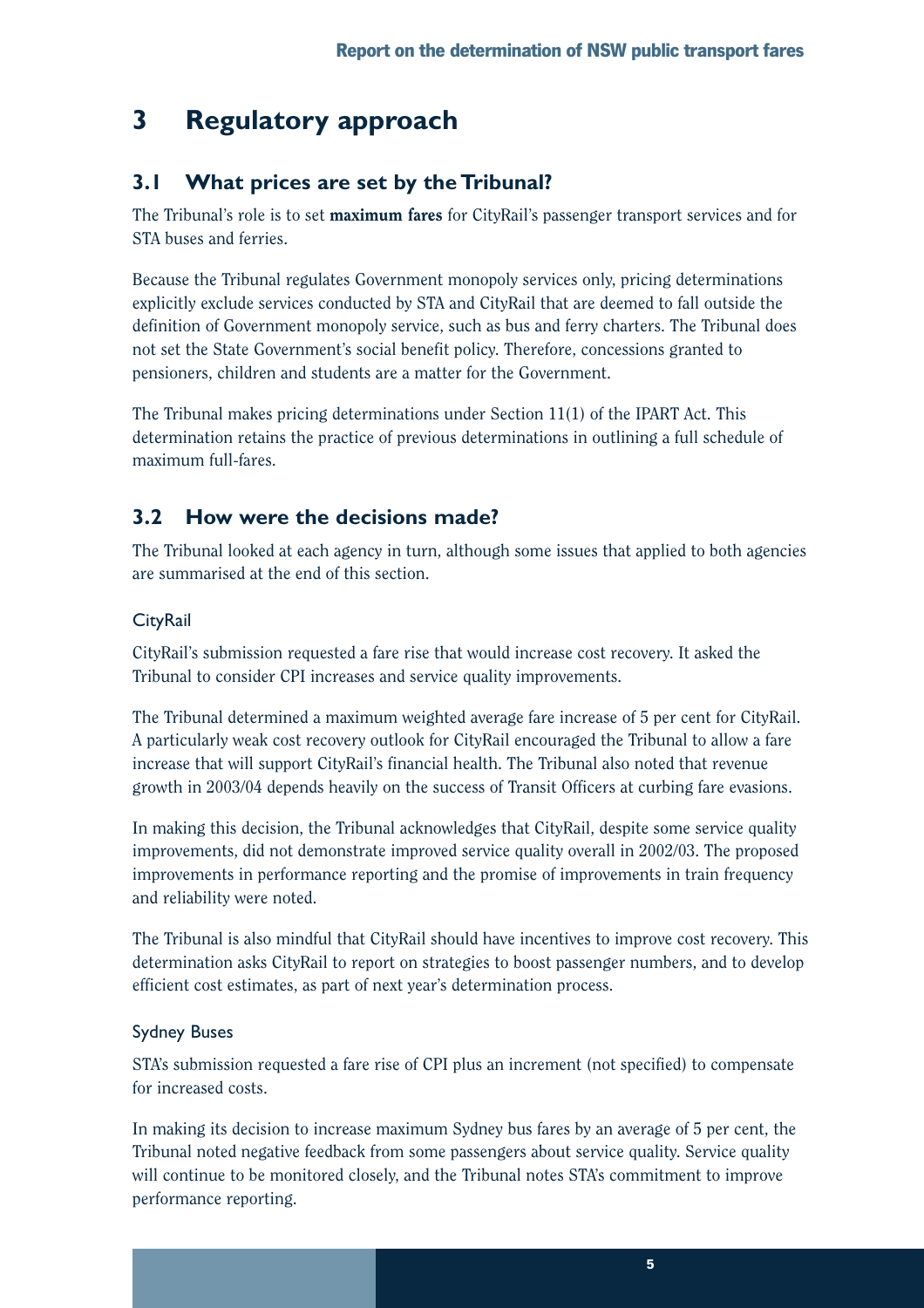## **3 Regulatory approach**

## **3.1 What prices are set by the Tribunal?**

The Tribunal's role is to set **maximum fares** for CityRail's passenger transport services and for STA buses and ferries.

Because the Tribunal regulates Government monopoly services only, pricing determinations explicitly exclude services conducted by STA and CityRail that are deemed to fall outside the definition of Government monopoly service, such as bus and ferry charters. The Tribunal does not set the State Government's social benefit policy. Therefore, concessions granted to pensioners, children and students are a matter for the Government.

The Tribunal makes pricing determinations under Section 11(1) of the IPART Act. This determination retains the practice of previous determinations in outlining a full schedule of maximum full-fares.

## **3.2 How were the decisions made?**

The Tribunal looked at each agency in turn, although some issues that applied to both agencies are summarised at the end of this section.

## **CityRail**

CityRail's submission requested a fare rise that would increase cost recovery. It asked the Tribunal to consider CPI increases and service quality improvements.

The Tribunal determined a maximum weighted average fare increase of 5 per cent for CityRail. A particularly weak cost recovery outlook for CityRail encouraged the Tribunal to allow a fare increase that will support CityRail's financial health. The Tribunal also noted that revenue growth in 2003/04 depends heavily on the success of Transit Officers at curbing fare evasions.

In making this decision, the Tribunal acknowledges that CityRail, despite some service quality improvements, did not demonstrate improved service quality overall in 2002/03. The proposed improvements in performance reporting and the promise of improvements in train frequency and reliability were noted.

The Tribunal is also mindful that CityRail should have incentives to improve cost recovery. This determination asks CityRail to report on strategies to boost passenger numbers, and to develop efficient cost estimates, as part of next year's determination process.

## Sydney Buses

STA's submission requested a fare rise of CPI plus an increment (not specified) to compensate for increased costs.

In making its decision to increase maximum Sydney bus fares by an average of 5 per cent, the Tribunal noted negative feedback from some passengers about service quality. Service quality will continue to be monitored closely, and the Tribunal notes STA's commitment to improve performance reporting.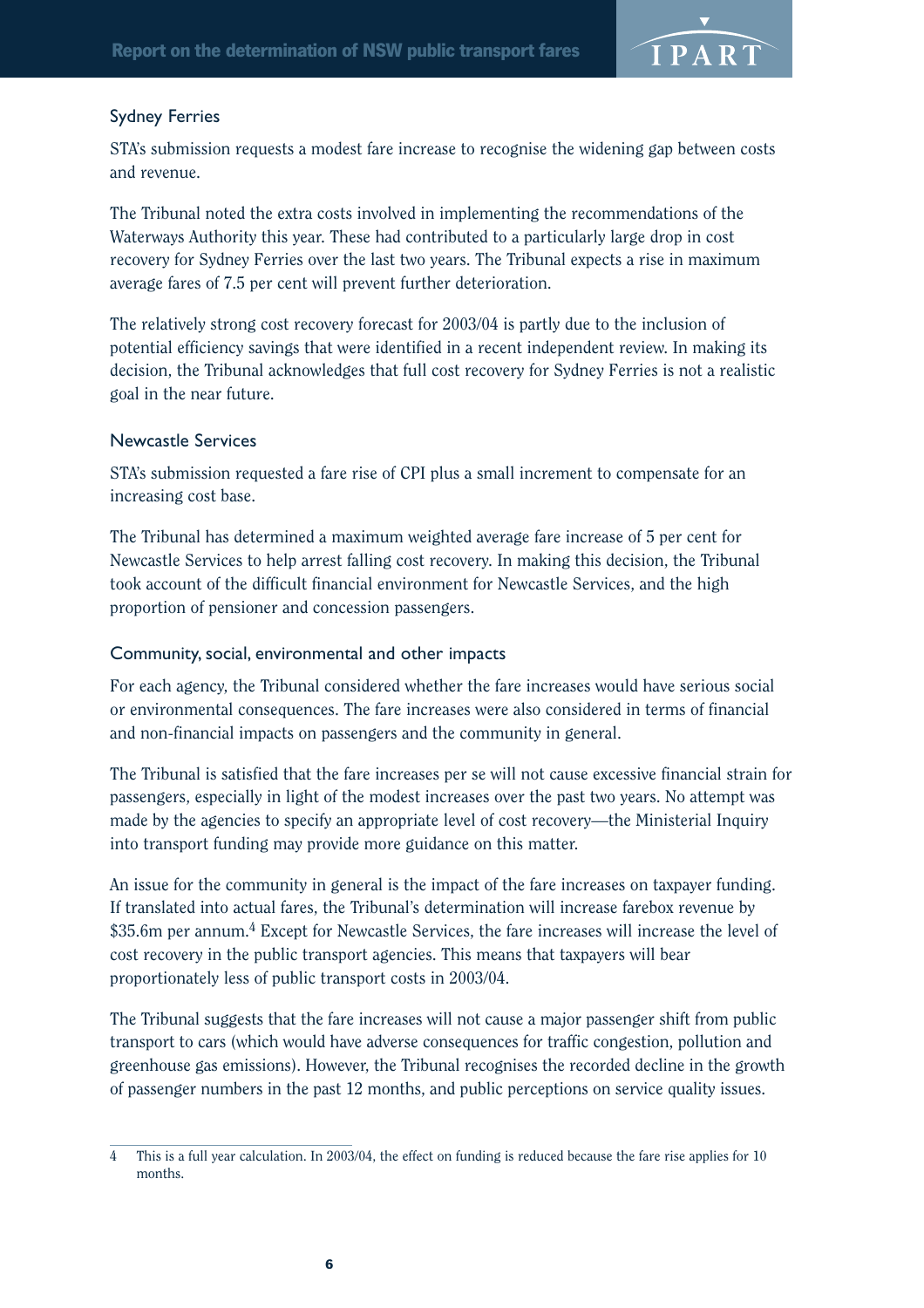

### Sydney Ferries

STA's submission requests a modest fare increase to recognise the widening gap between costs and revenue.

The Tribunal noted the extra costs involved in implementing the recommendations of the Waterways Authority this year. These had contributed to a particularly large drop in cost recovery for Sydney Ferries over the last two years. The Tribunal expects a rise in maximum average fares of 7.5 per cent will prevent further deterioration.

The relatively strong cost recovery forecast for 2003/04 is partly due to the inclusion of potential efficiency savings that were identified in a recent independent review. In making its decision, the Tribunal acknowledges that full cost recovery for Sydney Ferries is not a realistic goal in the near future.

### Newcastle Services

STA's submission requested a fare rise of CPI plus a small increment to compensate for an increasing cost base.

The Tribunal has determined a maximum weighted average fare increase of 5 per cent for Newcastle Services to help arrest falling cost recovery. In making this decision, the Tribunal took account of the difficult financial environment for Newcastle Services, and the high proportion of pensioner and concession passengers.

### Community, social, environmental and other impacts

For each agency, the Tribunal considered whether the fare increases would have serious social or environmental consequences. The fare increases were also considered in terms of financial and non-financial impacts on passengers and the community in general.

The Tribunal is satisfied that the fare increases per se will not cause excessive financial strain for passengers, especially in light of the modest increases over the past two years. No attempt was made by the agencies to specify an appropriate level of cost recovery—the Ministerial Inquiry into transport funding may provide more guidance on this matter.

An issue for the community in general is the impact of the fare increases on taxpayer funding. If translated into actual fares, the Tribunal's determination will increase farebox revenue by \$35.6m per annum.<sup>4</sup> Except for Newcastle Services, the fare increases will increase the level of cost recovery in the public transport agencies. This means that taxpayers will bear proportionately less of public transport costs in 2003/04.

The Tribunal suggests that the fare increases will not cause a major passenger shift from public transport to cars (which would have adverse consequences for traffic congestion, pollution and greenhouse gas emissions). However, the Tribunal recognises the recorded decline in the growth of passenger numbers in the past 12 months, and public perceptions on service quality issues.

<sup>4</sup> This is a full year calculation. In 2003/04, the effect on funding is reduced because the fare rise applies for 10 months.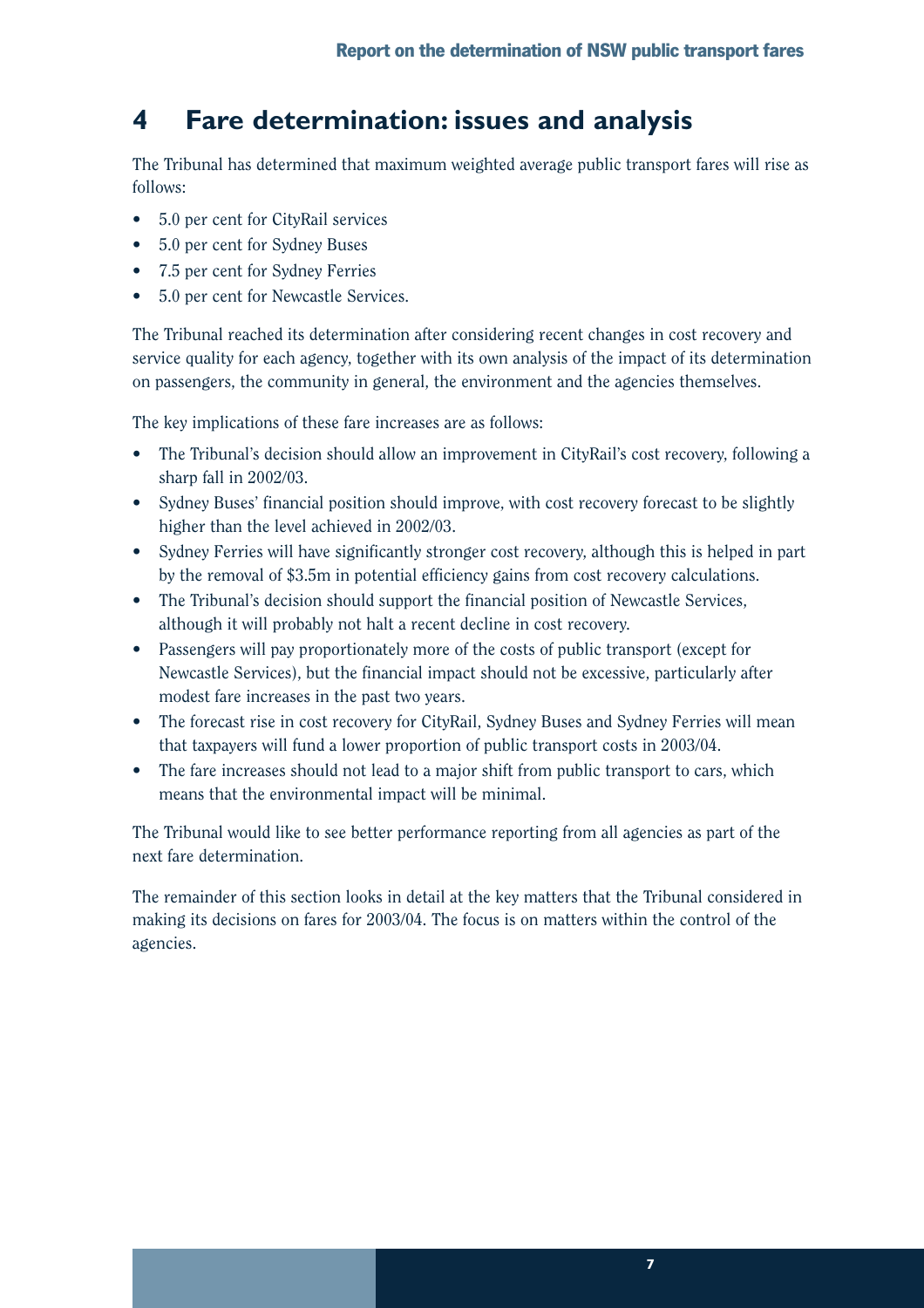## **4 Fare determination: issues and analysis**

The Tribunal has determined that maximum weighted average public transport fares will rise as follows:

- 5.0 per cent for CityRail services
- 5.0 per cent for Sydney Buses
- 7.5 per cent for Sydney Ferries
- 5.0 per cent for Newcastle Services.

The Tribunal reached its determination after considering recent changes in cost recovery and service quality for each agency, together with its own analysis of the impact of its determination on passengers, the community in general, the environment and the agencies themselves.

The key implications of these fare increases are as follows:

- The Tribunal's decision should allow an improvement in CityRail's cost recovery, following a sharp fall in 2002/03.
- Sydney Buses' financial position should improve, with cost recovery forecast to be slightly higher than the level achieved in 2002/03.
- Sydney Ferries will have significantly stronger cost recovery, although this is helped in part by the removal of \$3.5m in potential efficiency gains from cost recovery calculations.
- The Tribunal's decision should support the financial position of Newcastle Services, although it will probably not halt a recent decline in cost recovery.
- Passengers will pay proportionately more of the costs of public transport (except for Newcastle Services), but the financial impact should not be excessive, particularly after modest fare increases in the past two years.
- The forecast rise in cost recovery for CityRail, Sydney Buses and Sydney Ferries will mean that taxpayers will fund a lower proportion of public transport costs in 2003/04.
- The fare increases should not lead to a major shift from public transport to cars, which means that the environmental impact will be minimal.

The Tribunal would like to see better performance reporting from all agencies as part of the next fare determination.

The remainder of this section looks in detail at the key matters that the Tribunal considered in making its decisions on fares for 2003/04. The focus is on matters within the control of the agencies.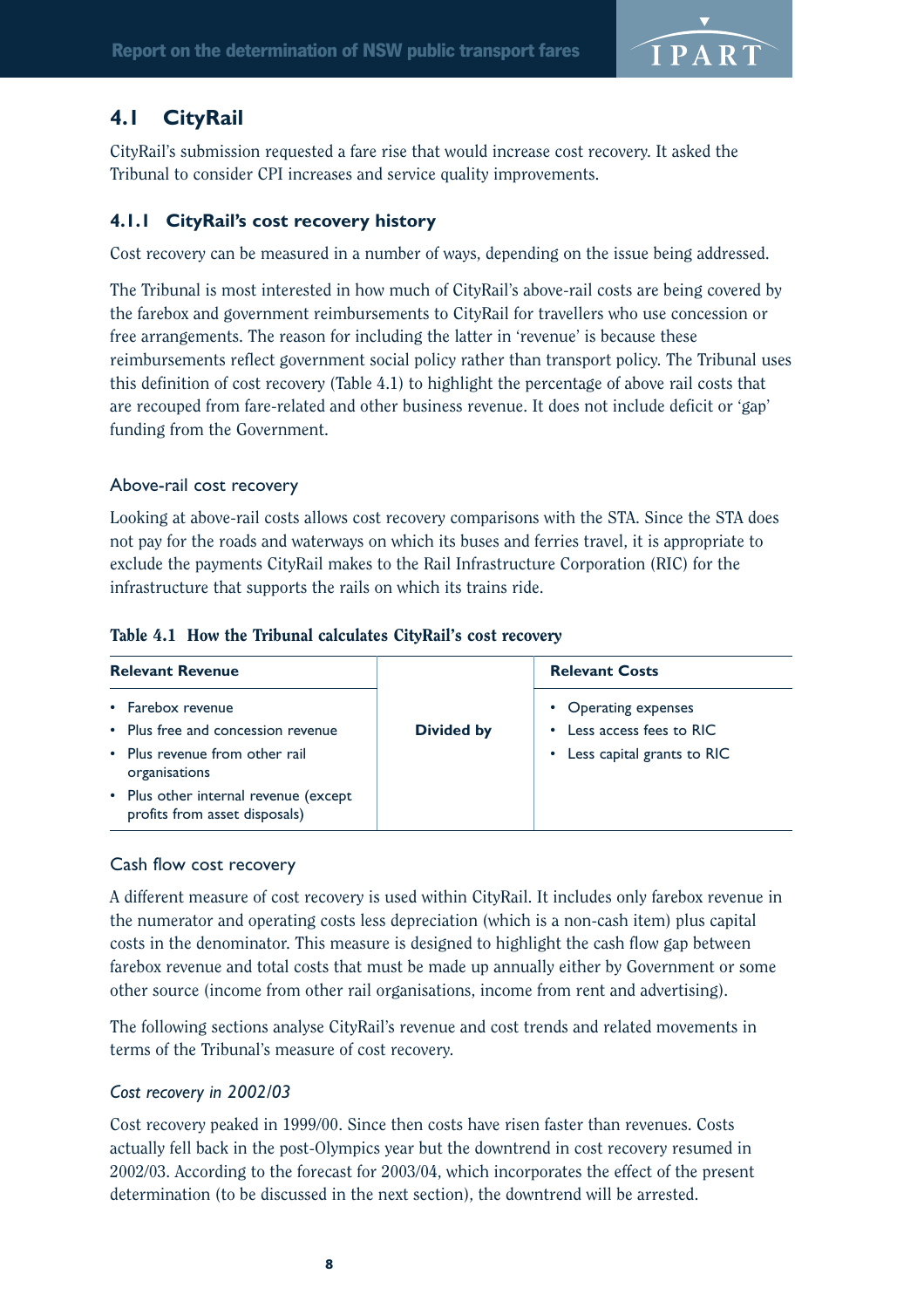

## **4.1 CityRail**

CityRail's submission requested a fare rise that would increase cost recovery. It asked the Tribunal to consider CPI increases and service quality improvements.

## **4.1.1 CityRail's cost recovery history**

Cost recovery can be measured in a number of ways, depending on the issue being addressed.

The Tribunal is most interested in how much of CityRail's above-rail costs are being covered by the farebox and government reimbursements to CityRail for travellers who use concession or free arrangements. The reason for including the latter in 'revenue' is because these reimbursements reflect government social policy rather than transport policy. The Tribunal uses this definition of cost recovery (Table 4.1) to highlight the percentage of above rail costs that are recouped from fare-related and other business revenue. It does not include deficit or 'gap' funding from the Government.

### Above-rail cost recovery

Looking at above-rail costs allows cost recovery comparisons with the STA. Since the STA does not pay for the roads and waterways on which its buses and ferries travel, it is appropriate to exclude the payments CityRail makes to the Rail Infrastructure Corporation (RIC) for the infrastructure that supports the rails on which its trains ride.

|  |  |  |  |  |  | Table 4.1 How the Tribunal calculates CityRail's cost recovery |
|--|--|--|--|--|--|----------------------------------------------------------------|
|--|--|--|--|--|--|----------------------------------------------------------------|

| <b>Relevant Revenue</b>                                                                   |                   | <b>Relevant Costs</b>                                                                        |
|-------------------------------------------------------------------------------------------|-------------------|----------------------------------------------------------------------------------------------|
| • Farebox revenue<br>• Plus free and concession revenue<br>• Plus revenue from other rail | <b>Divided by</b> | • Operating expenses<br>Less access fees to RIC<br>$\bullet$<br>• Less capital grants to RIC |
| organisations<br>• Plus other internal revenue (except<br>profits from asset disposals)   |                   |                                                                                              |

### Cash flow cost recovery

A different measure of cost recovery is used within CityRail. It includes only farebox revenue in the numerator and operating costs less depreciation (which is a non-cash item) plus capital costs in the denominator. This measure is designed to highlight the cash flow gap between farebox revenue and total costs that must be made up annually either by Government or some other source (income from other rail organisations, income from rent and advertising).

The following sections analyse CityRail's revenue and cost trends and related movements in terms of the Tribunal's measure of cost recovery.

### *Cost recovery in 2002/03*

Cost recovery peaked in 1999/00. Since then costs have risen faster than revenues. Costs actually fell back in the post-Olympics year but the downtrend in cost recovery resumed in 2002/03. According to the forecast for 2003/04, which incorporates the effect of the present determination (to be discussed in the next section), the downtrend will be arrested.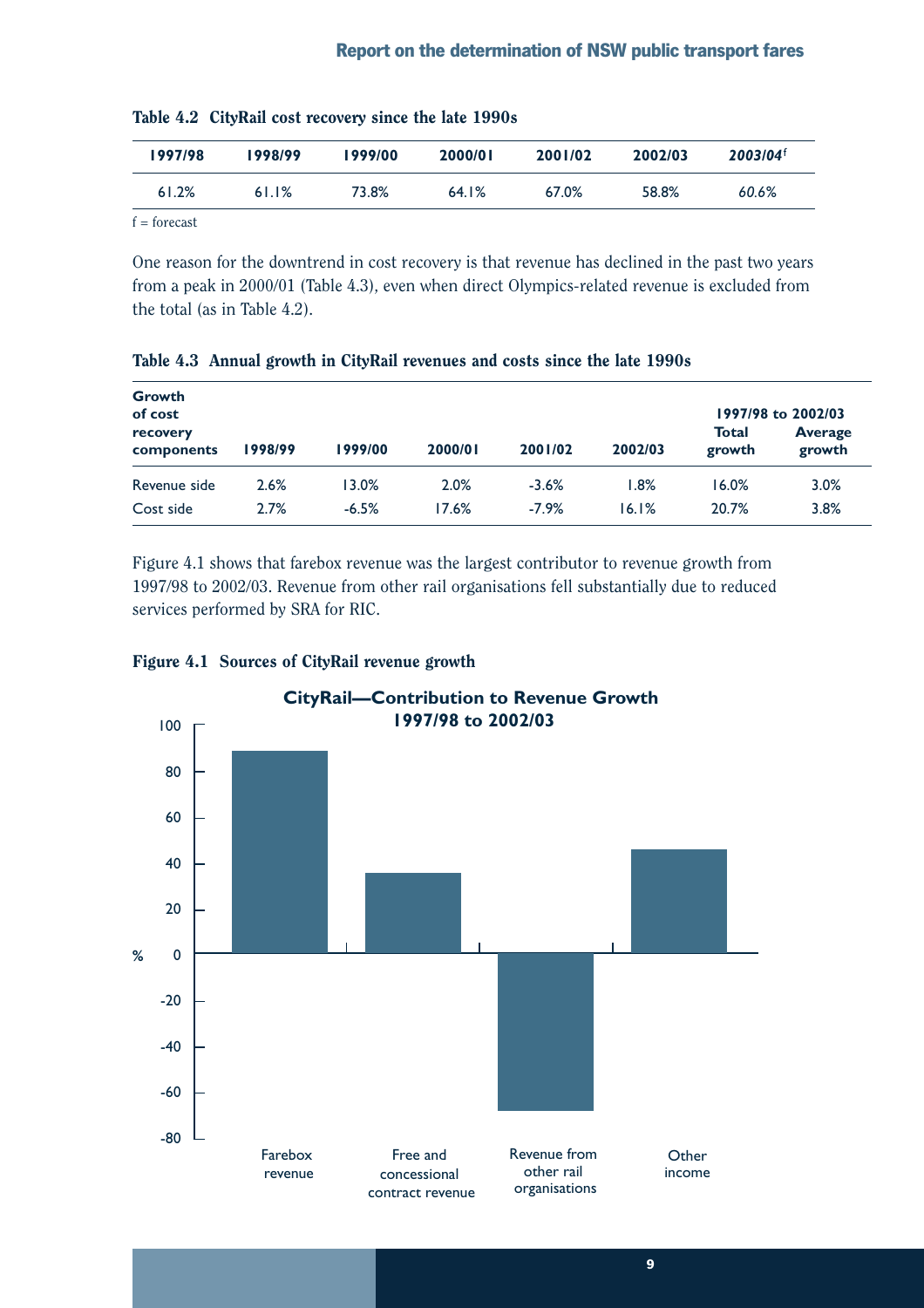| 1997/98 | 1998/99 | 1999/00 | 2000/01 | 2001/02 | 2002/03 | $2003/04^{\dagger}$ |
|---------|---------|---------|---------|---------|---------|---------------------|
| 61.2%   | 61.1%   | 73.8%   | 64.1%   | 67.0%   | 58.8%   | 60.6%               |

| Table 4.2 CityRail cost recovery since the late 1990s |  |  |  |  |  |  |  |
|-------------------------------------------------------|--|--|--|--|--|--|--|
|-------------------------------------------------------|--|--|--|--|--|--|--|

 $f =$ forecast

One reason for the downtrend in cost recovery is that revenue has declined in the past two years from a peak in 2000/01 (Table 4.3), even when direct Olympics-related revenue is excluded from the total (as in Table 4.2).

| <b>Growth</b><br>of cost |         |         |         |         |         |                 | 1997/98 to 2002/03       |
|--------------------------|---------|---------|---------|---------|---------|-----------------|--------------------------|
| recovery<br>components   | 1998/99 | 1999/00 | 2000/01 | 2001/02 | 2002/03 | Total<br>growth | <b>Average</b><br>growth |
| Revenue side             | 2.6%    | 13.0%   | 2.0%    | $-3.6%$ | $1.8\%$ | 16.0%           | 3.0%                     |
| Cost side                | 2.7%    | $-6.5%$ | 17.6%   | $-7.9%$ | 16.1%   | 20.7%           | 3.8%                     |

Table 4.3 Annual growth in CityRail revenues and costs since the late 1990s

Figure 4.1 shows that farebox revenue was the largest contributor to revenue growth from 1997/98 to 2002/03. Revenue from other rail organisations fell substantially due to reduced services performed by SRA for RIC.



### Figure 4.1 Sources of CityRail revenue growth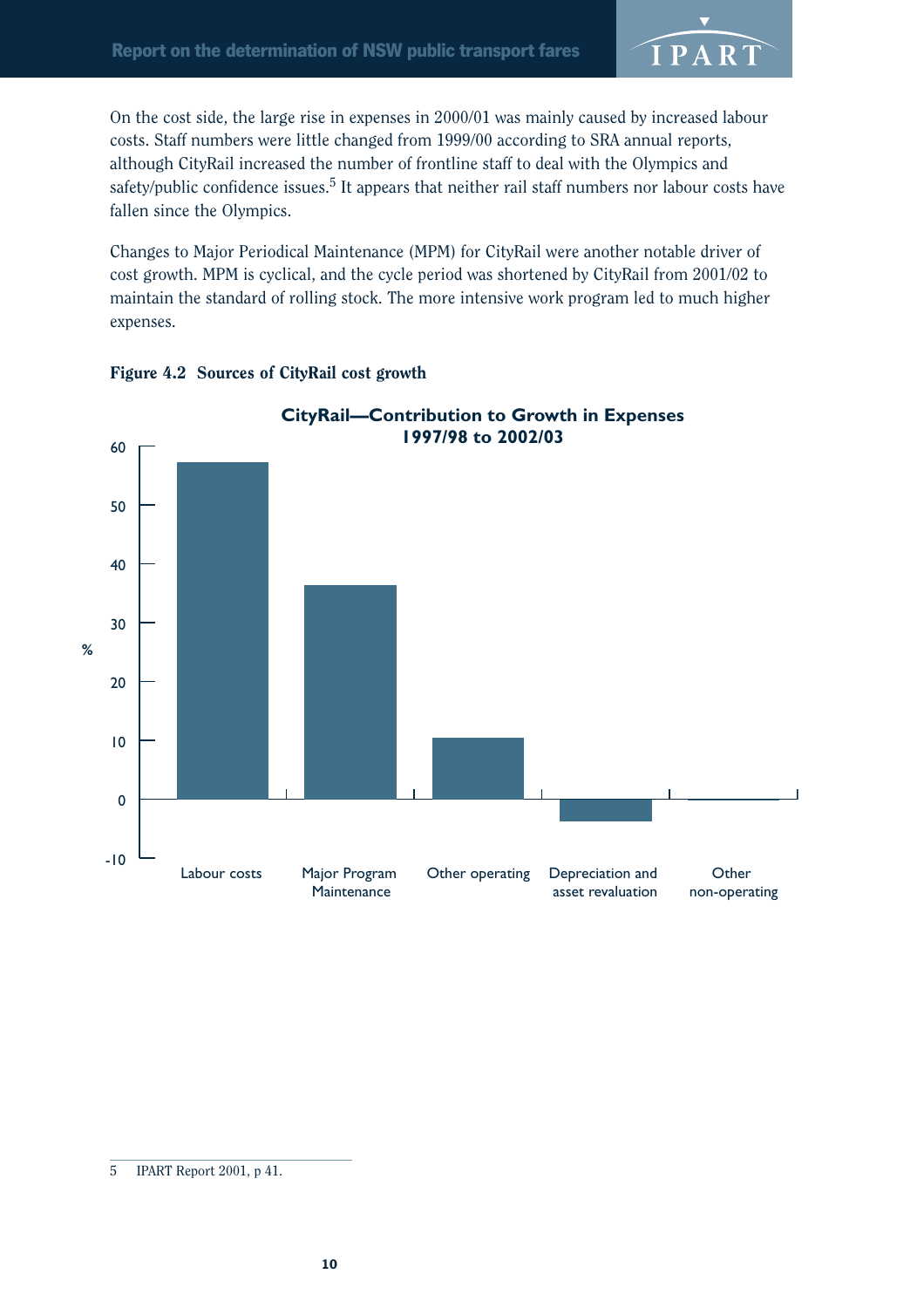

On the cost side, the large rise in expenses in 2000/01 was mainly caused by increased labour costs. Staff numbers were little changed from 1999/00 according to SRA annual reports, although CityRail increased the number of frontline staff to deal with the Olympics and safety/public confidence issues.<sup>5</sup> It appears that neither rail staff numbers nor labour costs have fallen since the Olympics.

Changes to Major Periodical Maintenance (MPM) for CityRail were another notable driver of cost growth. MPM is cyclical, and the cycle period was shortened by CityRail from 2001/02 to maintain the standard of rolling stock. The more intensive work program led to much higher expenses.





<sup>5</sup> IPART Report 2001, p 41.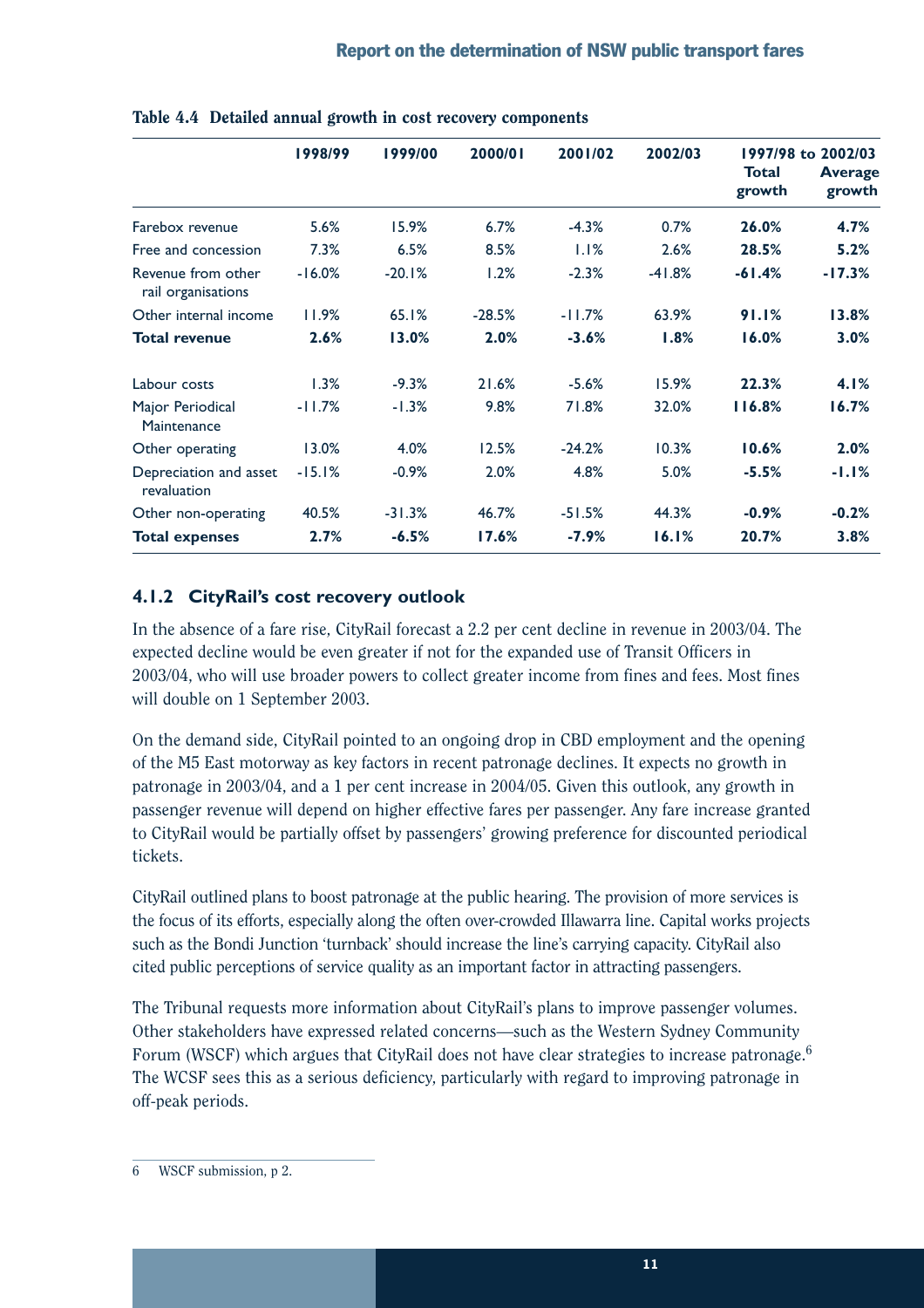|                                          | 1998/99  | 1999/00  | 2000/01  | 2001/02  | 2002/03  | <b>Total</b><br>growth | 1997/98 to 2002/03<br><b>Average</b><br>growth |
|------------------------------------------|----------|----------|----------|----------|----------|------------------------|------------------------------------------------|
|                                          |          |          |          |          |          |                        |                                                |
| Farebox revenue                          | 5.6%     | 15.9%    | 6.7%     | $-4.3%$  | 0.7%     | 26.0%                  | 4.7%                                           |
| Free and concession                      | 7.3%     | 6.5%     | 8.5%     | 1.1%     | 2.6%     | 28.5%                  | 5.2%                                           |
| Revenue from other<br>rail organisations | $-16.0%$ | $-20.1%$ | 1.2%     | $-2.3%$  | $-41.8%$ | $-61.4%$               | $-17.3%$                                       |
| Other internal income                    | 11.9%    | 65.1%    | $-28.5%$ | $-11.7%$ | 63.9%    | 91.1%                  | 13.8%                                          |
| <b>Total revenue</b>                     | 2.6%     | 13.0%    | 2.0%     | $-3.6%$  | 1.8%     | 16.0%                  | 3.0%                                           |
| Labour costs                             | 1.3%     | $-9.3%$  | 21.6%    | $-5.6%$  | 15.9%    | 22.3%                  | 4.1%                                           |
| Major Periodical<br>Maintenance          | $-11.7%$ | $-1.3%$  | 9.8%     | 71.8%    | 32.0%    | 116.8%                 | 16.7%                                          |
| Other operating                          | 13.0%    | 4.0%     | 12.5%    | $-24.2%$ | 10.3%    | 10.6%                  | 2.0%                                           |
| Depreciation and asset<br>revaluation    | $-15.1%$ | $-0.9%$  | 2.0%     | 4.8%     | 5.0%     | $-5.5%$                | $-1.1%$                                        |
| Other non-operating                      | 40.5%    | $-31.3%$ | 46.7%    | $-51.5%$ | 44.3%    | $-0.9%$                | $-0.2%$                                        |
| <b>Total expenses</b>                    | 2.7%     | $-6.5%$  | 17.6%    | $-7.9%$  | 16.1%    | 20.7%                  | 3.8%                                           |

Table 4.4 Detailed annual growth in cost recovery components

## **4.1.2 CityRail's cost recovery outlook**

In the absence of a fare rise, CityRail forecast a 2.2 per cent decline in revenue in 2003/04. The expected decline would be even greater if not for the expanded use of Transit Officers in 2003/04, who will use broader powers to collect greater income from fines and fees. Most fines will double on 1 September 2003.

On the demand side, CityRail pointed to an ongoing drop in CBD employment and the opening of the M5 East motorway as key factors in recent patronage declines. It expects no growth in patronage in 2003/04, and a 1 per cent increase in 2004/05. Given this outlook, any growth in passenger revenue will depend on higher effective fares per passenger. Any fare increase granted to CityRail would be partially offset by passengers' growing preference for discounted periodical tickets.

CityRail outlined plans to boost patronage at the public hearing. The provision of more services is the focus of its efforts, especially along the often over-crowded Illawarra line. Capital works projects such as the Bondi Junction 'turnback' should increase the line's carrying capacity. CityRail also cited public perceptions of service quality as an important factor in attracting passengers.

The Tribunal requests more information about CityRail's plans to improve passenger volumes. Other stakeholders have expressed related concerns—such as the Western Sydney Community Forum (WSCF) which argues that CityRail does not have clear strategies to increase patronage.<sup>6</sup> The WCSF sees this as a serious deficiency, particularly with regard to improving patronage in off-peak periods.

<sup>6</sup> WSCF submission, p 2.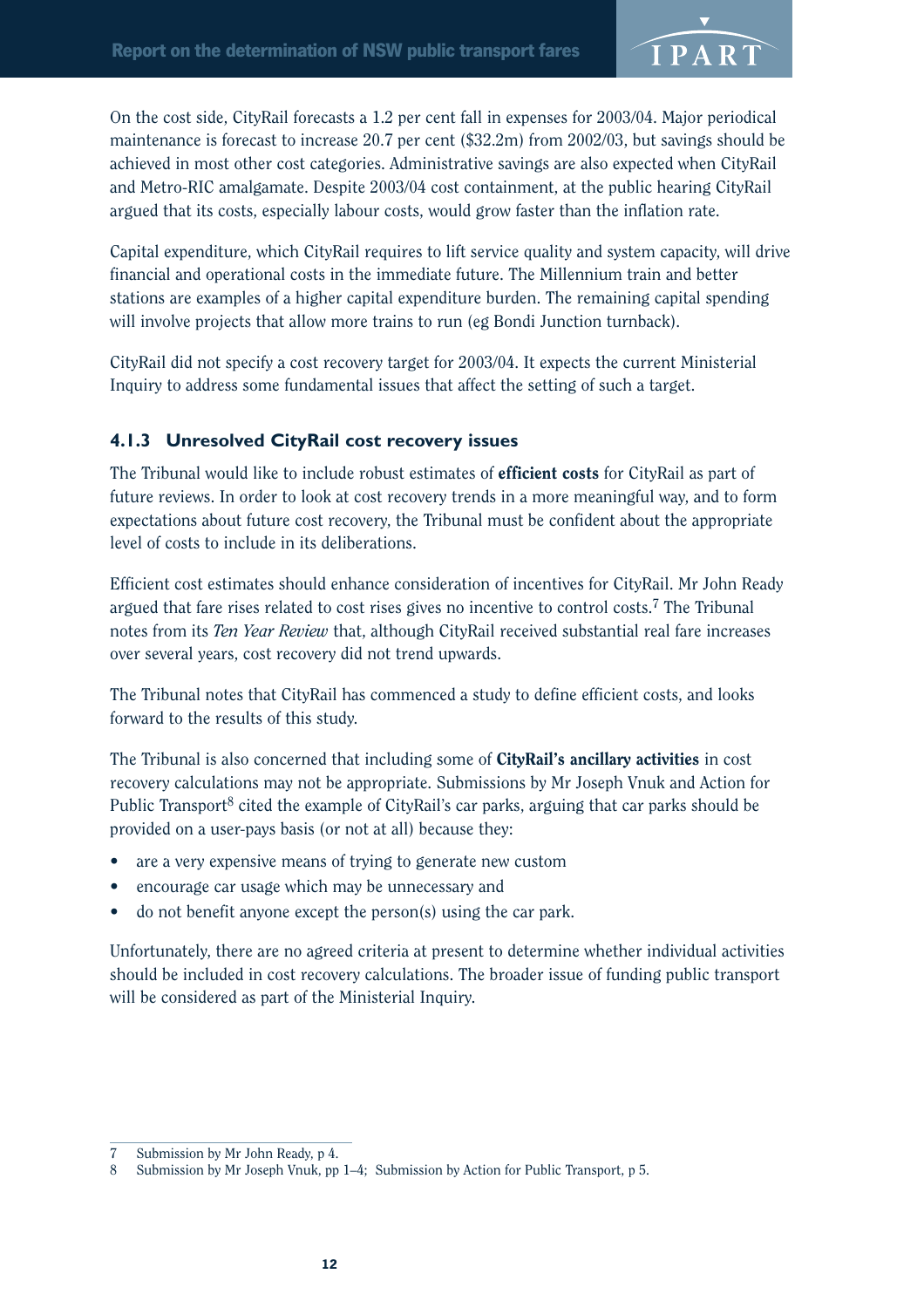

On the cost side, CityRail forecasts a 1.2 per cent fall in expenses for 2003/04. Major periodical maintenance is forecast to increase 20.7 per cent (\$32.2m) from 2002/03, but savings should be achieved in most other cost categories. Administrative savings are also expected when CityRail and Metro-RIC amalgamate. Despite 2003/04 cost containment, at the public hearing CityRail argued that its costs, especially labour costs, would grow faster than the inflation rate.

Capital expenditure, which CityRail requires to lift service quality and system capacity, will drive financial and operational costs in the immediate future. The Millennium train and better stations are examples of a higher capital expenditure burden. The remaining capital spending will involve projects that allow more trains to run (eg Bondi Junction turnback).

CityRail did not specify a cost recovery target for 2003/04. It expects the current Ministerial Inquiry to address some fundamental issues that affect the setting of such a target.

## **4.1.3 Unresolved CityRail cost recovery issues**

The Tribunal would like to include robust estimates of **efficient costs** for CityRail as part of future reviews. In order to look at cost recovery trends in a more meaningful way, and to form expectations about future cost recovery, the Tribunal must be confident about the appropriate level of costs to include in its deliberations.

Efficient cost estimates should enhance consideration of incentives for CityRail. Mr John Ready argued that fare rises related to cost rises gives no incentive to control costs.7 The Tribunal notes from its *Ten Year Review* that, although CityRail received substantial real fare increases over several years, cost recovery did not trend upwards.

The Tribunal notes that CityRail has commenced a study to define efficient costs, and looks forward to the results of this study.

The Tribunal is also concerned that including some of CityRail's ancillary activities in cost recovery calculations may not be appropriate. Submissions by Mr Joseph Vnuk and Action for Public Transport<sup>8</sup> cited the example of CityRail's car parks, arguing that car parks should be provided on a user-pays basis (or not at all) because they:

- are a very expensive means of trying to generate new custom
- encourage car usage which may be unnecessary and
- do not benefit anyone except the person(s) using the car park.

Unfortunately, there are no agreed criteria at present to determine whether individual activities should be included in cost recovery calculations. The broader issue of funding public transport will be considered as part of the Ministerial Inquiry.

<sup>7</sup> Submission by Mr John Ready, p 4.

<sup>8</sup> Submission by Mr Joseph Vnuk, pp 1–4; Submission by Action for Public Transport, p 5.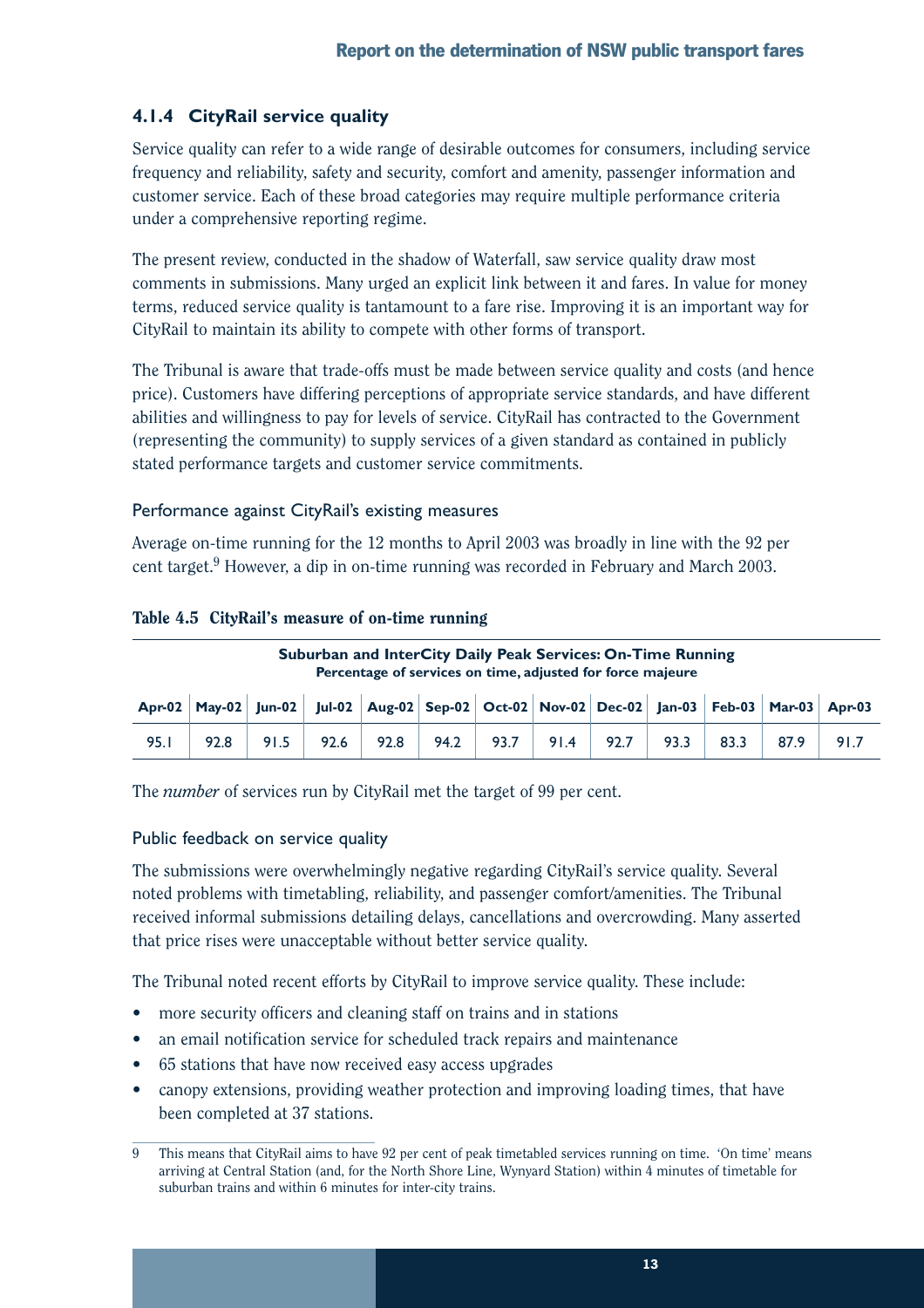## **4.1.4 CityRail service quality**

Service quality can refer to a wide range of desirable outcomes for consumers, including service frequency and reliability, safety and security, comfort and amenity, passenger information and customer service. Each of these broad categories may require multiple performance criteria under a comprehensive reporting regime.

The present review, conducted in the shadow of Waterfall, saw service quality draw most comments in submissions. Many urged an explicit link between it and fares. In value for money terms, reduced service quality is tantamount to a fare rise. Improving it is an important way for CityRail to maintain its ability to compete with other forms of transport.

The Tribunal is aware that trade-offs must be made between service quality and costs (and hence price). Customers have differing perceptions of appropriate service standards, and have different abilities and willingness to pay for levels of service. CityRail has contracted to the Government (representing the community) to supply services of a given standard as contained in publicly stated performance targets and customer service commitments.

## Performance against CityRail's existing measures

Average on-time running for the 12 months to April 2003 was broadly in line with the 92 per cent target.<sup>9</sup> However, a dip in on-time running was recorded in February and March 2003.

### Table 4.5 CityRail's measure of on-time running

**Suburban and InterCity Daily Peak Services: On-Time Running Percentage of services on time, adjusted for force majeure**

| Apr-02   May-02   Jun-02   Jul-02   Aug-02   Sep-02   Oct-02   Nov-02   Dec-02   Jan-03   Feb-03   Mar-03   Apr-03 |  |  |  |  |  |  |
|--------------------------------------------------------------------------------------------------------------------|--|--|--|--|--|--|
| 95.1 92.8 91.5 92.6 92.8 94.2 93.7 91.4 92.7 93.3 83.3 87.9 91.7                                                   |  |  |  |  |  |  |

The *number* of services run by CityRail met the target of 99 per cent.

### Public feedback on service quality

The submissions were overwhelmingly negative regarding CityRail's service quality. Several noted problems with timetabling, reliability, and passenger comfort/amenities. The Tribunal received informal submissions detailing delays, cancellations and overcrowding. Many asserted that price rises were unacceptable without better service quality.

The Tribunal noted recent efforts by CityRail to improve service quality. These include:

- more security officers and cleaning staff on trains and in stations
- an email notification service for scheduled track repairs and maintenance
- 65 stations that have now received easy access upgrades
- canopy extensions, providing weather protection and improving loading times, that have been completed at 37 stations.

<sup>9</sup> This means that CityRail aims to have 92 per cent of peak timetabled services running on time. 'On time' means arriving at Central Station (and, for the North Shore Line, Wynyard Station) within 4 minutes of timetable for suburban trains and within 6 minutes for inter-city trains.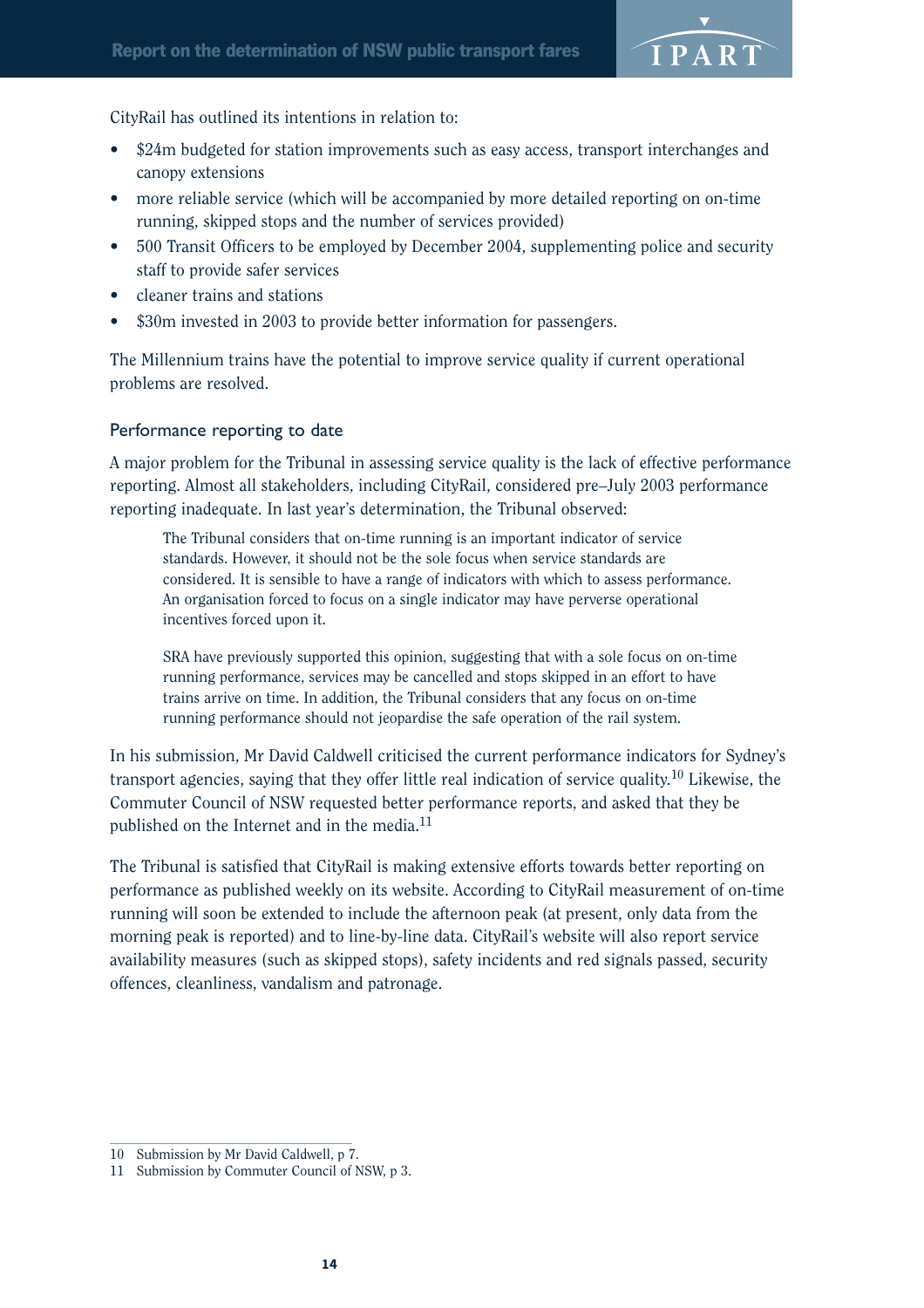

CityRail has outlined its intentions in relation to:

- \$24m budgeted for station improvements such as easy access, transport interchanges and canopy extensions
- more reliable service (which will be accompanied by more detailed reporting on on-time running, skipped stops and the number of services provided)
- 500 Transit Officers to be employed by December 2004, supplementing police and security staff to provide safer services
- cleaner trains and stations
- \$30m invested in 2003 to provide better information for passengers.

The Millennium trains have the potential to improve service quality if current operational problems are resolved.

### Performance reporting to date

A major problem for the Tribunal in assessing service quality is the lack of effective performance reporting. Almost all stakeholders, including CityRail, considered pre–July 2003 performance reporting inadequate. In last year's determination, the Tribunal observed:

The Tribunal considers that on-time running is an important indicator of service standards. However, it should not be the sole focus when service standards are considered. It is sensible to have a range of indicators with which to assess performance. An organisation forced to focus on a single indicator may have perverse operational incentives forced upon it.

SRA have previously supported this opinion, suggesting that with a sole focus on on-time running performance, services may be cancelled and stops skipped in an effort to have trains arrive on time. In addition, the Tribunal considers that any focus on on-time running performance should not jeopardise the safe operation of the rail system.

In his submission, Mr David Caldwell criticised the current performance indicators for Sydney's transport agencies, saying that they offer little real indication of service quality.<sup>10</sup> Likewise, the Commuter Council of NSW requested better performance reports, and asked that they be published on the Internet and in the media.11

The Tribunal is satisfied that CityRail is making extensive efforts towards better reporting on performance as published weekly on its website. According to CityRail measurement of on-time running will soon be extended to include the afternoon peak (at present, only data from the morning peak is reported) and to line-by-line data. CityRail's website will also report service availability measures (such as skipped stops), safety incidents and red signals passed, security offences, cleanliness, vandalism and patronage.

<sup>10</sup> Submission by Mr David Caldwell, p 7.

<sup>11</sup> Submission by Commuter Council of NSW, p 3.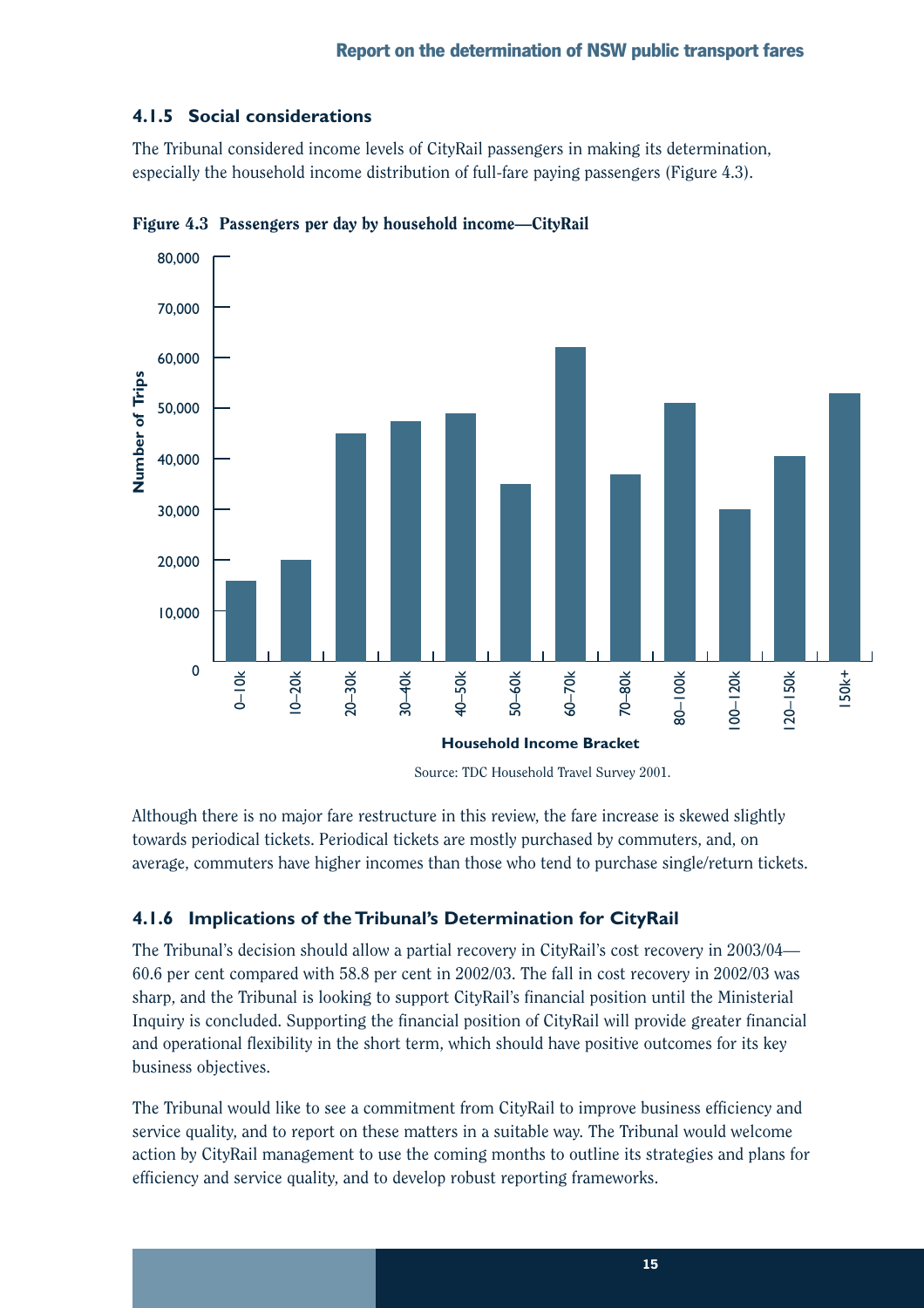### **4.1.5 Social considerations**

The Tribunal considered income levels of CityRail passengers in making its determination, especially the household income distribution of full-fare paying passengers (Figure 4.3).



Figure 4.3 Passengers per day by household income—CityRail

Source: TDC Household Travel Survey 2001.

Although there is no major fare restructure in this review, the fare increase is skewed slightly towards periodical tickets. Periodical tickets are mostly purchased by commuters, and, on average, commuters have higher incomes than those who tend to purchase single/return tickets.

## **4.1.6 Implications of the Tribunal's Determination for CityRail**

The Tribunal's decision should allow a partial recovery in CityRail's cost recovery in 2003/04— 60.6 per cent compared with 58.8 per cent in 2002/03. The fall in cost recovery in 2002/03 was sharp, and the Tribunal is looking to support CityRail's financial position until the Ministerial Inquiry is concluded. Supporting the financial position of CityRail will provide greater financial and operational flexibility in the short term, which should have positive outcomes for its key business objectives.

The Tribunal would like to see a commitment from CityRail to improve business efficiency and service quality, and to report on these matters in a suitable way. The Tribunal would welcome action by CityRail management to use the coming months to outline its strategies and plans for efficiency and service quality, and to develop robust reporting frameworks.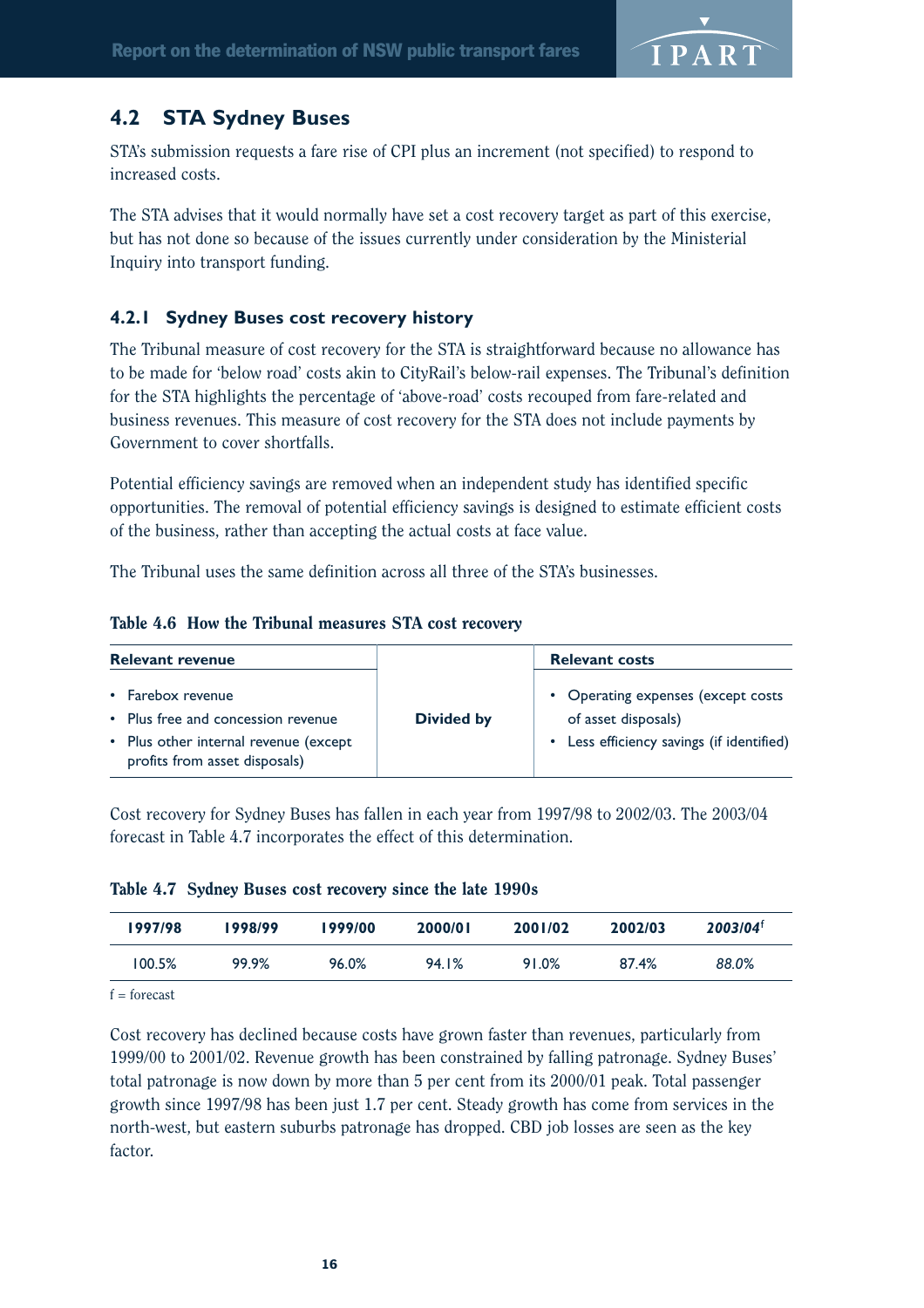

## **4.2 STA Sydney Buses**

STA's submission requests a fare rise of CPI plus an increment (not specified) to respond to increased costs.

The STA advises that it would normally have set a cost recovery target as part of this exercise, but has not done so because of the issues currently under consideration by the Ministerial Inquiry into transport funding.

### **4.2.1 Sydney Buses cost recovery history**

The Tribunal measure of cost recovery for the STA is straightforward because no allowance has to be made for 'below road' costs akin to CityRail's below-rail expenses. The Tribunal's definition for the STA highlights the percentage of 'above-road' costs recouped from fare-related and business revenues. This measure of cost recovery for the STA does not include payments by Government to cover shortfalls.

Potential efficiency savings are removed when an independent study has identified specific opportunities. The removal of potential efficiency savings is designed to estimate efficient costs of the business, rather than accepting the actual costs at face value.

The Tribunal uses the same definition across all three of the STA's businesses.

|  |  |  |  |  | Table 4.6 How the Tribunal measures STA cost recovery |
|--|--|--|--|--|-------------------------------------------------------|
|--|--|--|--|--|-------------------------------------------------------|

| <b>Relevant revenue</b>                                                                                                           |                   | <b>Relevant costs</b>                                                                                  |
|-----------------------------------------------------------------------------------------------------------------------------------|-------------------|--------------------------------------------------------------------------------------------------------|
| • Farebox revenue<br>• Plus free and concession revenue<br>• Plus other internal revenue (except<br>profits from asset disposals) | <b>Divided by</b> | • Operating expenses (except costs<br>of asset disposals)<br>• Less efficiency savings (if identified) |

Cost recovery for Sydney Buses has fallen in each year from 1997/98 to 2002/03. The 2003/04 forecast in Table 4.7 incorporates the effect of this determination.

Table 4.7 Sydney Buses cost recovery since the late 1990s

| 1997/98 | 1998/99 | 1999/00 | 2000/01 | 2001/02 | 2002/03 | $2003/04$ <sup>f</sup> |
|---------|---------|---------|---------|---------|---------|------------------------|
| 100.5%  | 99.9%   | 96.0%   | 94.1%   | 91.0%   | 87.4%   | 88.0%                  |

 $f =$ forecast

Cost recovery has declined because costs have grown faster than revenues, particularly from 1999/00 to 2001/02. Revenue growth has been constrained by falling patronage. Sydney Buses' total patronage is now down by more than 5 per cent from its 2000/01 peak. Total passenger growth since 1997/98 has been just 1.7 per cent. Steady growth has come from services in the north-west, but eastern suburbs patronage has dropped. CBD job losses are seen as the key factor.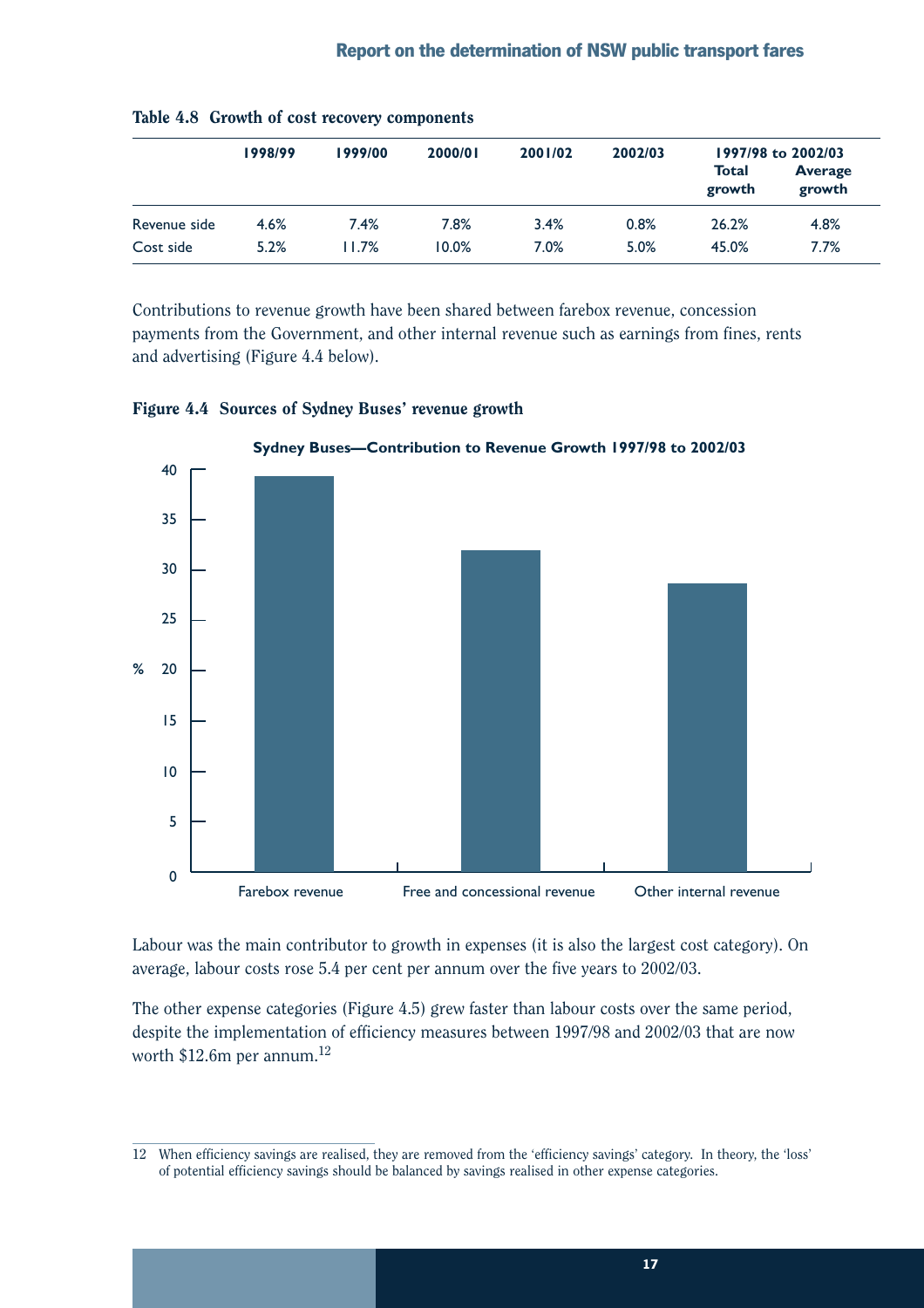|              | 1998/99 | 2002/03<br>2000/01<br>2001/02<br>1999/00 |       |      | 1997/98 to 2002/03 |                 |                          |
|--------------|---------|------------------------------------------|-------|------|--------------------|-----------------|--------------------------|
|              |         |                                          |       |      |                    | Total<br>growth | <b>Average</b><br>growth |
| Revenue side | 4.6%    | 7.4%                                     | 7.8%  | 3.4% | 0.8%               | 26.2%           | 4.8%                     |
| Cost side    | 5.2%    | 11.7%                                    | 10.0% | 7.0% | 5.0%               | 45.0%           | 7.7%                     |

|  |  |  |  |  | Table 4.8 Growth of cost recovery components |
|--|--|--|--|--|----------------------------------------------|
|--|--|--|--|--|----------------------------------------------|

Contributions to revenue growth have been shared between farebox revenue, concession payments from the Government, and other internal revenue such as earnings from fines, rents and advertising (Figure 4.4 below).



Figure 4.4 Sources of Sydney Buses' revenue growth

Labour was the main contributor to growth in expenses (it is also the largest cost category). On average, labour costs rose 5.4 per cent per annum over the five years to 2002/03.

The other expense categories (Figure 4.5) grew faster than labour costs over the same period, despite the implementation of efficiency measures between 1997/98 and 2002/03 that are now worth  $$12.6m$  per annum.<sup>12</sup>

<sup>12</sup> When efficiency savings are realised, they are removed from the 'efficiency savings' category. In theory, the 'loss' of potential efficiency savings should be balanced by savings realised in other expense categories.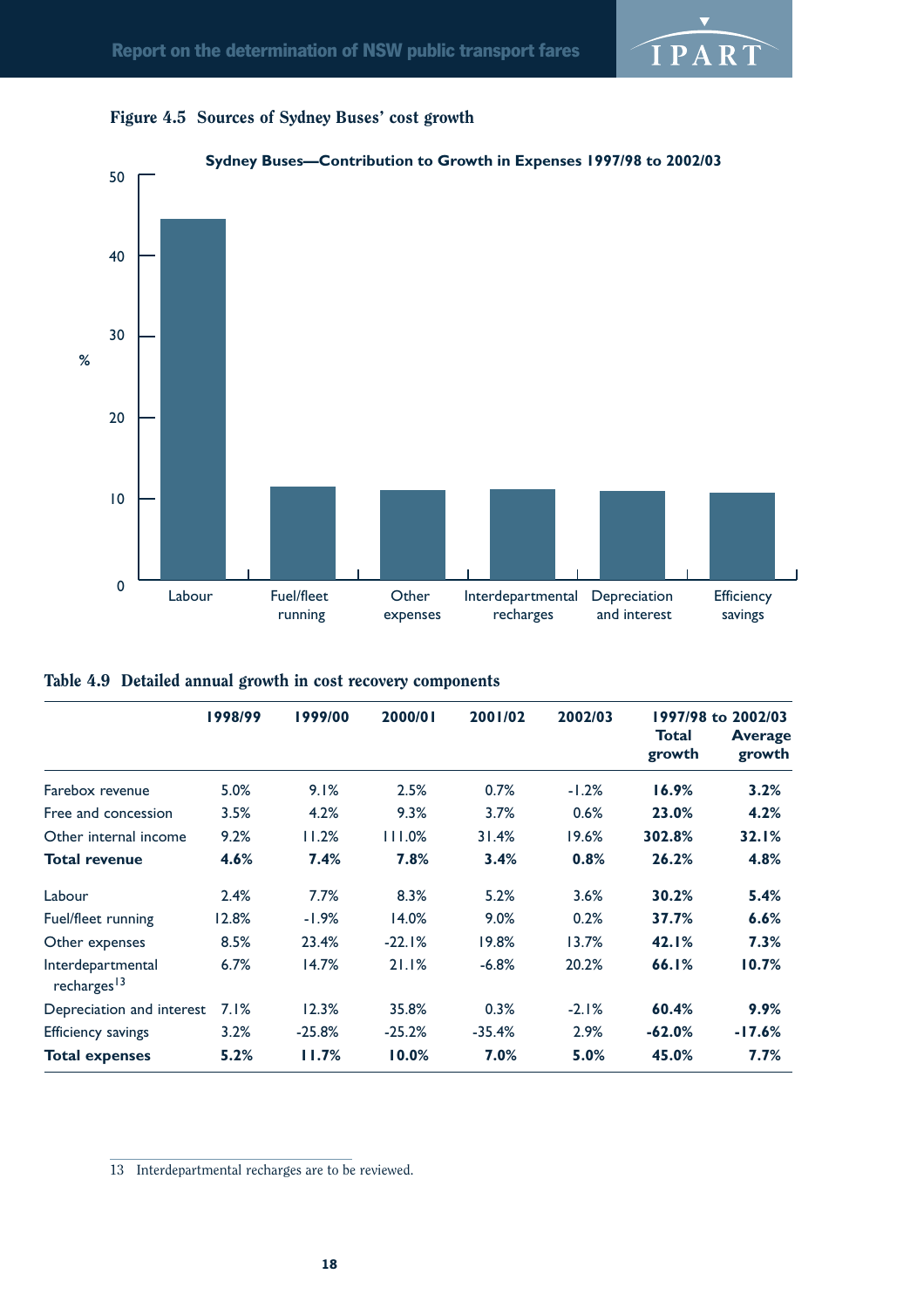





|  | Table 4.9 Detailed annual growth in cost recovery components |  |  |  |  |
|--|--------------------------------------------------------------|--|--|--|--|
|--|--------------------------------------------------------------|--|--|--|--|

|                                              | 1998/99 | 1999/00  | 2000/01  | 2001/02  | 2002/03 |                        | 1997/98 to 2002/03       |
|----------------------------------------------|---------|----------|----------|----------|---------|------------------------|--------------------------|
|                                              |         |          |          |          |         | <b>Total</b><br>growth | <b>Average</b><br>growth |
| Farebox revenue                              | 5.0%    | 9.1%     | 2.5%     | 0.7%     | $-1.2%$ | 16.9%                  | 3.2%                     |
| Free and concession                          | 3.5%    | 4.2%     | 9.3%     | 3.7%     | 0.6%    | 23.0%                  | 4.2%                     |
| Other internal income                        | 9.2%    | 11.2%    | 111.0%   | 31.4%    | 19.6%   | 302.8%                 | 32.1%                    |
| <b>Total revenue</b>                         | 4.6%    | 7.4%     | 7.8%     | 3.4%     | 0.8%    | 26.2%                  | 4.8%                     |
| Labour                                       | 2.4%    | 7.7%     | 8.3%     | 5.2%     | 3.6%    | 30.2%                  | 5.4%                     |
| Fuel/fleet running                           | 12.8%   | $-1.9%$  | 14.0%    | 9.0%     | 0.2%    | 37.7%                  | 6.6%                     |
| Other expenses                               | 8.5%    | 23.4%    | $-22.1%$ | 19.8%    | 13.7%   | 42.1%                  | 7.3%                     |
| Interdepartmental<br>recharges <sup>13</sup> | 6.7%    | 14.7%    | 21.1%    | $-6.8%$  | 20.2%   | 66.1%                  | 10.7%                    |
| Depreciation and interest                    | 7.1%    | 12.3%    | 35.8%    | 0.3%     | $-2.1%$ | 60.4%                  | 9.9%                     |
| <b>Efficiency savings</b>                    | 3.2%    | $-25.8%$ | $-25.2%$ | $-35.4%$ | 2.9%    | $-62.0%$               | $-17.6%$                 |
| <b>Total expenses</b>                        | 5.2%    | 11.7%    | 10.0%    | 7.0%     | 5.0%    | 45.0%                  | $7.7\%$                  |

13 Interdepartmental recharges are to be reviewed.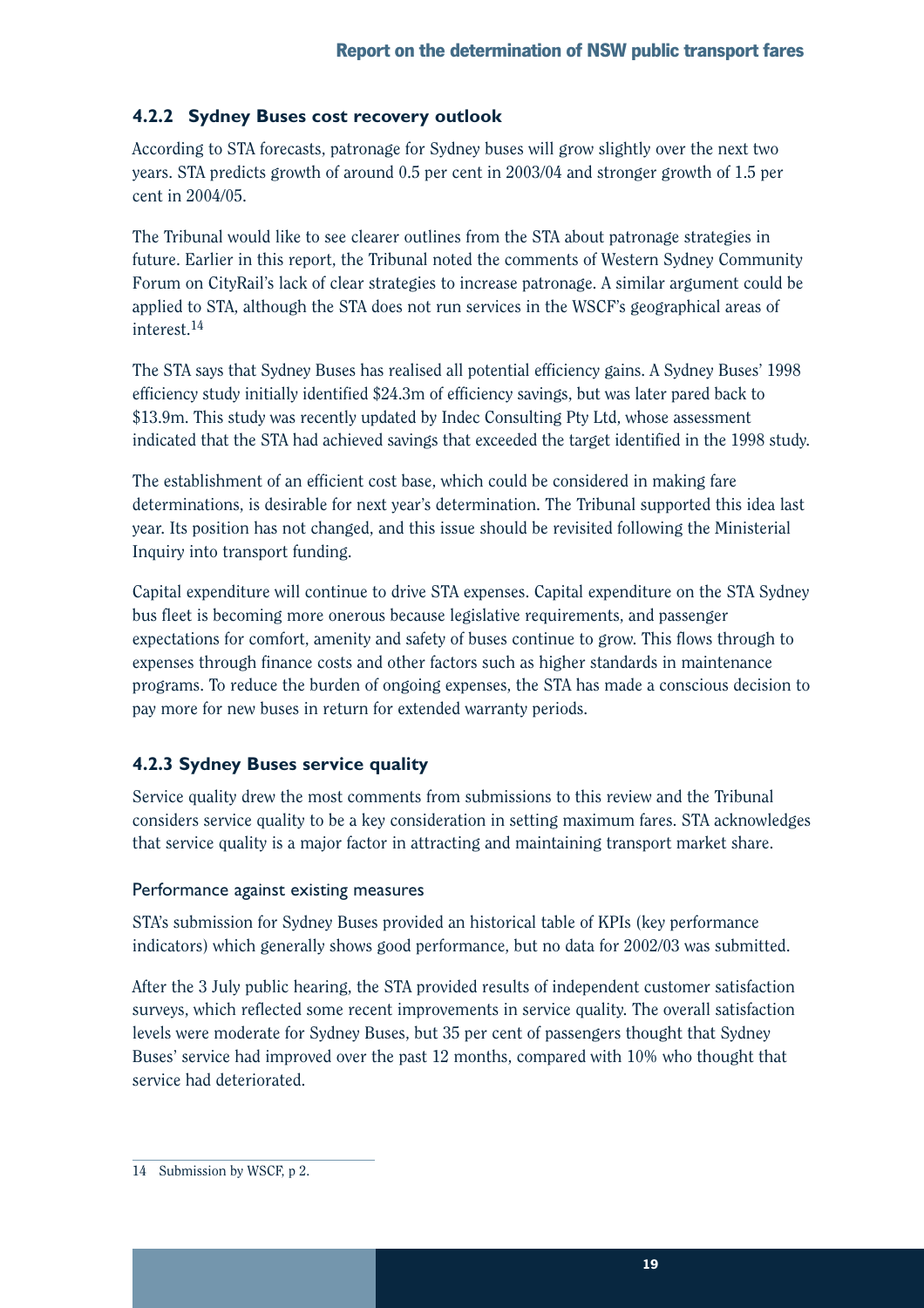## **4.2.2 Sydney Buses cost recovery outlook**

According to STA forecasts, patronage for Sydney buses will grow slightly over the next two years. STA predicts growth of around 0.5 per cent in 2003/04 and stronger growth of 1.5 per cent in 2004/05.

The Tribunal would like to see clearer outlines from the STA about patronage strategies in future. Earlier in this report, the Tribunal noted the comments of Western Sydney Community Forum on CityRail's lack of clear strategies to increase patronage. A similar argument could be applied to STA, although the STA does not run services in the WSCF's geographical areas of interest.<sup>14</sup>

The STA says that Sydney Buses has realised all potential efficiency gains. A Sydney Buses' 1998 efficiency study initially identified \$24.3m of efficiency savings, but was later pared back to \$13.9m. This study was recently updated by Indec Consulting Pty Ltd, whose assessment indicated that the STA had achieved savings that exceeded the target identified in the 1998 study.

The establishment of an efficient cost base, which could be considered in making fare determinations, is desirable for next year's determination. The Tribunal supported this idea last year. Its position has not changed, and this issue should be revisited following the Ministerial Inquiry into transport funding.

Capital expenditure will continue to drive STA expenses. Capital expenditure on the STA Sydney bus fleet is becoming more onerous because legislative requirements, and passenger expectations for comfort, amenity and safety of buses continue to grow. This flows through to expenses through finance costs and other factors such as higher standards in maintenance programs. To reduce the burden of ongoing expenses, the STA has made a conscious decision to pay more for new buses in return for extended warranty periods.

## **4.2.3 Sydney Buses service quality**

Service quality drew the most comments from submissions to this review and the Tribunal considers service quality to be a key consideration in setting maximum fares. STA acknowledges that service quality is a major factor in attracting and maintaining transport market share.

### Performance against existing measures

STA's submission for Sydney Buses provided an historical table of KPIs (key performance indicators) which generally shows good performance, but no data for 2002/03 was submitted.

After the 3 July public hearing, the STA provided results of independent customer satisfaction surveys, which reflected some recent improvements in service quality. The overall satisfaction levels were moderate for Sydney Buses, but 35 per cent of passengers thought that Sydney Buses' service had improved over the past 12 months, compared with 10% who thought that service had deteriorated.

<sup>14</sup> Submission by WSCF, p 2.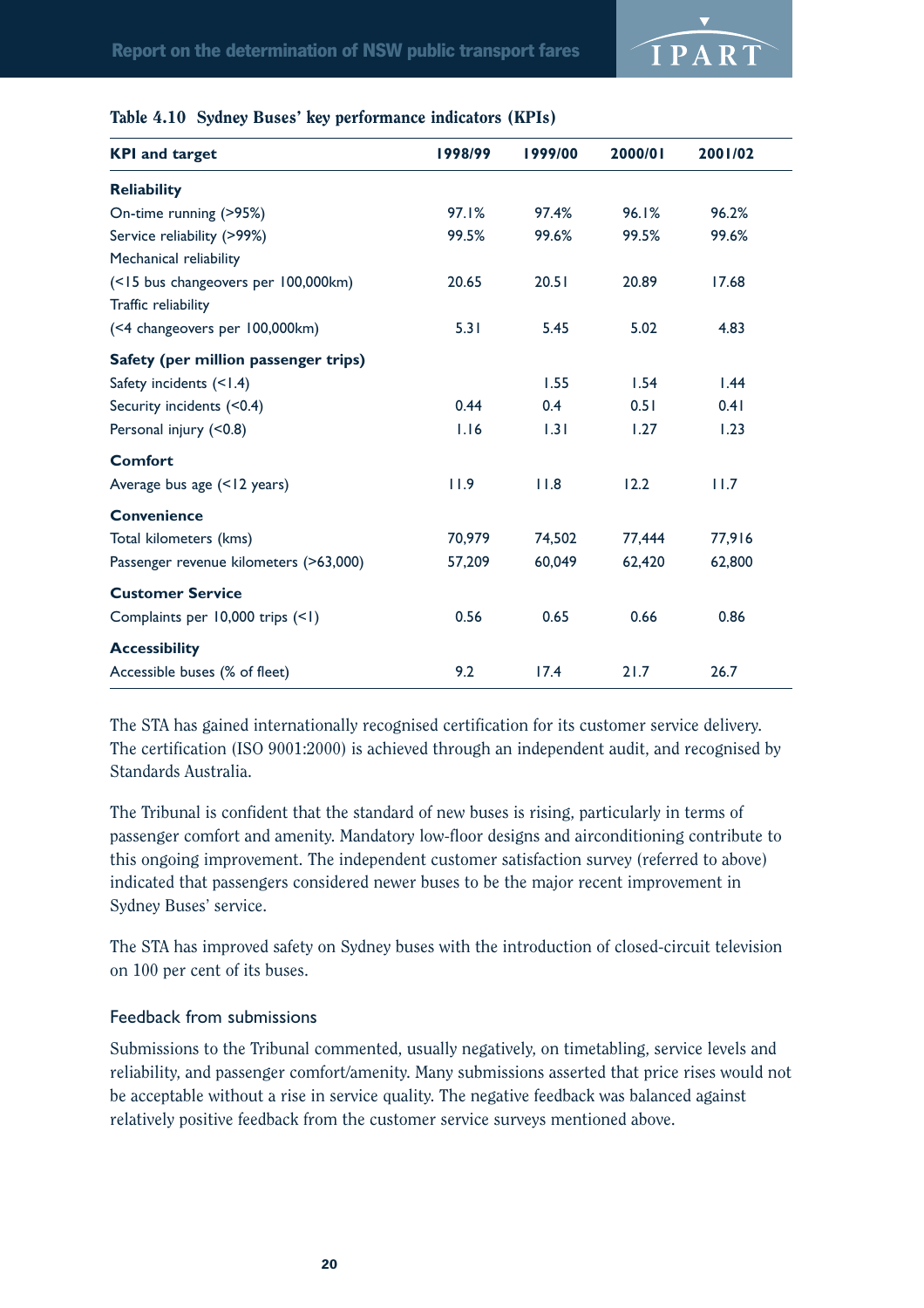

|  |  |  |  | Table 4.10 Sydney Buses' key performance indicators (KPIs) |  |  |
|--|--|--|--|------------------------------------------------------------|--|--|
|--|--|--|--|------------------------------------------------------------|--|--|

| <b>KPI and target</b>                  | 1998/99 | 1999/00 | 2000/01 | 2001/02 |
|----------------------------------------|---------|---------|---------|---------|
| <b>Reliability</b>                     |         |         |         |         |
| On-time running (>95%)                 | 97.1%   | 97.4%   | 96.1%   | 96.2%   |
| Service reliability (>99%)             | 99.5%   | 99.6%   | 99.5%   | 99.6%   |
| Mechanical reliability                 |         |         |         |         |
| (<15 bus changeovers per 100,000km)    | 20.65   | 20.51   | 20.89   | 17.68   |
| Traffic reliability                    |         |         |         |         |
| (<4 changeovers per 100,000km)         | 5.31    | 5.45    | 5.02    | 4.83    |
| Safety (per million passenger trips)   |         |         |         |         |
| Safety incidents (<1.4)                |         | 1.55    | 1.54    | 1.44    |
| Security incidents (<0.4)              | 0.44    | 0.4     | 0.51    | 0.41    |
| Personal injury (<0.8)                 | 1.16    | 1.31    | 1.27    | 1.23    |
| <b>Comfort</b>                         |         |         |         |         |
| Average bus age (<12 years)            | 11.9    | 11.8    | 12.2    | 11.7    |
| <b>Convenience</b>                     |         |         |         |         |
| Total kilometers (kms)                 | 70,979  | 74,502  | 77,444  | 77,916  |
| Passenger revenue kilometers (>63,000) | 57,209  | 60,049  | 62,420  | 62,800  |
| <b>Customer Service</b>                |         |         |         |         |
| Complaints per 10,000 trips (<1)       | 0.56    | 0.65    | 0.66    | 0.86    |
| <b>Accessibility</b>                   |         |         |         |         |
| Accessible buses (% of fleet)          | 9.2     | 17.4    | 21.7    | 26.7    |

The STA has gained internationally recognised certification for its customer service delivery. The certification (ISO 9001:2000) is achieved through an independent audit, and recognised by Standards Australia.

The Tribunal is confident that the standard of new buses is rising, particularly in terms of passenger comfort and amenity. Mandatory low-floor designs and airconditioning contribute to this ongoing improvement. The independent customer satisfaction survey (referred to above) indicated that passengers considered newer buses to be the major recent improvement in Sydney Buses' service.

The STA has improved safety on Sydney buses with the introduction of closed-circuit television on 100 per cent of its buses.

#### Feedback from submissions

Submissions to the Tribunal commented, usually negatively, on timetabling, service levels and reliability, and passenger comfort/amenity. Many submissions asserted that price rises would not be acceptable without a rise in service quality. The negative feedback was balanced against relatively positive feedback from the customer service surveys mentioned above.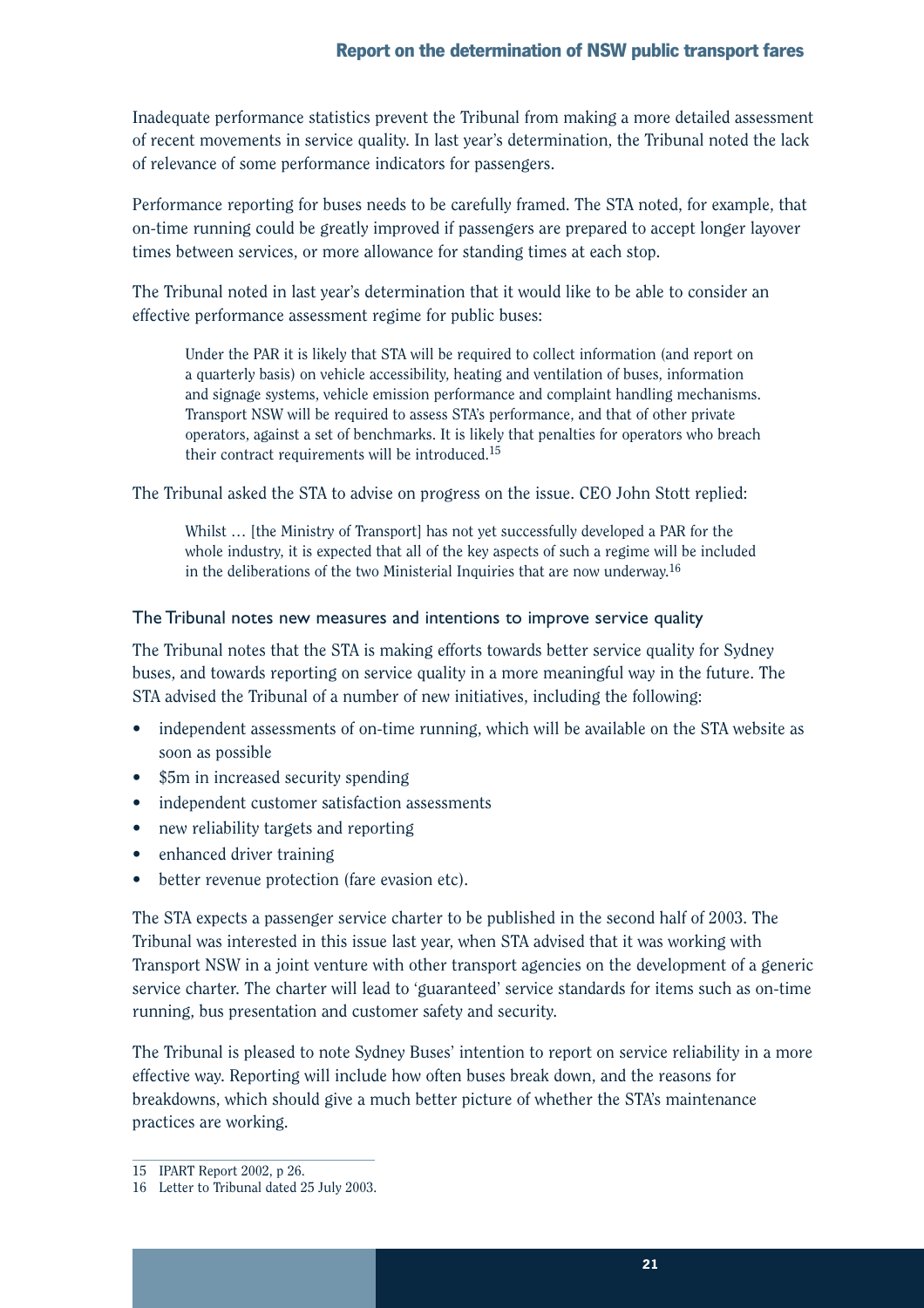Inadequate performance statistics prevent the Tribunal from making a more detailed assessment of recent movements in service quality. In last year's determination, the Tribunal noted the lack of relevance of some performance indicators for passengers.

Performance reporting for buses needs to be carefully framed. The STA noted, for example, that on-time running could be greatly improved if passengers are prepared to accept longer layover times between services, or more allowance for standing times at each stop.

The Tribunal noted in last year's determination that it would like to be able to consider an effective performance assessment regime for public buses:

Under the PAR it is likely that STA will be required to collect information (and report on a quarterly basis) on vehicle accessibility, heating and ventilation of buses, information and signage systems, vehicle emission performance and complaint handling mechanisms. Transport NSW will be required to assess STA's performance, and that of other private operators, against a set of benchmarks. It is likely that penalties for operators who breach their contract requirements will be introduced.15

The Tribunal asked the STA to advise on progress on the issue. CEO John Stott replied:

Whilst ... [the Ministry of Transport] has not yet successfully developed a PAR for the whole industry, it is expected that all of the key aspects of such a regime will be included in the deliberations of the two Ministerial Inquiries that are now underway.<sup>16</sup>

### The Tribunal notes new measures and intentions to improve service quality

The Tribunal notes that the STA is making efforts towards better service quality for Sydney buses, and towards reporting on service quality in a more meaningful way in the future. The STA advised the Tribunal of a number of new initiatives, including the following:

- independent assessments of on-time running, which will be available on the STA website as soon as possible
- \$5m in increased security spending
- independent customer satisfaction assessments
- new reliability targets and reporting
- enhanced driver training
- better revenue protection (fare evasion etc).

The STA expects a passenger service charter to be published in the second half of 2003. The Tribunal was interested in this issue last year, when STA advised that it was working with Transport NSW in a joint venture with other transport agencies on the development of a generic service charter. The charter will lead to 'guaranteed' service standards for items such as on-time running, bus presentation and customer safety and security.

The Tribunal is pleased to note Sydney Buses' intention to report on service reliability in a more effective way. Reporting will include how often buses break down, and the reasons for breakdowns, which should give a much better picture of whether the STA's maintenance practices are working.

<sup>15</sup> IPART Report 2002, p 26.

<sup>16</sup> Letter to Tribunal dated 25 July 2003.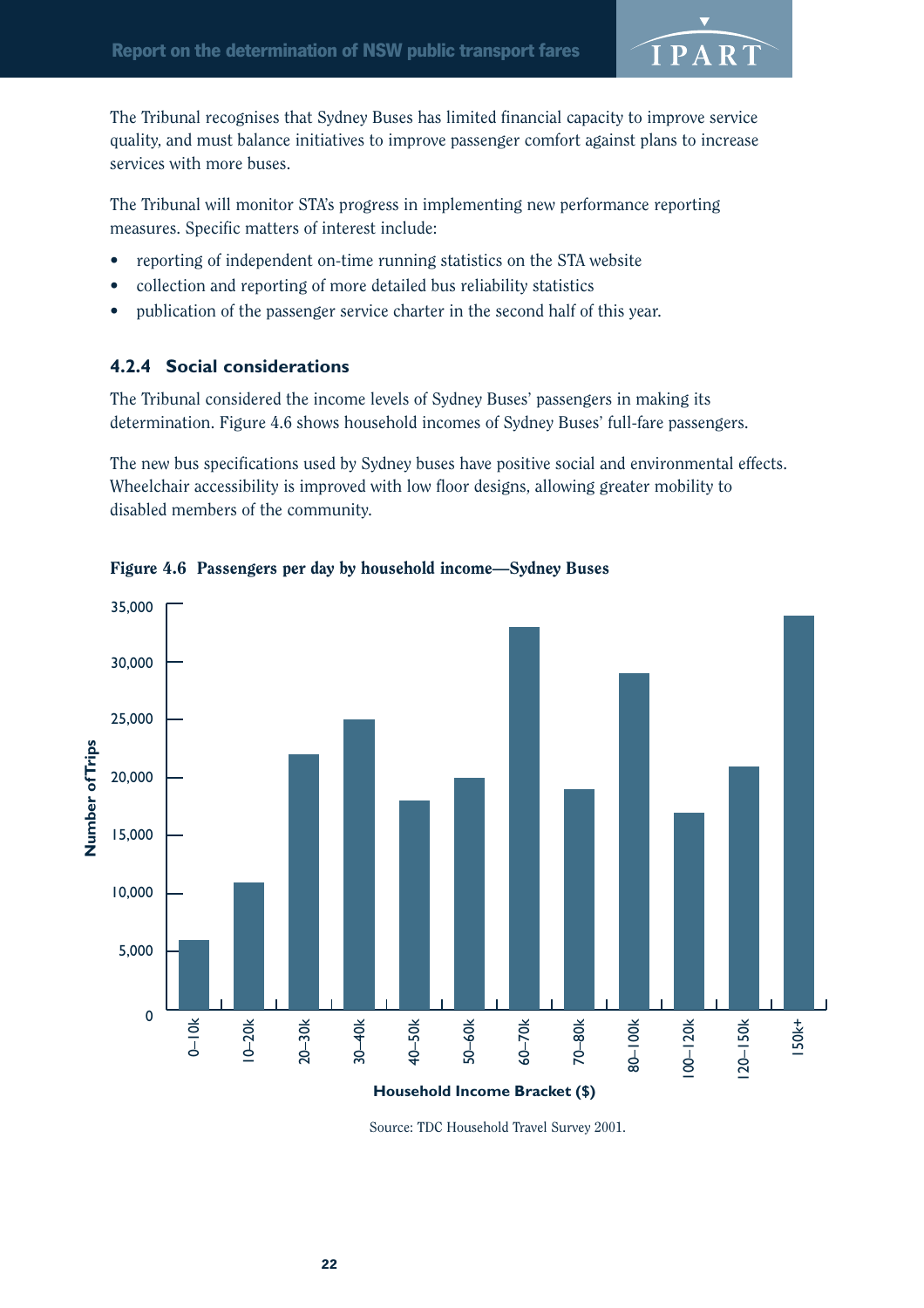

The Tribunal recognises that Sydney Buses has limited financial capacity to improve service quality, and must balance initiatives to improve passenger comfort against plans to increase services with more buses.

The Tribunal will monitor STA's progress in implementing new performance reporting measures. Specific matters of interest include:

- reporting of independent on-time running statistics on the STA website
- collection and reporting of more detailed bus reliability statistics
- publication of the passenger service charter in the second half of this year.

## **4.2.4 Social considerations**

The Tribunal considered the income levels of Sydney Buses' passengers in making its determination. Figure 4.6 shows household incomes of Sydney Buses' full-fare passengers.

The new bus specifications used by Sydney buses have positive social and environmental effects. Wheelchair accessibility is improved with low floor designs, allowing greater mobility to disabled members of the community.



Figure 4.6 Passengers per day by household income—Sydney Buses

Source: TDC Household Travel Survey 2001.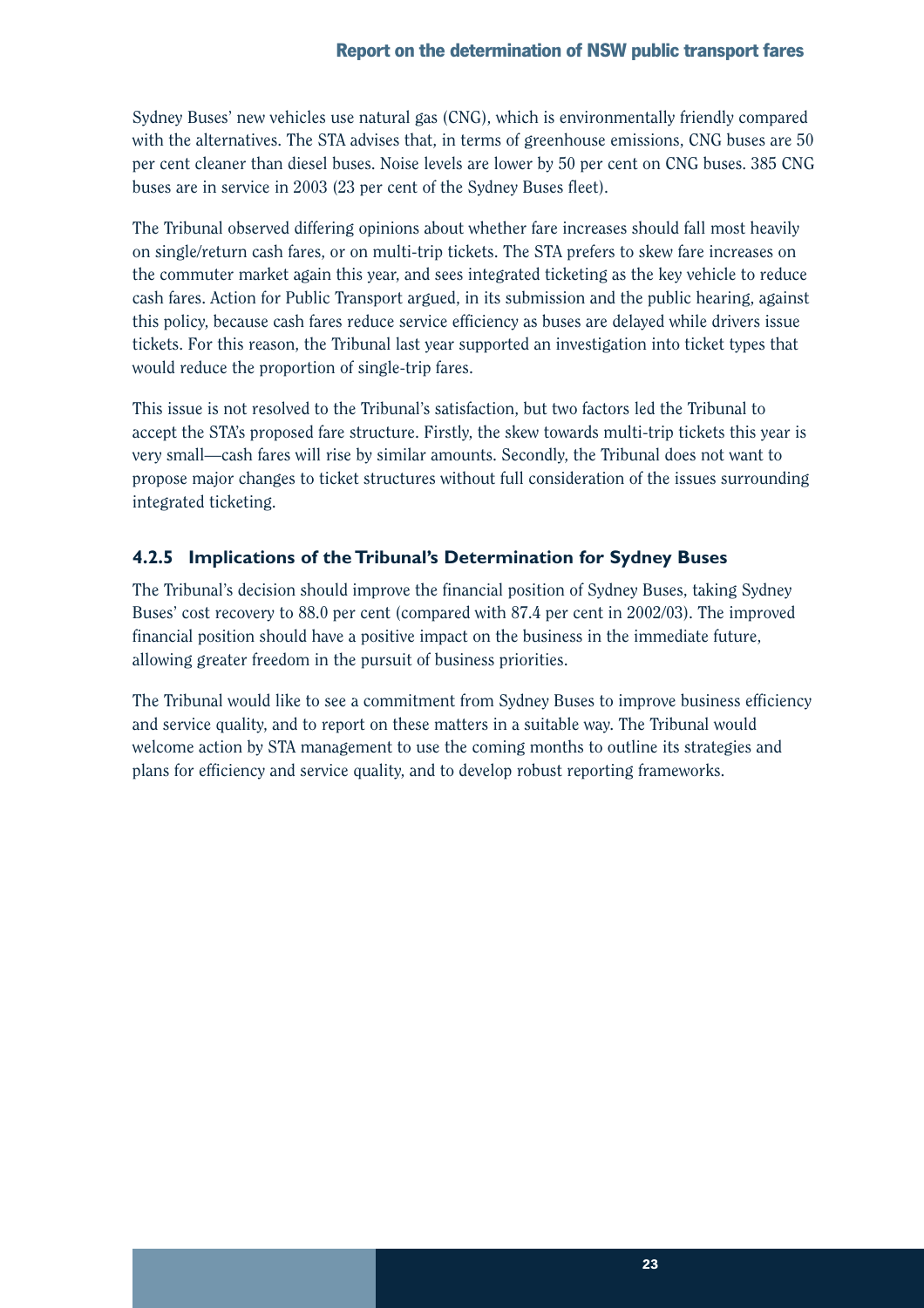Sydney Buses' new vehicles use natural gas (CNG), which is environmentally friendly compared with the alternatives. The STA advises that, in terms of greenhouse emissions, CNG buses are 50 per cent cleaner than diesel buses. Noise levels are lower by 50 per cent on CNG buses. 385 CNG buses are in service in 2003 (23 per cent of the Sydney Buses fleet).

The Tribunal observed differing opinions about whether fare increases should fall most heavily on single/return cash fares, or on multi-trip tickets. The STA prefers to skew fare increases on the commuter market again this year, and sees integrated ticketing as the key vehicle to reduce cash fares. Action for Public Transport argued, in its submission and the public hearing, against this policy, because cash fares reduce service efficiency as buses are delayed while drivers issue tickets. For this reason, the Tribunal last year supported an investigation into ticket types that would reduce the proportion of single-trip fares.

This issue is not resolved to the Tribunal's satisfaction, but two factors led the Tribunal to accept the STA's proposed fare structure. Firstly, the skew towards multi-trip tickets this year is very small—cash fares will rise by similar amounts. Secondly, the Tribunal does not want to propose major changes to ticket structures without full consideration of the issues surrounding integrated ticketing.

## **4.2.5 Implications of the Tribunal's Determination for Sydney Buses**

The Tribunal's decision should improve the financial position of Sydney Buses, taking Sydney Buses' cost recovery to 88.0 per cent (compared with 87.4 per cent in 2002/03). The improved financial position should have a positive impact on the business in the immediate future, allowing greater freedom in the pursuit of business priorities.

The Tribunal would like to see a commitment from Sydney Buses to improve business efficiency and service quality, and to report on these matters in a suitable way. The Tribunal would welcome action by STA management to use the coming months to outline its strategies and plans for efficiency and service quality, and to develop robust reporting frameworks.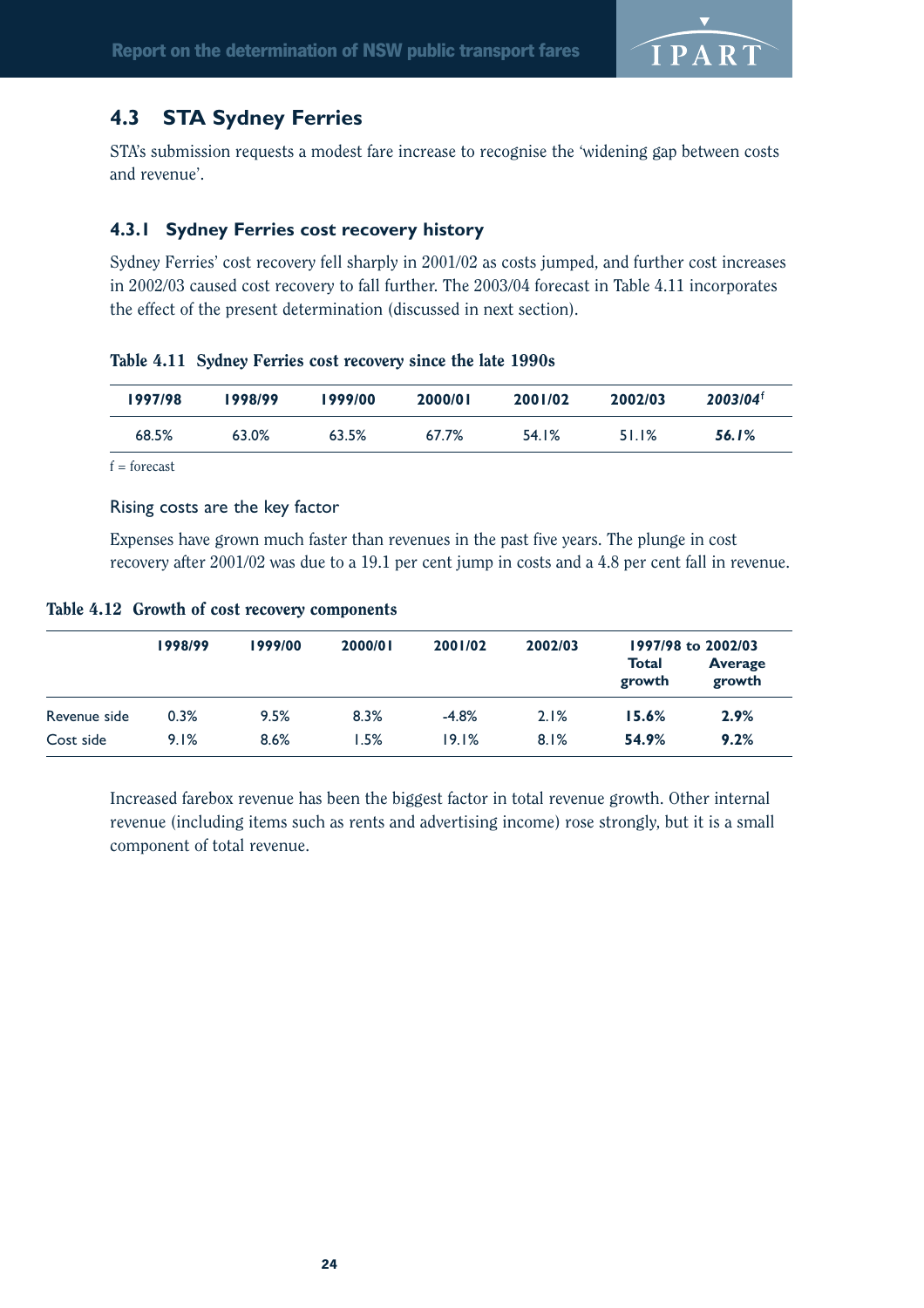

## **4.3 STA Sydney Ferries**

STA's submission requests a modest fare increase to recognise the 'widening gap between costs and revenue'.

## **4.3.1 Sydney Ferries cost recovery history**

Sydney Ferries' cost recovery fell sharply in 2001/02 as costs jumped, and further cost increases in 2002/03 caused cost recovery to fall further. The 2003/04 forecast in Table 4.11 incorporates the effect of the present determination (discussed in next section).

|  | Table 4.11 Sydney Ferries cost recovery since the late 1990s |  |  |  |
|--|--------------------------------------------------------------|--|--|--|
|--|--------------------------------------------------------------|--|--|--|

| 1997/98 | 1998/99 | 1999/00 | 2000/01 | 2001/02 | 2002/03 | $2003/04$ <sup>t</sup> |
|---------|---------|---------|---------|---------|---------|------------------------|
| 68.5%   | 63.0%   | 63.5%   | 67.7%   | 54.1%   | 51.1%   | <b>56.1%</b>           |

 $f =$ forecast

### Rising costs are the key factor

Expenses have grown much faster than revenues in the past five years. The plunge in cost recovery after 2001/02 was due to a 19.1 per cent jump in costs and a 4.8 per cent fall in revenue.

### Table 4.12 Growth of cost recovery components

|              | 1998/99 | 1999/00 | 2000/01 | 2001/02 | 2002/03 | 1997/98 to 2002/03 |                          |  |
|--------------|---------|---------|---------|---------|---------|--------------------|--------------------------|--|
|              |         |         |         |         |         | Total<br>growth    | <b>Average</b><br>growth |  |
| Revenue side | 0.3%    | 9.5%    | 8.3%    | $-4.8%$ | 2.1%    | 15.6%              | 2.9%                     |  |
| Cost side    | 9.1%    | 8.6%    | 1.5%    | 19.1%   | 8.1%    | 54.9%              | 9.2%                     |  |

Increased farebox revenue has been the biggest factor in total revenue growth. Other internal revenue (including items such as rents and advertising income) rose strongly, but it is a small component of total revenue.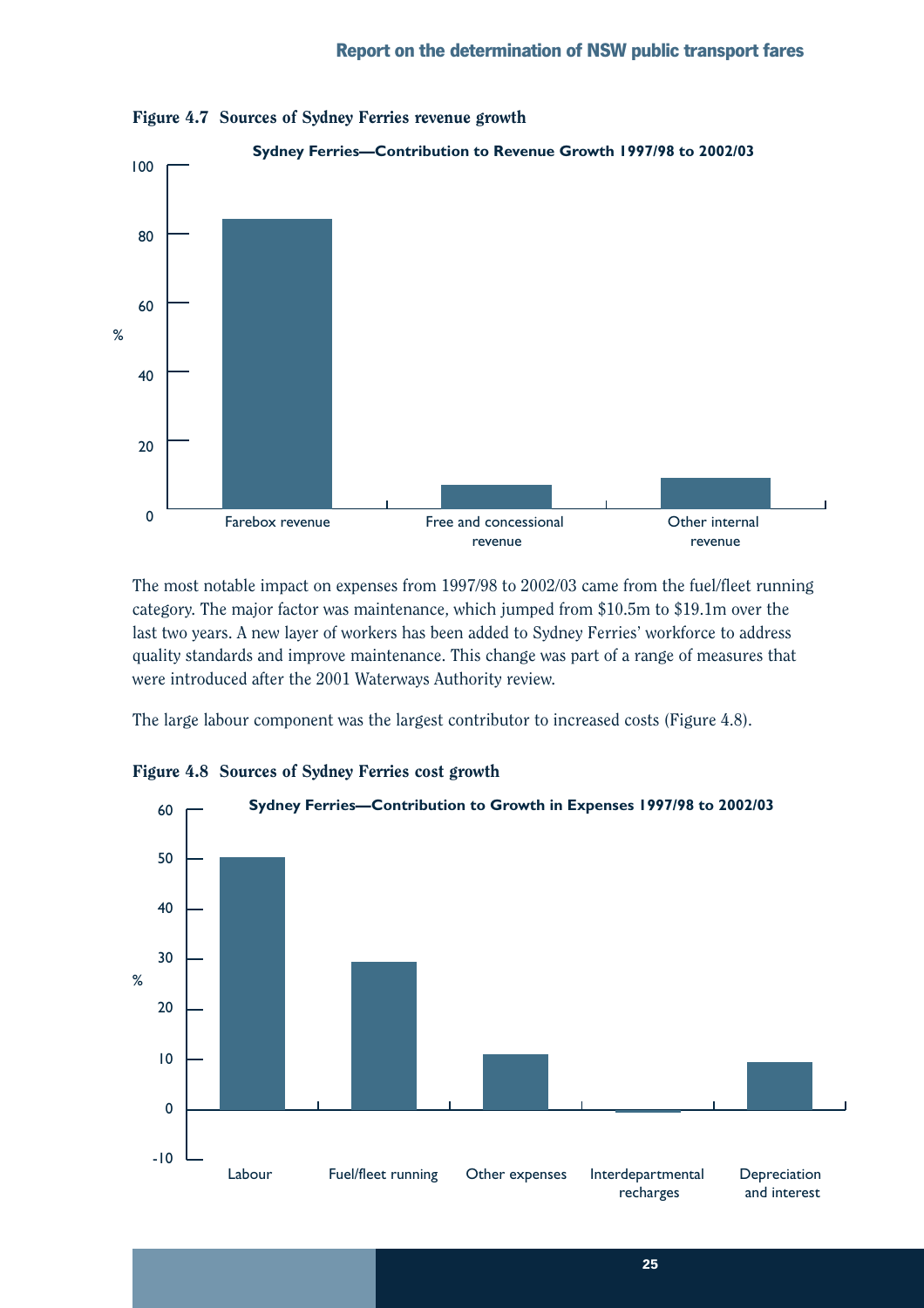

Figure 4.7 Sources of Sydney Ferries revenue growth

The most notable impact on expenses from 1997/98 to 2002/03 came from the fuel/fleet running category. The major factor was maintenance, which jumped from \$10.5m to \$19.1m over the last two years. A new layer of workers has been added to Sydney Ferries' workforce to address quality standards and improve maintenance. This change was part of a range of measures that were introduced after the 2001 Waterways Authority review.

The large labour component was the largest contributor to increased costs (Figure 4.8).



Figure 4.8 Sources of Sydney Ferries cost growth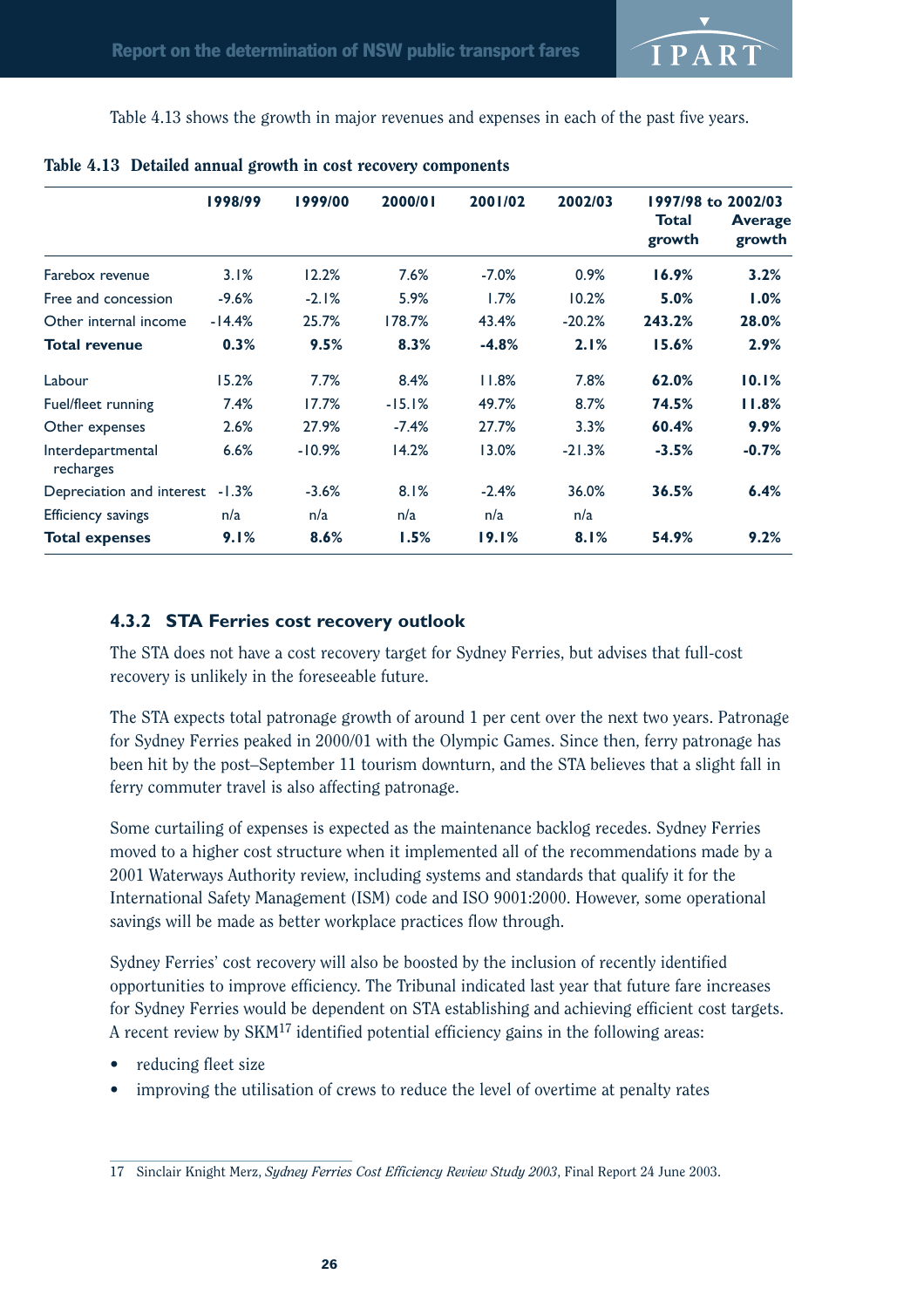

Table 4.13 shows the growth in major revenues and expenses in each of the past five years.

|                                | 1998/99  | 1999/00  | 2000/01  | 2001/02 | 2002/03  |                        | 1997/98 to 2002/03       |
|--------------------------------|----------|----------|----------|---------|----------|------------------------|--------------------------|
|                                |          |          |          |         |          | <b>Total</b><br>growth | <b>Average</b><br>growth |
| Farebox revenue                | 3.1%     | 12.2%    | 7.6%     | $-7.0%$ | 0.9%     | 16.9%                  | 3.2%                     |
| Free and concession            | $-9.6%$  | $-2.1%$  | 5.9%     | 1.7%    | 10.2%    | 5.0%                   | 1.0%                     |
| Other internal income          | $-14.4%$ | 25.7%    | 178.7%   | 43.4%   | $-20.2%$ | 243.2%                 | 28.0%                    |
| <b>Total revenue</b>           | 0.3%     | 9.5%     | 8.3%     | $-4.8%$ | 2.1%     | 15.6%                  | 2.9%                     |
| Labour                         | 15.2%    | 7.7%     | 8.4%     | 11.8%   | 7.8%     | 62.0%                  | 10.1%                    |
| Fuel/fleet running             | 7.4%     | 17.7%    | $-15.1%$ | 49.7%   | 8.7%     | 74.5%                  | 11.8%                    |
| Other expenses                 | 2.6%     | 27.9%    | $-7.4%$  | 27.7%   | 3.3%     | 60.4%                  | 9.9%                     |
| Interdepartmental<br>recharges | 6.6%     | $-10.9%$ | 14.2%    | 13.0%   | $-21.3%$ | $-3.5%$                | $-0.7%$                  |
| Depreciation and interest      | $-1.3%$  | $-3.6%$  | 8.1%     | $-2.4%$ | 36.0%    | 36.5%                  | 6.4%                     |
| <b>Efficiency savings</b>      | n/a      | n/a      | n/a      | n/a     | n/a      |                        |                          |
| <b>Total expenses</b>          | 9.1%     | 8.6%     | 1.5%     | 19.1%   | 8.1%     | 54.9%                  | 9.2%                     |

### Table 4.13 Detailed annual growth in cost recovery components

### **4.3.2 STA Ferries cost recovery outlook**

The STA does not have a cost recovery target for Sydney Ferries, but advises that full-cost recovery is unlikely in the foreseeable future.

The STA expects total patronage growth of around 1 per cent over the next two years. Patronage for Sydney Ferries peaked in 2000/01 with the Olympic Games. Since then, ferry patronage has been hit by the post–September 11 tourism downturn, and the STA believes that a slight fall in ferry commuter travel is also affecting patronage.

Some curtailing of expenses is expected as the maintenance backlog recedes. Sydney Ferries moved to a higher cost structure when it implemented all of the recommendations made by a 2001 Waterways Authority review, including systems and standards that qualify it for the International Safety Management (ISM) code and ISO 9001:2000. However, some operational savings will be made as better workplace practices flow through.

Sydney Ferries' cost recovery will also be boosted by the inclusion of recently identified opportunities to improve efficiency. The Tribunal indicated last year that future fare increases for Sydney Ferries would be dependent on STA establishing and achieving efficient cost targets. A recent review by  ${\rm SKM}^{17}$  identified potential efficiency gains in the following areas:

- reducing fleet size
- improving the utilisation of crews to reduce the level of overtime at penalty rates

<sup>17</sup> Sinclair Knight Merz, *Sydney Ferries Cost Efficiency Review Study 2003*, Final Report 24 June 2003.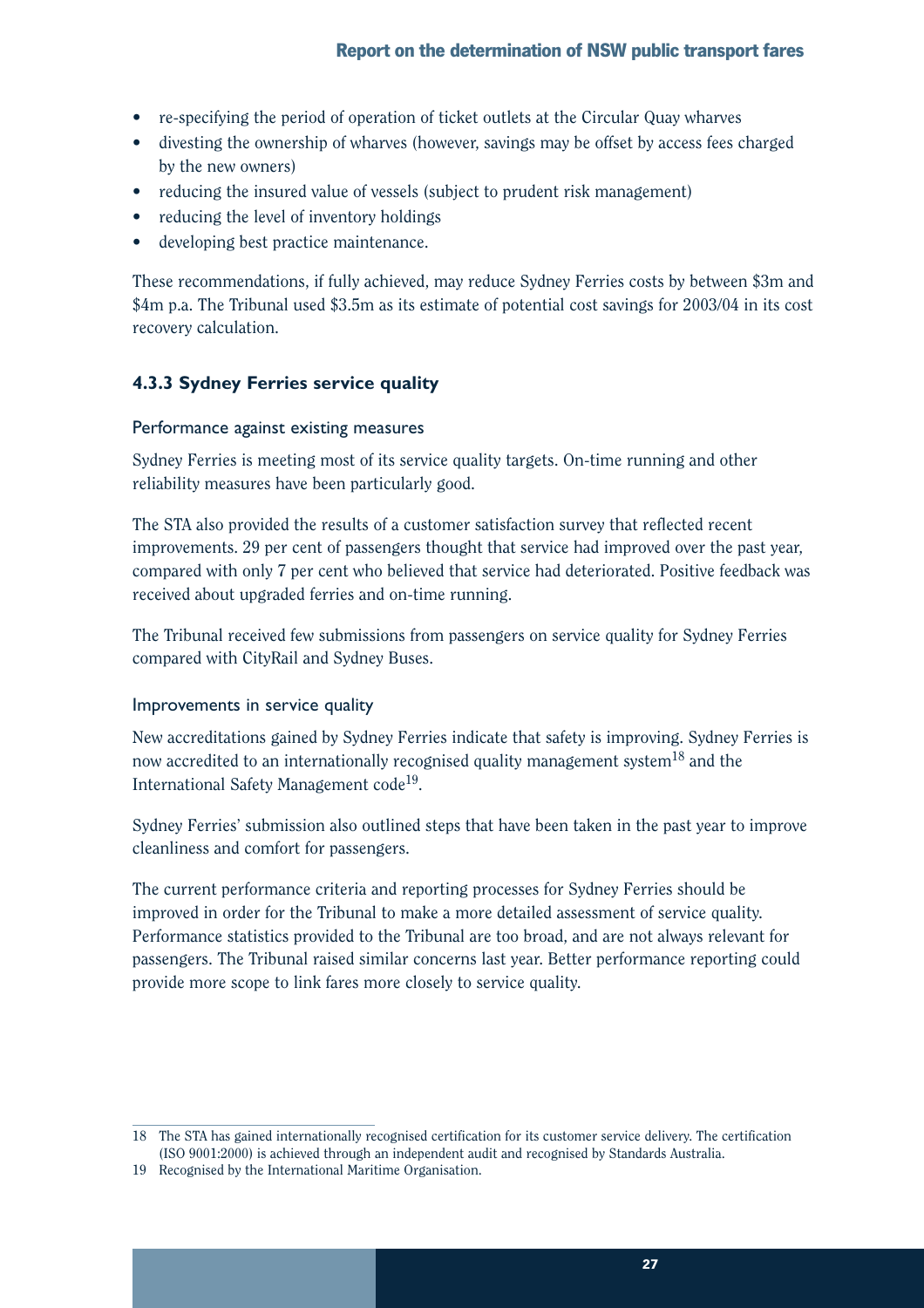- re-specifying the period of operation of ticket outlets at the Circular Quay wharves
- divesting the ownership of wharves (however, savings may be offset by access fees charged by the new owners)
- reducing the insured value of vessels (subject to prudent risk management)
- reducing the level of inventory holdings
- developing best practice maintenance.

These recommendations, if fully achieved, may reduce Sydney Ferries costs by between \$3m and \$4m p.a. The Tribunal used \$3.5m as its estimate of potential cost savings for 2003/04 in its cost recovery calculation.

## **4.3.3 Sydney Ferries service quality**

### Performance against existing measures

Sydney Ferries is meeting most of its service quality targets. On-time running and other reliability measures have been particularly good.

The STA also provided the results of a customer satisfaction survey that reflected recent improvements. 29 per cent of passengers thought that service had improved over the past year, compared with only 7 per cent who believed that service had deteriorated. Positive feedback was received about upgraded ferries and on-time running.

The Tribunal received few submissions from passengers on service quality for Sydney Ferries compared with CityRail and Sydney Buses.

### Improvements in service quality

New accreditations gained by Sydney Ferries indicate that safety is improving. Sydney Ferries is now accredited to an internationally recognised quality management system<sup>18</sup> and the International Safety Management code<sup>19</sup>.

Sydney Ferries' submission also outlined steps that have been taken in the past year to improve cleanliness and comfort for passengers.

The current performance criteria and reporting processes for Sydney Ferries should be improved in order for the Tribunal to make a more detailed assessment of service quality. Performance statistics provided to the Tribunal are too broad, and are not always relevant for passengers. The Tribunal raised similar concerns last year. Better performance reporting could provide more scope to link fares more closely to service quality.

<sup>18</sup> The STA has gained internationally recognised certification for its customer service delivery. The certification (ISO 9001:2000) is achieved through an independent audit and recognised by Standards Australia.

<sup>19</sup> Recognised by the International Maritime Organisation.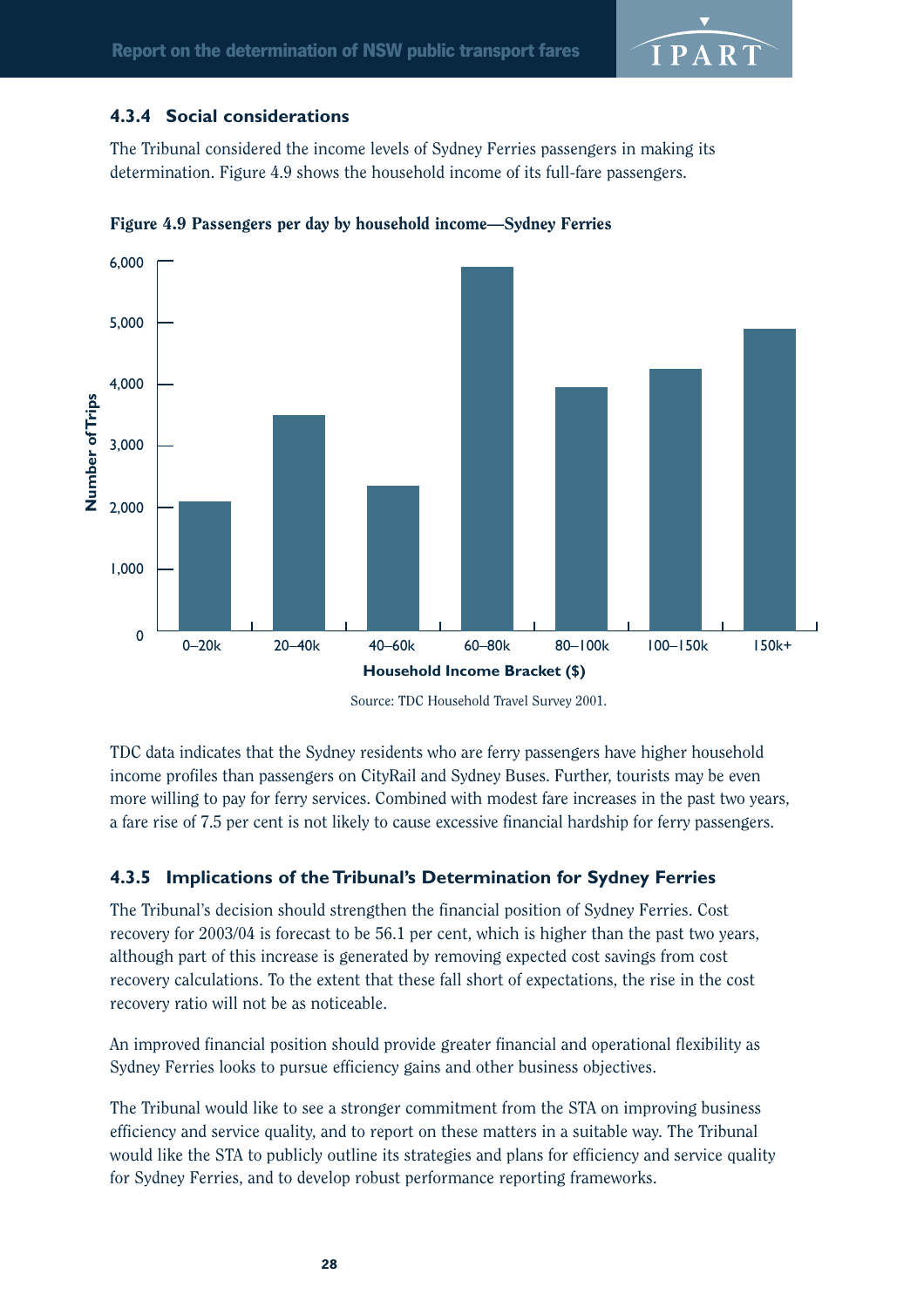![](_page_31_Picture_1.jpeg)

### **4.3.4 Social considerations**

The Tribunal considered the income levels of Sydney Ferries passengers in making its determination. Figure 4.9 shows the household income of its full-fare passengers.

![](_page_31_Figure_4.jpeg)

![](_page_31_Figure_5.jpeg)

TDC data indicates that the Sydney residents who are ferry passengers have higher household income profiles than passengers on CityRail and Sydney Buses. Further, tourists may be even more willing to pay for ferry services. Combined with modest fare increases in the past two years, a fare rise of 7.5 per cent is not likely to cause excessive financial hardship for ferry passengers.

## **4.3.5 Implications of the Tribunal's Determination for Sydney Ferries**

The Tribunal's decision should strengthen the financial position of Sydney Ferries. Cost recovery for 2003/04 is forecast to be 56.1 per cent, which is higher than the past two years, although part of this increase is generated by removing expected cost savings from cost recovery calculations. To the extent that these fall short of expectations, the rise in the cost recovery ratio will not be as noticeable.

An improved financial position should provide greater financial and operational flexibility as Sydney Ferries looks to pursue efficiency gains and other business objectives.

The Tribunal would like to see a stronger commitment from the STA on improving business efficiency and service quality, and to report on these matters in a suitable way. The Tribunal would like the STA to publicly outline its strategies and plans for efficiency and service quality for Sydney Ferries, and to develop robust performance reporting frameworks.

Source: TDC Household Travel Survey 2001.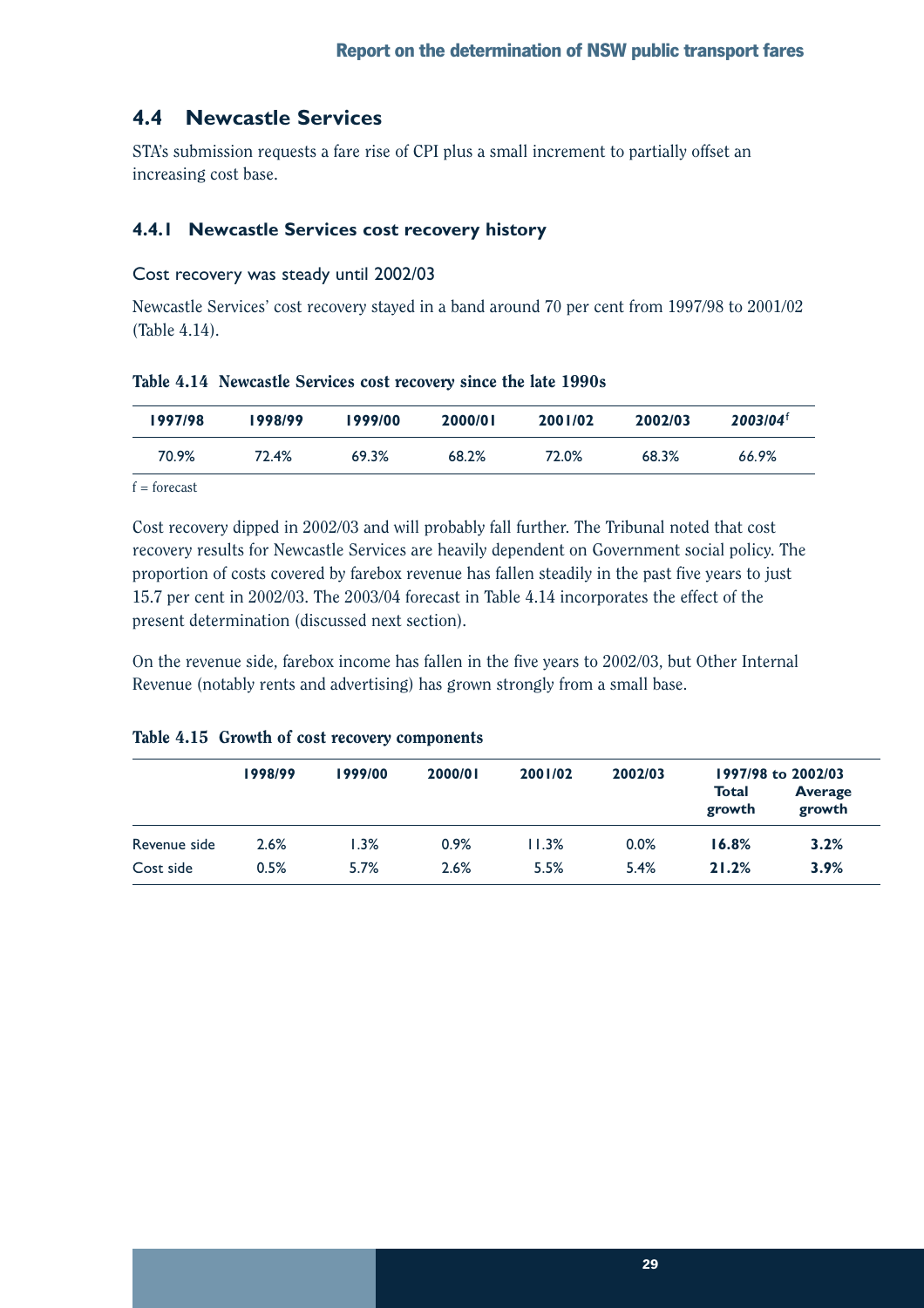## **4.4 Newcastle Services**

STA's submission requests a fare rise of CPI plus a small increment to partially offset an increasing cost base.

### **4.4.1 Newcastle Services cost recovery history**

#### Cost recovery was steady until 2002/03

Newcastle Services' cost recovery stayed in a band around 70 per cent from 1997/98 to 2001/02 (Table 4.14).

| 1997/98 | 1998/99 | 1999/00 | 2000/01 | 2001/02 | 2002/03 | $2003/04^{\dagger}$ |
|---------|---------|---------|---------|---------|---------|---------------------|
| 70.9%   | 72.4%   | 69.3%   | 68.2%   | 72.0%   | 68.3%   | 66.9%               |

Table 4.14 Newcastle Services cost recovery since the late 1990s

 $f =$ forecast

Cost recovery dipped in 2002/03 and will probably fall further. The Tribunal noted that cost recovery results for Newcastle Services are heavily dependent on Government social policy. The proportion of costs covered by farebox revenue has fallen steadily in the past five years to just 15.7 per cent in 2002/03. The 2003/04 forecast in Table 4.14 incorporates the effect of the present determination (discussed next section).

On the revenue side, farebox income has fallen in the five years to 2002/03, but Other Internal Revenue (notably rents and advertising) has grown strongly from a small base.

|              | 1998/99 | 2000/01<br>1999/00 | 2001/02 | 2002/03 | 1997/98 to 2002/03 |                 |                          |
|--------------|---------|--------------------|---------|---------|--------------------|-----------------|--------------------------|
|              |         |                    |         |         |                    | Total<br>growth | <b>Average</b><br>growth |
| Revenue side | 2.6%    | 1.3%               | 0.9%    | 11.3%   | 0.0%               | 16.8%           | 3.2%                     |
| Cost side    | 0.5%    | 5.7%               | 2.6%    | 5.5%    | 5.4%               | 21.2%           | 3.9%                     |

#### Table 4.15 Growth of cost recovery components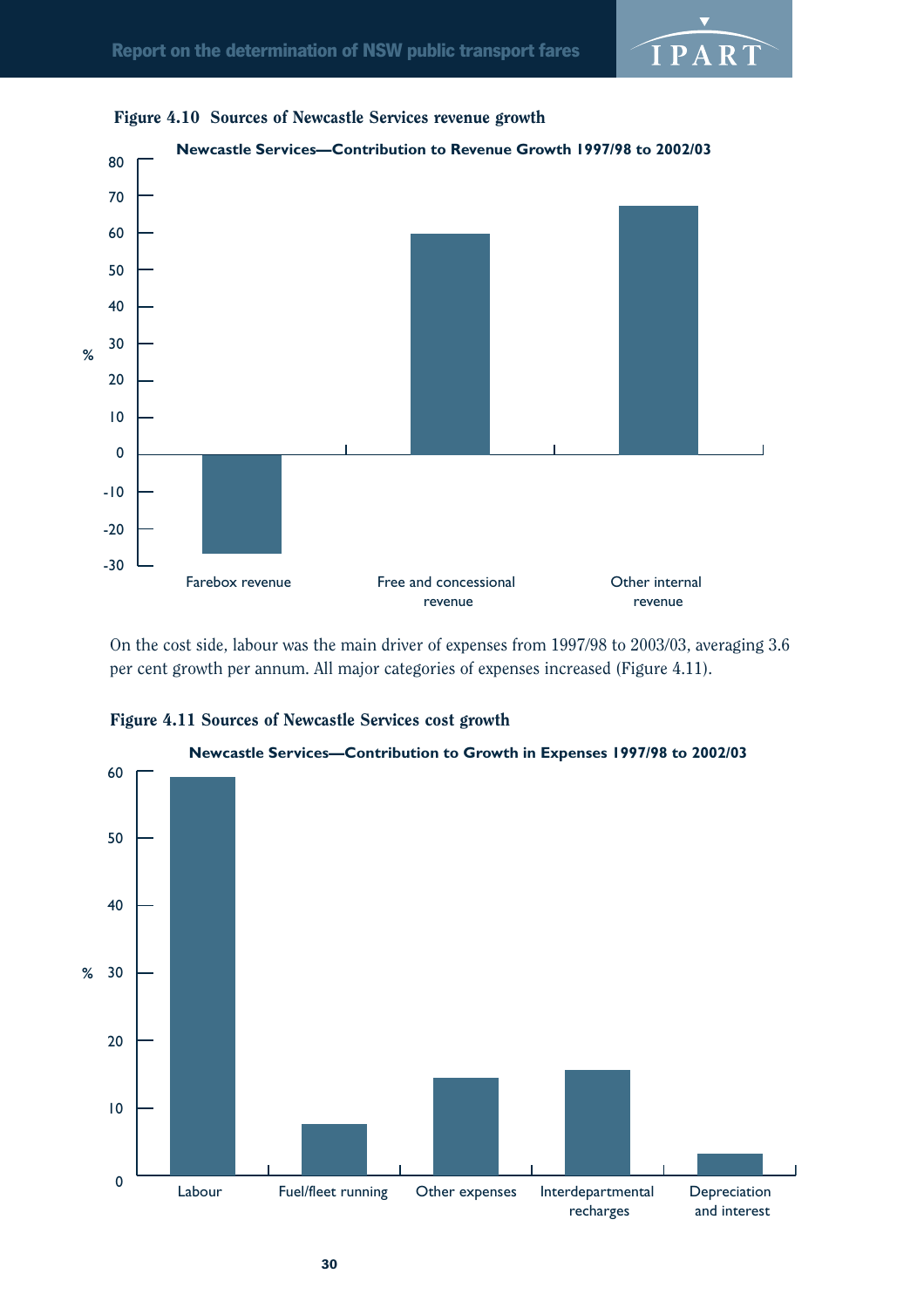![](_page_33_Figure_2.jpeg)

![](_page_33_Figure_3.jpeg)

On the cost side, labour was the main driver of expenses from 1997/98 to 2003/03, averaging 3.6 per cent growth per annum. All major categories of expenses increased (Figure 4.11).

![](_page_33_Figure_5.jpeg)

![](_page_33_Figure_6.jpeg)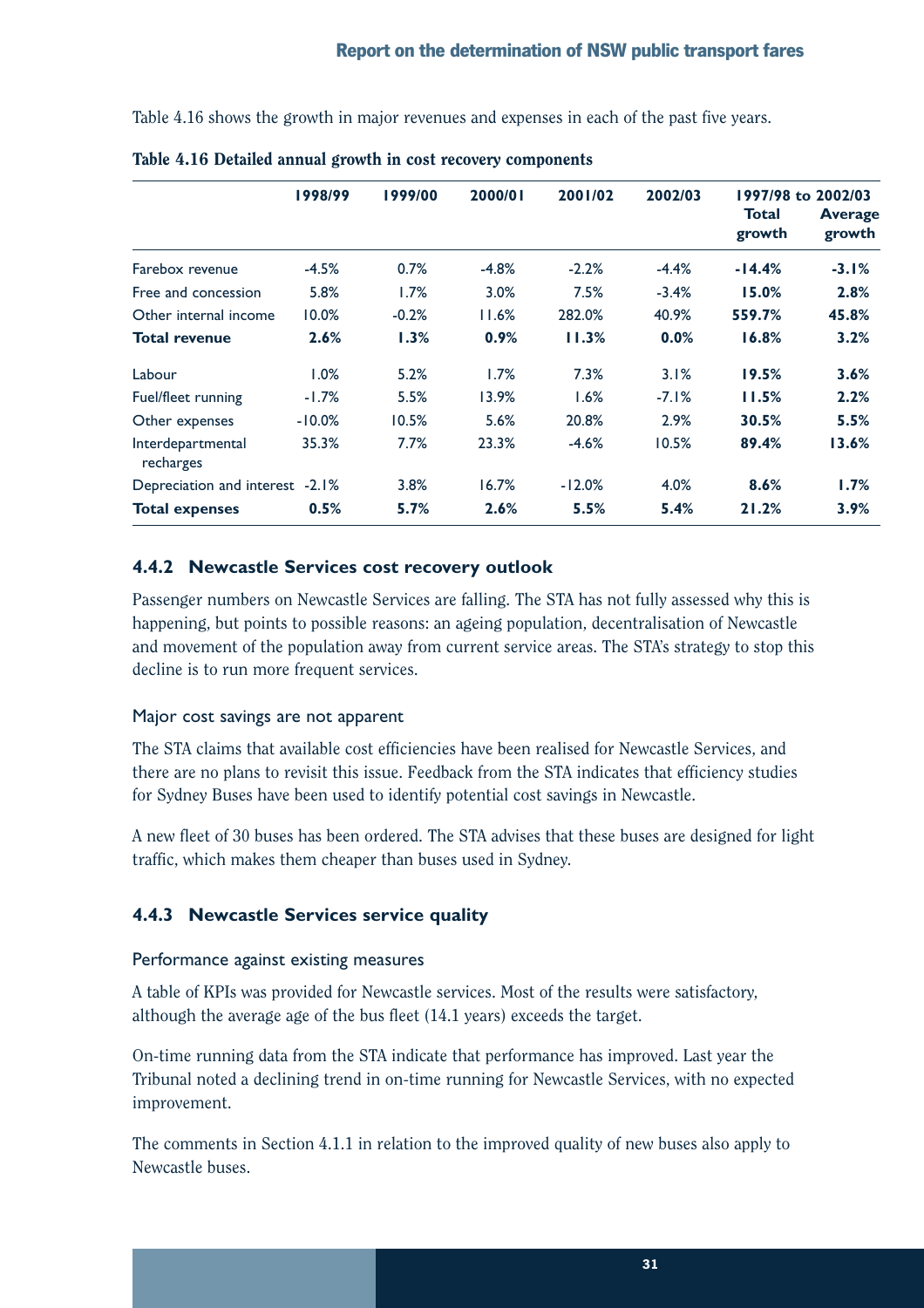Table 4.16 shows the growth in major revenues and expenses in each of the past five years.

|                                 | 1998/99   | 1999/00 | 2000/01 | 2001/02                | 2002/03                  |          | 1997/98 to 2002/03 |
|---------------------------------|-----------|---------|---------|------------------------|--------------------------|----------|--------------------|
|                                 |           |         |         | <b>Total</b><br>growth | <b>Average</b><br>growth |          |                    |
| Farebox revenue                 | $-4.5%$   | 0.7%    | $-4.8%$ | $-2.2%$                | $-4.4%$                  | $-14.4%$ | $-3.1%$            |
| Free and concession             | 5.8%      | 1.7%    | 3.0%    | 7.5%                   | $-3.4%$                  | 15.0%    | 2.8%               |
| Other internal income           | $10.0\%$  | $-0.2%$ | 11.6%   | 282.0%                 | 40.9%                    | 559.7%   | 45.8%              |
| Total revenue                   | 2.6%      | $1.3\%$ | 0.9%    | 11.3%                  | 0.0%                     | 16.8%    | 3.2%               |
| Labour                          | 1.0%      | 5.2%    | 1.7%    | 7.3%                   | 3.1%                     | 19.5%    | 3.6%               |
| Fuel/fleet running              | $-1.7%$   | 5.5%    | 13.9%   | 1.6%                   | $-7.1%$                  | 11.5%    | 2.2%               |
| Other expenses                  | $-10.0\%$ | 10.5%   | 5.6%    | 20.8%                  | 2.9%                     | 30.5%    | 5.5%               |
| Interdepartmental<br>recharges  | 35.3%     | 7.7%    | 23.3%   | $-4.6%$                | 10.5%                    | 89.4%    | 13.6%              |
| Depreciation and interest -2.1% |           | 3.8%    | 16.7%   | $-12.0%$               | 4.0%                     | 8.6%     | 1.7%               |
| <b>Total expenses</b>           | 0.5%      | 5.7%    | 2.6%    | 5.5%                   | 5.4%                     | 21.2%    | 3.9%               |

Table 4.16 Detailed annual growth in cost recovery components

### **4.4.2 Newcastle Services cost recovery outlook**

Passenger numbers on Newcastle Services are falling. The STA has not fully assessed why this is happening, but points to possible reasons: an ageing population, decentralisation of Newcastle and movement of the population away from current service areas. The STA's strategy to stop this decline is to run more frequent services.

#### Major cost savings are not apparent

The STA claims that available cost efficiencies have been realised for Newcastle Services, and there are no plans to revisit this issue. Feedback from the STA indicates that efficiency studies for Sydney Buses have been used to identify potential cost savings in Newcastle.

A new fleet of 30 buses has been ordered. The STA advises that these buses are designed for light traffic, which makes them cheaper than buses used in Sydney.

## **4.4.3 Newcastle Services service quality**

### Performance against existing measures

A table of KPIs was provided for Newcastle services. Most of the results were satisfactory, although the average age of the bus fleet (14.1 years) exceeds the target.

On-time running data from the STA indicate that performance has improved. Last year the Tribunal noted a declining trend in on-time running for Newcastle Services, with no expected improvement.

The comments in Section 4.1.1 in relation to the improved quality of new buses also apply to Newcastle buses.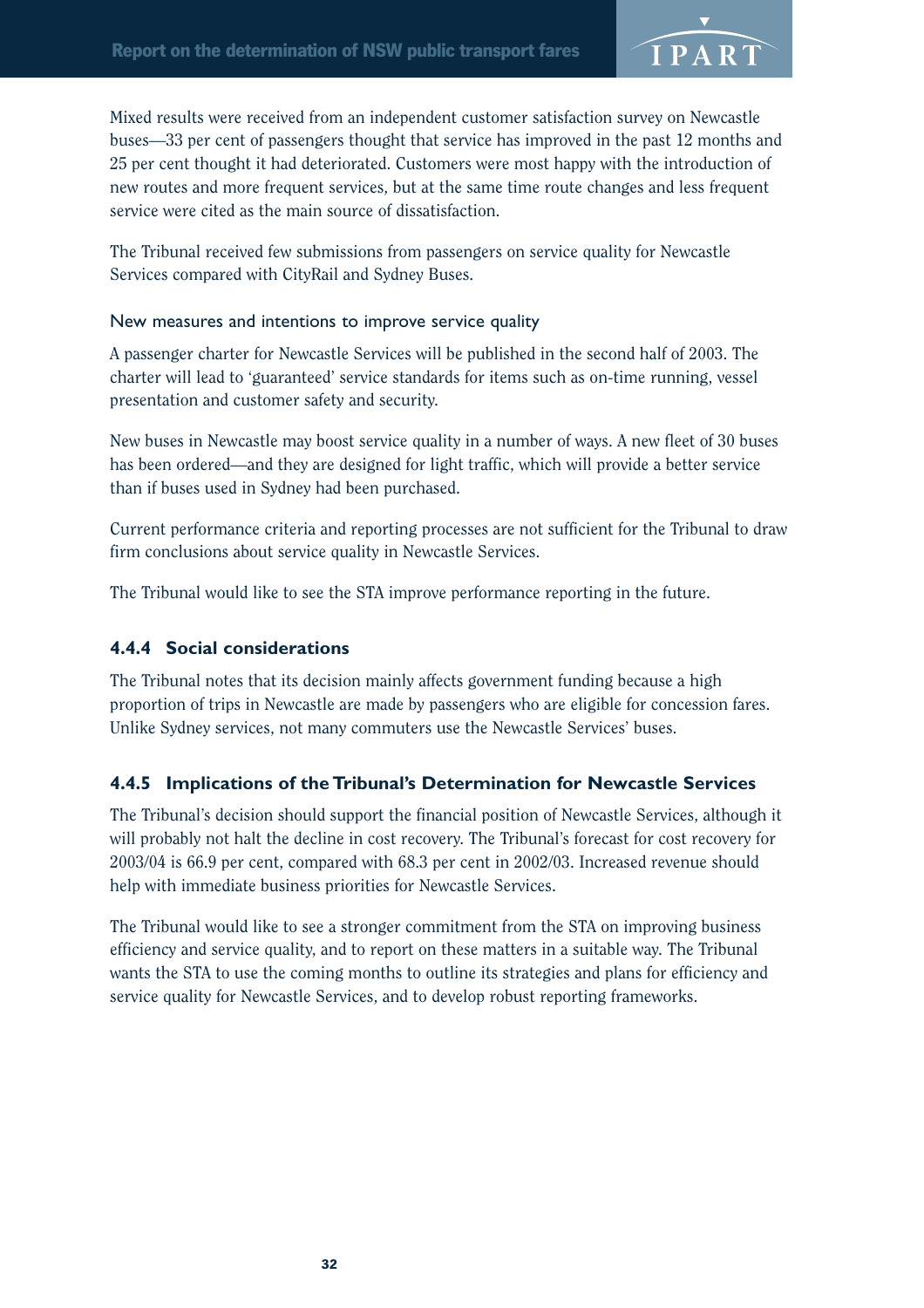![](_page_35_Picture_1.jpeg)

Mixed results were received from an independent customer satisfaction survey on Newcastle buses—33 per cent of passengers thought that service has improved in the past 12 months and 25 per cent thought it had deteriorated. Customers were most happy with the introduction of new routes and more frequent services, but at the same time route changes and less frequent service were cited as the main source of dissatisfaction.

The Tribunal received few submissions from passengers on service quality for Newcastle Services compared with CityRail and Sydney Buses.

#### New measures and intentions to improve service quality

A passenger charter for Newcastle Services will be published in the second half of 2003. The charter will lead to 'guaranteed' service standards for items such as on-time running, vessel presentation and customer safety and security.

New buses in Newcastle may boost service quality in a number of ways. A new fleet of 30 buses has been ordered—and they are designed for light traffic, which will provide a better service than if buses used in Sydney had been purchased.

Current performance criteria and reporting processes are not sufficient for the Tribunal to draw firm conclusions about service quality in Newcastle Services.

The Tribunal would like to see the STA improve performance reporting in the future.

### **4.4.4 Social considerations**

The Tribunal notes that its decision mainly affects government funding because a high proportion of trips in Newcastle are made by passengers who are eligible for concession fares. Unlike Sydney services, not many commuters use the Newcastle Services' buses.

### **4.4.5 Implications of the Tribunal's Determination for Newcastle Services**

The Tribunal's decision should support the financial position of Newcastle Services, although it will probably not halt the decline in cost recovery. The Tribunal's forecast for cost recovery for 2003/04 is 66.9 per cent, compared with 68.3 per cent in 2002/03. Increased revenue should help with immediate business priorities for Newcastle Services.

The Tribunal would like to see a stronger commitment from the STA on improving business efficiency and service quality, and to report on these matters in a suitable way. The Tribunal wants the STA to use the coming months to outline its strategies and plans for efficiency and service quality for Newcastle Services, and to develop robust reporting frameworks.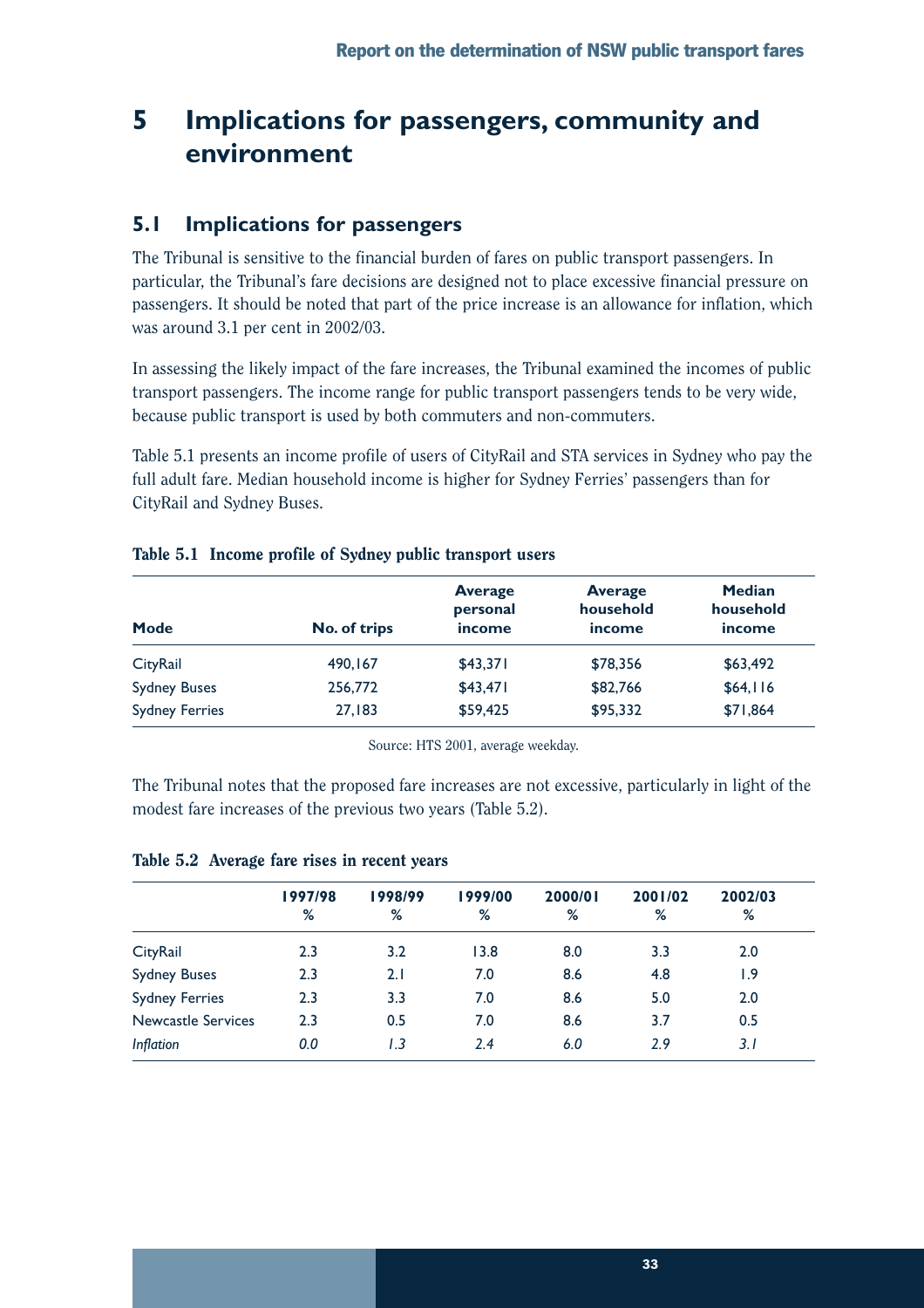## **5 Implications for passengers, community and environment**

## **5.1 Implications for passengers**

The Tribunal is sensitive to the financial burden of fares on public transport passengers. In particular, the Tribunal's fare decisions are designed not to place excessive financial pressure on passengers. It should be noted that part of the price increase is an allowance for inflation, which was around 3.1 per cent in 2002/03.

In assessing the likely impact of the fare increases, the Tribunal examined the incomes of public transport passengers. The income range for public transport passengers tends to be very wide, because public transport is used by both commuters and non-commuters.

Table 5.1 presents an income profile of users of CityRail and STA services in Sydney who pay the full adult fare. Median household income is higher for Sydney Ferries' passengers than for CityRail and Sydney Buses.

| <b>Mode</b>           | No. of trips | <b>Average</b><br>personal<br>income | <b>Average</b><br>household<br>income | <b>Median</b><br>household<br>income |
|-----------------------|--------------|--------------------------------------|---------------------------------------|--------------------------------------|
| CityRail              | 490,167      | \$43,371                             | \$78,356                              | \$63,492                             |
| <b>Sydney Buses</b>   | 256,772      | \$43,471                             | \$82,766                              | \$64,116                             |
| <b>Sydney Ferries</b> | 27,183       | \$59,425                             | \$95,332                              | \$71,864                             |

### Table 5.1 Income profile of Sydney public transport users

Source: HTS 2001, average weekday.

The Tribunal notes that the proposed fare increases are not excessive, particularly in light of the modest fare increases of the previous two years (Table 5.2).

|                           | 1997/98<br>% | 1998/99<br>% | 1999/00<br>% | 2000/01<br>% | 2001/02<br>% | 2002/03<br>% |
|---------------------------|--------------|--------------|--------------|--------------|--------------|--------------|
| CityRail                  | 2.3          | 3.2          | 13.8         | 8.0          | 3.3          | 2.0          |
| <b>Sydney Buses</b>       | 2.3          | 2.1          | 7.0          | 8.6          | 4.8          | 9. ا         |
| <b>Sydney Ferries</b>     | 2.3          | 3.3          | 7.0          | 8.6          | 5.0          | 2.0          |
| <b>Newcastle Services</b> | 2.3          | 0.5          | 7.0          | 8.6          | 3.7          | 0.5          |
| <b>Inflation</b>          | 0.0          | I.3          | 2.4          | 6.0          | 2.9          | 3. I         |

#### Table 5.2 Average fare rises in recent years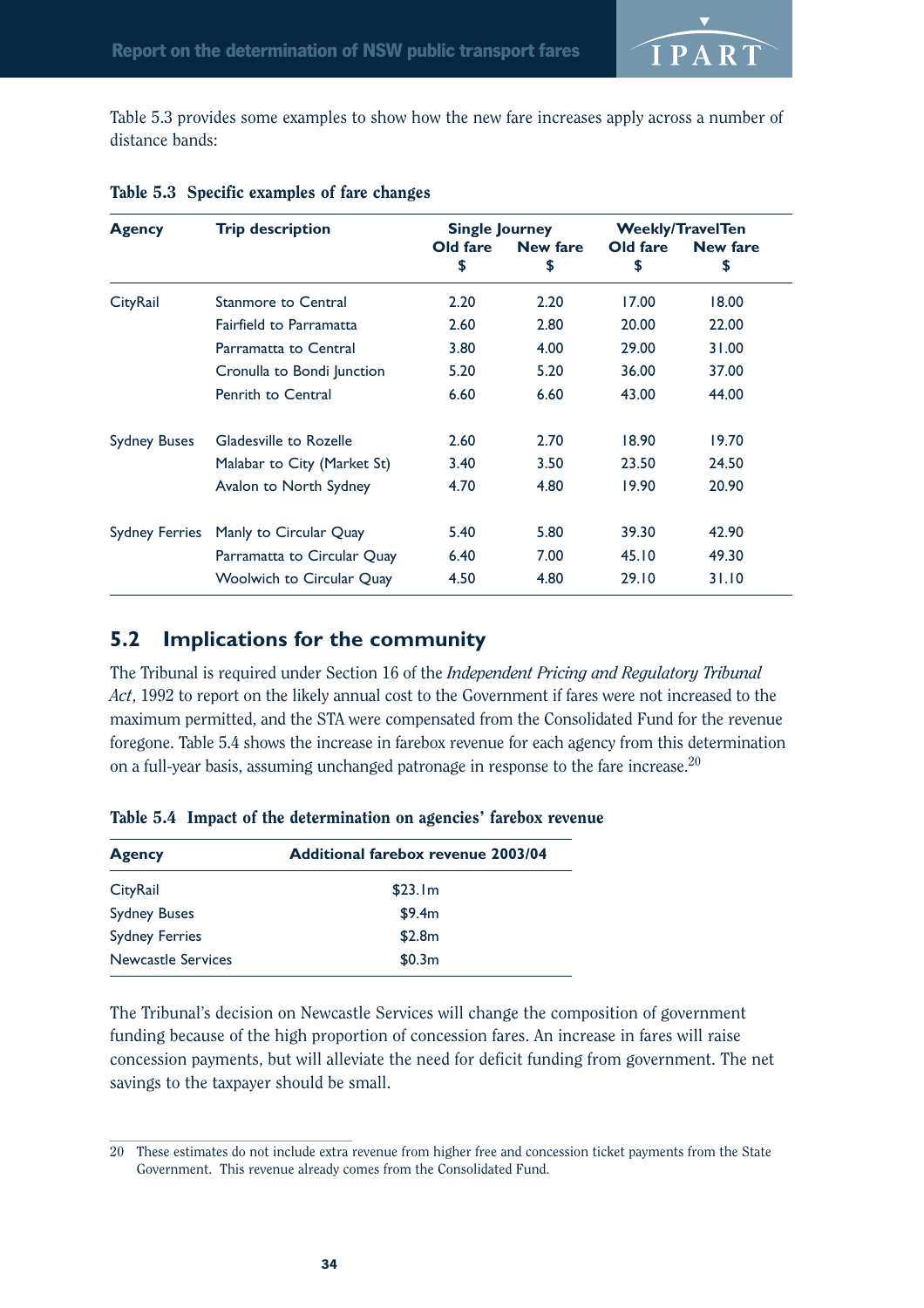Table 5.3 provides some examples to show how the new fare increases apply across a number of distance bands:

| <b>Agency</b>         | <b>Trip description</b>          | <b>Single Journey</b> |          | <b>Weekly/TravelTen</b> |                 |
|-----------------------|----------------------------------|-----------------------|----------|-------------------------|-----------------|
|                       |                                  | Old fare              | New fare | Old fare                | <b>New fare</b> |
|                       |                                  | \$                    | \$       | \$                      | \$              |
| CityRail              | Stanmore to Central              | 2.20                  | 2.20     | 17.00                   | 18.00           |
|                       | Fairfield to Parramatta          | 2.60                  | 2.80     | 20.00                   | 22.00           |
|                       | Parramatta to Central            | 3.80                  | 4.00     | 29.00                   | 31.00           |
|                       | Cronulla to Bondi Junction       | 5.20                  | 5.20     | 36.00                   | 37.00           |
|                       | Penrith to Central               | 6.60                  | 6.60     | 43.00                   | 44.00           |
| <b>Sydney Buses</b>   | Gladesville to Rozelle           | 2.60                  | 2.70     | 18.90                   | 19.70           |
|                       | Malabar to City (Market St)      | 3.40                  | 3.50     | 23.50                   | 24.50           |
|                       | Avalon to North Sydney           | 4.70                  | 4.80     | 19.90                   | 20.90           |
| <b>Sydney Ferries</b> | Manly to Circular Quay           | 5.40                  | 5.80     | 39.30                   | 42.90           |
|                       | Parramatta to Circular Quay      | 6.40                  | 7.00     | 45.10                   | 49.30           |
|                       | <b>Woolwich to Circular Quay</b> | 4.50                  | 4.80     | 29.10                   | 31.10           |

#### Table 5.3 Specific examples of fare changes

## **5.2 Implications for the community**

The Tribunal is required under Section 16 of the *Independent Pricing and Regulatory Tribunal Act*, 1992 to report on the likely annual cost to the Government if fares were not increased to the maximum permitted, and the STA were compensated from the Consolidated Fund for the revenue foregone. Table 5.4 shows the increase in farebox revenue for each agency from this determination on a full-year basis, assuming unchanged patronage in response to the fare increase.20

| <b>Agency</b>             | <b>Additional farebox revenue 2003/04</b> |
|---------------------------|-------------------------------------------|
| CityRail                  | \$23.1m                                   |
| <b>Sydney Buses</b>       | \$9.4m                                    |
| <b>Sydney Ferries</b>     | \$2.8m                                    |
| <b>Newcastle Services</b> | \$0.3m                                    |

|  |  |  | Table 5.4 Impact of the determination on agencies' farebox revenue |  |  |  |  |
|--|--|--|--------------------------------------------------------------------|--|--|--|--|
|--|--|--|--------------------------------------------------------------------|--|--|--|--|

The Tribunal's decision on Newcastle Services will change the composition of government funding because of the high proportion of concession fares. An increase in fares will raise concession payments, but will alleviate the need for deficit funding from government. The net savings to the taxpayer should be small.

<sup>20</sup> These estimates do not include extra revenue from higher free and concession ticket payments from the State Government. This revenue already comes from the Consolidated Fund.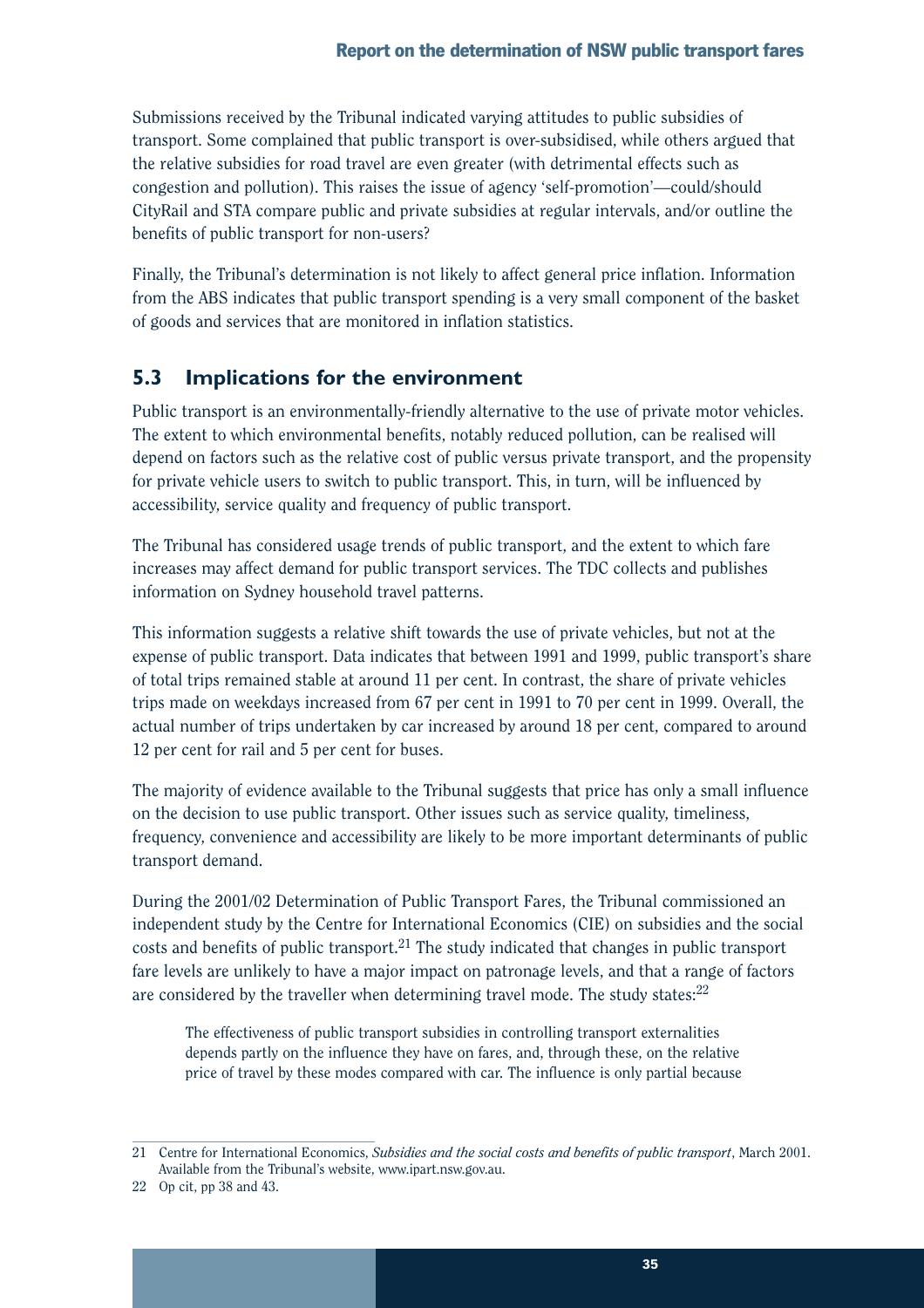Submissions received by the Tribunal indicated varying attitudes to public subsidies of transport. Some complained that public transport is over-subsidised, while others argued that the relative subsidies for road travel are even greater (with detrimental effects such as congestion and pollution). This raises the issue of agency 'self-promotion'—could/should CityRail and STA compare public and private subsidies at regular intervals, and/or outline the benefits of public transport for non-users?

Finally, the Tribunal's determination is not likely to affect general price inflation. Information from the ABS indicates that public transport spending is a very small component of the basket of goods and services that are monitored in inflation statistics.

## **5.3 Implications for the environment**

Public transport is an environmentally-friendly alternative to the use of private motor vehicles. The extent to which environmental benefits, notably reduced pollution, can be realised will depend on factors such as the relative cost of public versus private transport, and the propensity for private vehicle users to switch to public transport. This, in turn, will be influenced by accessibility, service quality and frequency of public transport.

The Tribunal has considered usage trends of public transport, and the extent to which fare increases may affect demand for public transport services. The TDC collects and publishes information on Sydney household travel patterns.

This information suggests a relative shift towards the use of private vehicles, but not at the expense of public transport. Data indicates that between 1991 and 1999, public transport's share of total trips remained stable at around 11 per cent. In contrast, the share of private vehicles trips made on weekdays increased from 67 per cent in 1991 to 70 per cent in 1999. Overall, the actual number of trips undertaken by car increased by around 18 per cent, compared to around 12 per cent for rail and 5 per cent for buses.

The majority of evidence available to the Tribunal suggests that price has only a small influence on the decision to use public transport. Other issues such as service quality, timeliness, frequency, convenience and accessibility are likely to be more important determinants of public transport demand.

During the 2001/02 Determination of Public Transport Fares, the Tribunal commissioned an independent study by the Centre for International Economics (CIE) on subsidies and the social costs and benefits of public transport.<sup>21</sup> The study indicated that changes in public transport fare levels are unlikely to have a major impact on patronage levels, and that a range of factors are considered by the traveller when determining travel mode. The study states: $22$ 

The effectiveness of public transport subsidies in controlling transport externalities depends partly on the influence they have on fares, and, through these, on the relative price of travel by these modes compared with car. The influence is only partial because

<sup>21</sup> Centre for International Economics, *Subsidies and the social costs and benefits of public transport*, March 2001. Available from the Tribunal's website, www.ipart.nsw.gov.au.

<sup>22</sup> Op cit, pp 38 and 43.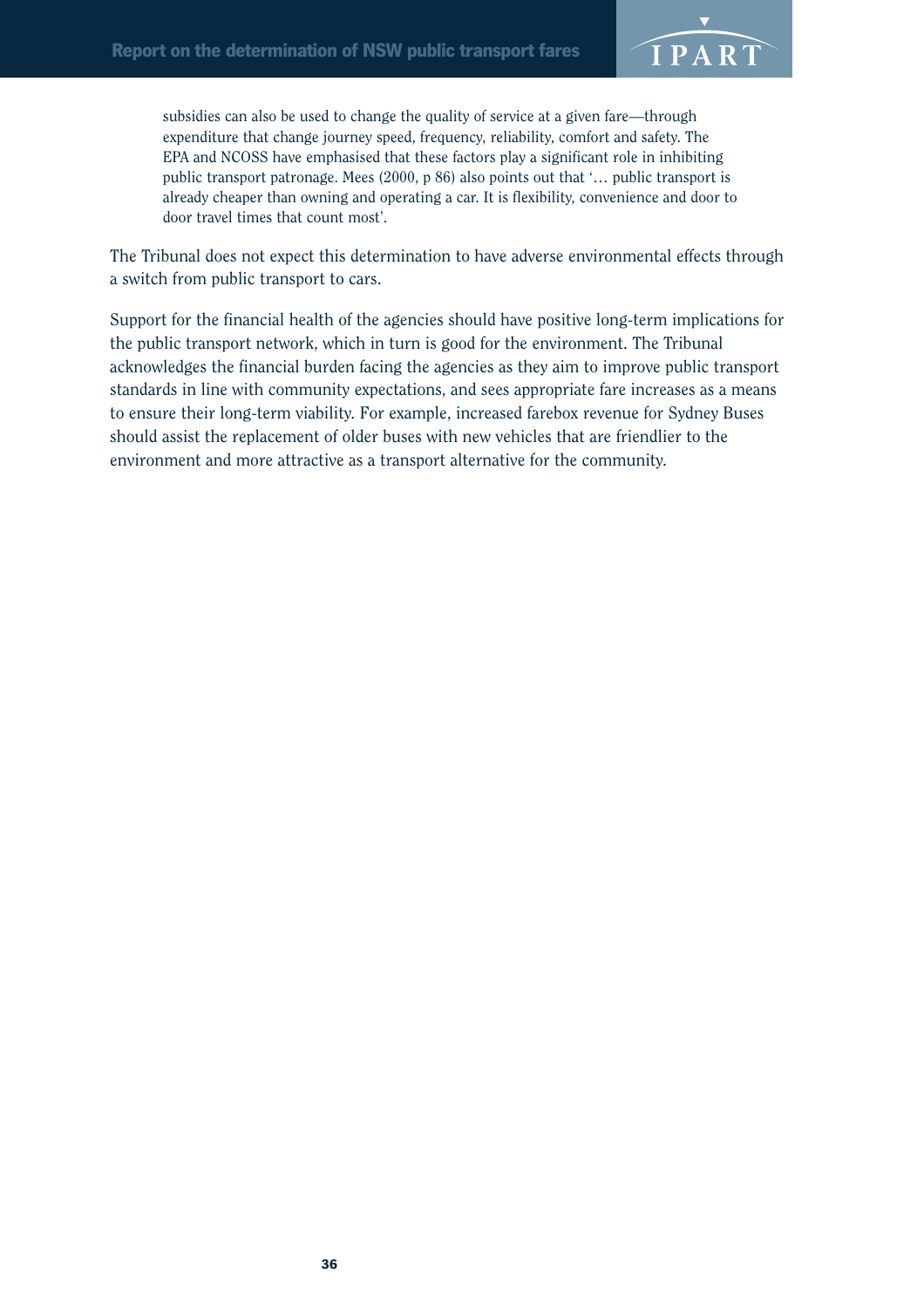![](_page_39_Picture_1.jpeg)

subsidies can also be used to change the quality of service at a given fare—through expenditure that change journey speed, frequency, reliability, comfort and safety. The EPA and NCOSS have emphasised that these factors play a significant role in inhibiting public transport patronage. Mees (2000, p 86) also points out that '… public transport is already cheaper than owning and operating a car. It is flexibility, convenience and door to door travel times that count most'.

The Tribunal does not expect this determination to have adverse environmental effects through a switch from public transport to cars.

Support for the financial health of the agencies should have positive long-term implications for the public transport network, which in turn is good for the environment. The Tribunal acknowledges the financial burden facing the agencies as they aim to improve public transport standards in line with community expectations, and sees appropriate fare increases as a means to ensure their long-term viability. For example, increased farebox revenue for Sydney Buses should assist the replacement of older buses with new vehicles that are friendlier to the environment and more attractive as a transport alternative for the community.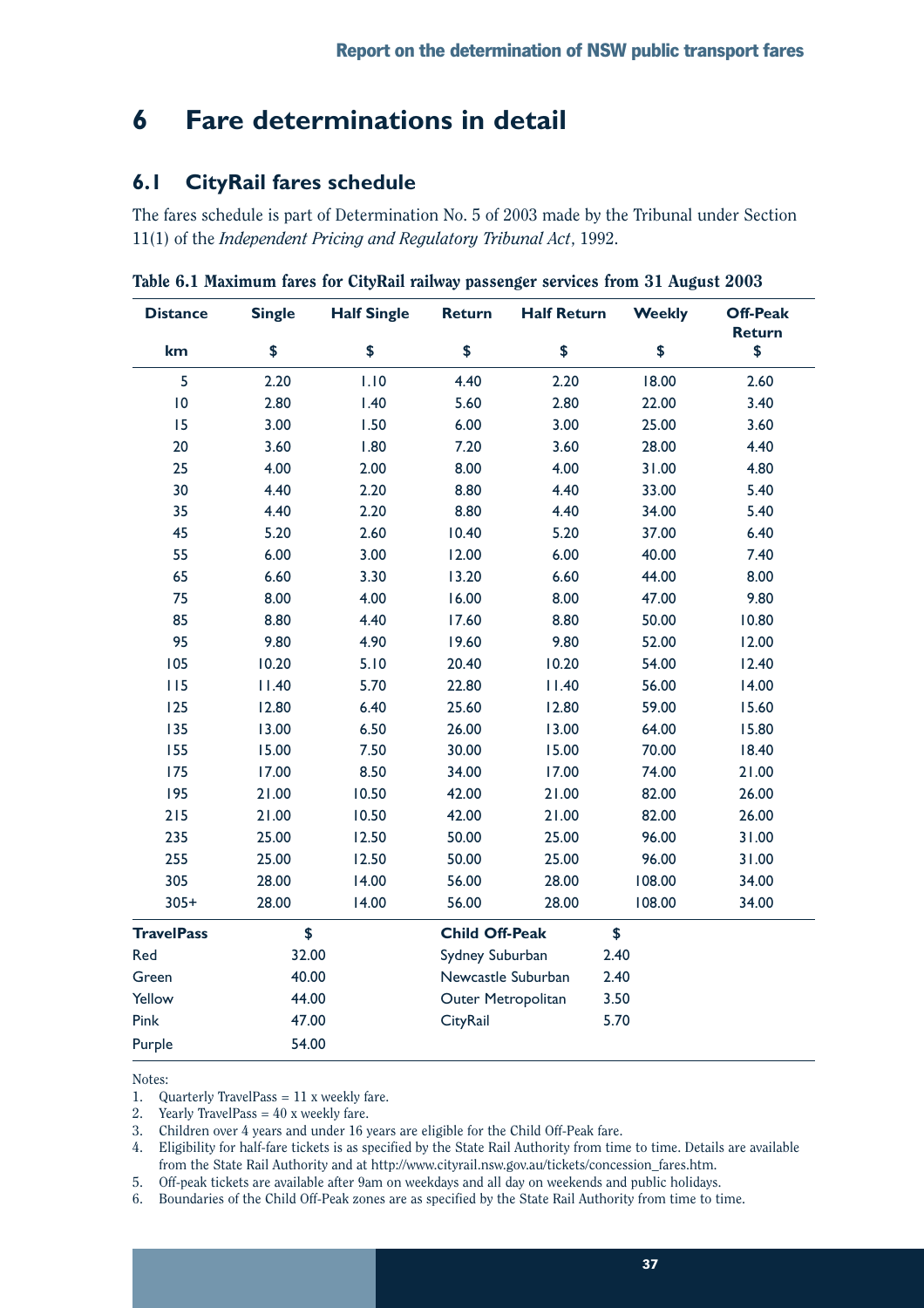## **6 Fare determinations in detail**

## **6.1 CityRail fares schedule**

The fares schedule is part of Determination No. 5 of 2003 made by the Tribunal under Section 11(1) of the *Independent Pricing and Regulatory Tribunal Act*, 1992.

| <b>Distance</b>   | <b>Single</b>            | <b>Half Single</b> | <b>Return</b>         | <b>Half Return</b> | <b>Weekly</b> | <b>Off-Peak</b><br><b>Return</b> |
|-------------------|--------------------------|--------------------|-----------------------|--------------------|---------------|----------------------------------|
| km                | \$                       | \$                 | \$                    | \$                 | \$            | \$                               |
| 5                 | 2.20                     | 1.10               | 4.40                  | 2.20               | 18.00         | 2.60                             |
| 10                | 2.80                     | 1.40               | 5.60                  | 2.80               | 22.00         | 3.40                             |
| 15                | 3.00                     | 1.50               | 6.00                  | 3.00               | 25.00         | 3.60                             |
| 20                | 3.60                     | 1.80               | 7.20                  | 3.60               | 28.00         | 4.40                             |
| 25                | 4.00                     | 2.00               | 8.00                  | 4.00               | 31.00         | 4.80                             |
| 30                | 4.40                     | 2.20               | 8.80                  | 4.40               | 33.00         | 5.40                             |
| 35                | 4.40                     | 2.20               | 8.80                  | 4.40               | 34.00         | 5.40                             |
| 45                | 5.20                     | 2.60               | 10.40                 | 5.20               | 37.00         | 6.40                             |
| 55                | 6.00                     | 3.00               | 12.00                 | 6.00               | 40.00         | 7.40                             |
| 65                | 6.60                     | 3.30               | 13.20                 | 6.60               | 44.00         | 8.00                             |
| 75                | 8.00                     | 4.00               | 16.00                 | 8.00               | 47.00         | 9.80                             |
| 85                | 8.80                     | 4.40               | 17.60                 | 8.80               | 50.00         | 10.80                            |
| 95                | 9.80                     | 4.90               | 19.60                 | 9.80               | 52.00         | 12.00                            |
| 105               | 10.20                    | 5.10               | 20.40                 | 10.20              | 54.00         | 12.40                            |
| 115               | 11.40                    | 5.70               | 22.80                 | 11.40              | 56.00         | 14.00                            |
| 125               | 12.80                    | 6.40               | 25.60                 | 12.80              | 59.00         | 15.60                            |
| 135               | 13.00                    | 6.50               | 26.00                 | 13.00              | 64.00         | 15.80                            |
| 155               | 15.00                    | 7.50               | 30.00                 | 15.00              | 70.00         | 18.40                            |
| 175               | 17.00                    | 8.50               | 34.00                 | 17.00              | 74.00         | 21.00                            |
| 195               | 21.00                    | 10.50              | 42.00                 | 21.00              | 82.00         | 26.00                            |
| 215               | 21.00                    | 10.50              | 42.00                 | 21.00              | 82.00         | 26.00                            |
| 235               | 25.00                    | 12.50              | 50.00                 | 25.00              | 96.00         | 31.00                            |
| 255               | 25.00                    | 12.50              | 50.00                 | 25.00              | 96.00         | 31.00                            |
| 305               | 28.00                    | 14.00              | 56.00                 | 28.00              | 108.00        | 34.00                            |
| $305+$            | 28.00                    | 14.00              | 56.00                 | 28.00              | 108.00        | 34.00                            |
| <b>TravelPass</b> | \$                       |                    | <b>Child Off-Peak</b> |                    | \$            |                                  |
| Red               | 32.00<br>Sydney Suburban |                    |                       | 2.40               |               |                                  |
| Green             | 40.00                    |                    | Newcastle Suburban    |                    | 2.40          |                                  |
| Yellow            | 44.00                    |                    | Outer Metropolitan    |                    | 3.50          |                                  |
| Pink              | 47.00                    |                    | CityRail              |                    | 5.70          |                                  |
| Purple            | 54.00                    |                    |                       |                    |               |                                  |

Table 6.1 Maximum fares for CityRail railway passenger services from 31 August 2003

Notes:

1. Quarterly TravelPass = 11 x weekly fare.

2. Yearly TravelPass =  $40x$  weekly fare.

3. Children over 4 years and under 16 years are eligible for the Child Off-Peak fare.

4. Eligibility for half-fare tickets is as specified by the State Rail Authority from time to time. Details are available from the State Rail Authority and at http://www.cityrail.nsw.gov.au/tickets/concession\_fares.htm.

5. Off-peak tickets are available after 9am on weekdays and all day on weekends and public holidays.

6. Boundaries of the Child Off-Peak zones are as specified by the State Rail Authority from time to time.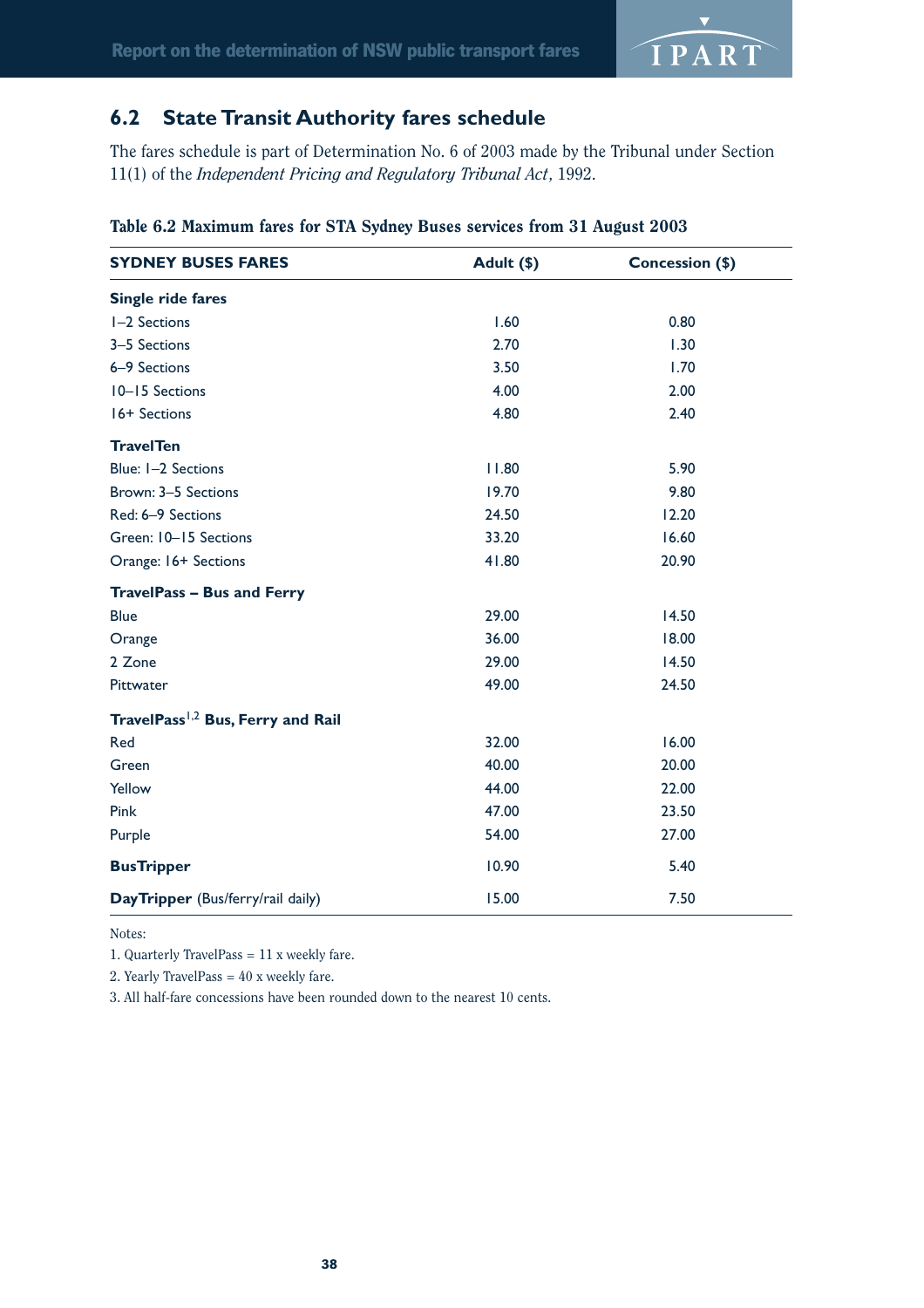![](_page_41_Picture_1.jpeg)

## **6.2 State Transit Authority fares schedule**

The fares schedule is part of Determination No. 6 of 2003 made by the Tribunal under Section 11(1) of the *Independent Pricing and Regulatory Tribunal Act*, 1992.

| <b>SYDNEY BUSES FARES</b>                     | Adult (\$) | Concession (\$) |  |
|-----------------------------------------------|------------|-----------------|--|
| Single ride fares                             |            |                 |  |
| I-2 Sections                                  | 1.60       | 0.80            |  |
| 3-5 Sections                                  | 2.70       | 1.30            |  |
| 6-9 Sections                                  | 3.50       | 1.70            |  |
| 10-15 Sections                                | 4.00       | 2.00            |  |
| 16+ Sections                                  | 4.80       | 2.40            |  |
| <b>TravelTen</b>                              |            |                 |  |
| Blue: I-2 Sections                            | 11.80      | 5.90            |  |
| Brown: 3-5 Sections                           | 19.70      | 9.80            |  |
| Red: 6-9 Sections                             | 24.50      | 12.20           |  |
| Green: 10-15 Sections                         | 33.20      | 16.60           |  |
| Orange: 16+ Sections                          | 41.80      | 20.90           |  |
| <b>TravelPass - Bus and Ferry</b>             |            |                 |  |
| <b>Blue</b>                                   | 29.00      | 14.50           |  |
| Orange                                        | 36.00      | 18.00           |  |
| 2 Zone                                        | 29.00      | 14.50           |  |
| Pittwater                                     | 49.00      | 24.50           |  |
| TravelPass <sup>1,2</sup> Bus, Ferry and Rail |            |                 |  |
| Red                                           | 32.00      | 16.00           |  |
| Green                                         | 40.00      | 20.00           |  |
| Yellow                                        | 44.00      | 22.00           |  |
| Pink                                          | 47.00      | 23.50           |  |
| Purple                                        | 54.00      | 27.00           |  |
| <b>BusTripper</b>                             | 10.90      | 5.40            |  |
| DayTripper (Bus/ferry/rail daily)             | 15.00      | 7.50            |  |

Table 6.2 Maximum fares for STA Sydney Buses services from 31 August 2003

Notes:

1. Quarterly TravelPass = 11 x weekly fare.

2. Yearly TravelPass  $= 40$  x weekly fare.

3. All half-fare concessions have been rounded down to the nearest 10 cents.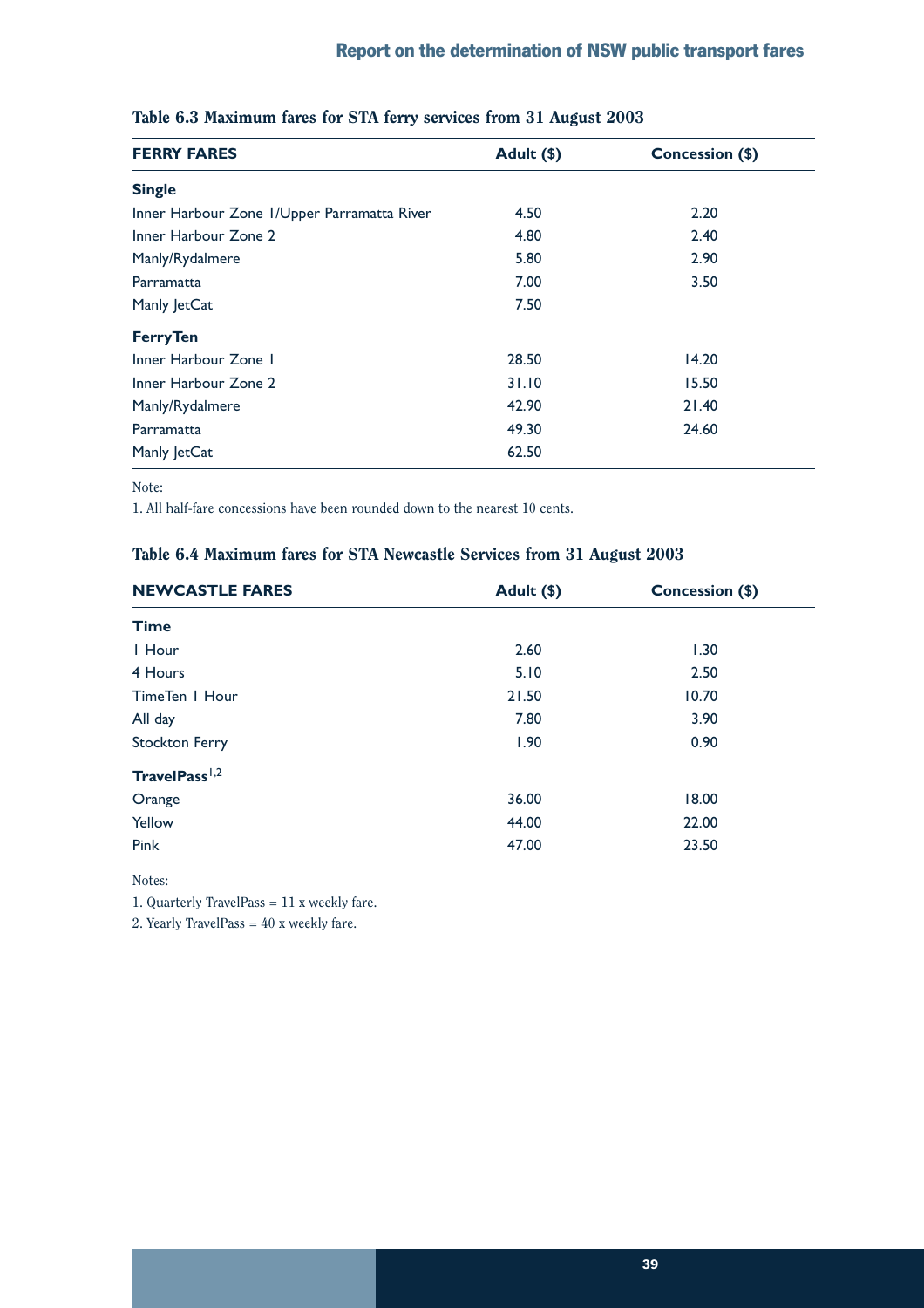| <b>FERRY FARES</b>                          | Adult (\$) | Concession (\$) |
|---------------------------------------------|------------|-----------------|
| <b>Single</b>                               |            |                 |
| Inner Harbour Zone I/Upper Parramatta River | 4.50       | 2.20            |
| Inner Harbour Zone 2                        | 4.80       | 2.40            |
| Manly/Rydalmere                             | 5.80       | 2.90            |
| Parramatta                                  | 7.00       | 3.50            |
| Manly JetCat                                | 7.50       |                 |
| <b>Ferry Ten</b>                            |            |                 |
| Inner Harbour Zone I                        | 28.50      | 14.20           |
| Inner Harbour Zone 2                        | 31.10      | 15.50           |
| Manly/Rydalmere                             | 42.90      | 21.40           |
| Parramatta                                  | 49.30      | 24.60           |
| Manly JetCat                                | 62.50      |                 |

### Table 6.3 Maximum fares for STA ferry services from 31 August 2003

Note:

1. All half-fare concessions have been rounded down to the nearest 10 cents.

### Table 6.4 Maximum fares for STA Newcastle Services from 31 August 2003

| <b>NEWCASTLE FARES</b>    | Adult (\$) | Concession (\$) |
|---------------------------|------------|-----------------|
| <b>Time</b>               |            |                 |
| I Hour                    | 2.60       | 1.30            |
| 4 Hours                   | 5.10       | 2.50            |
| TimeTen   Hour            | 21.50      | 10.70           |
| All day                   | 7.80       | 3.90            |
| <b>Stockton Ferry</b>     | 1.90       | 0.90            |
| TravelPass <sup>1,2</sup> |            |                 |
| Orange                    | 36.00      | 18.00           |
| Yellow                    | 44.00      | 22.00           |
| Pink                      | 47.00      | 23.50           |

Notes:

1. Quarterly TravelPass = 11 x weekly fare.

2. Yearly TravelPass = 40 x weekly fare.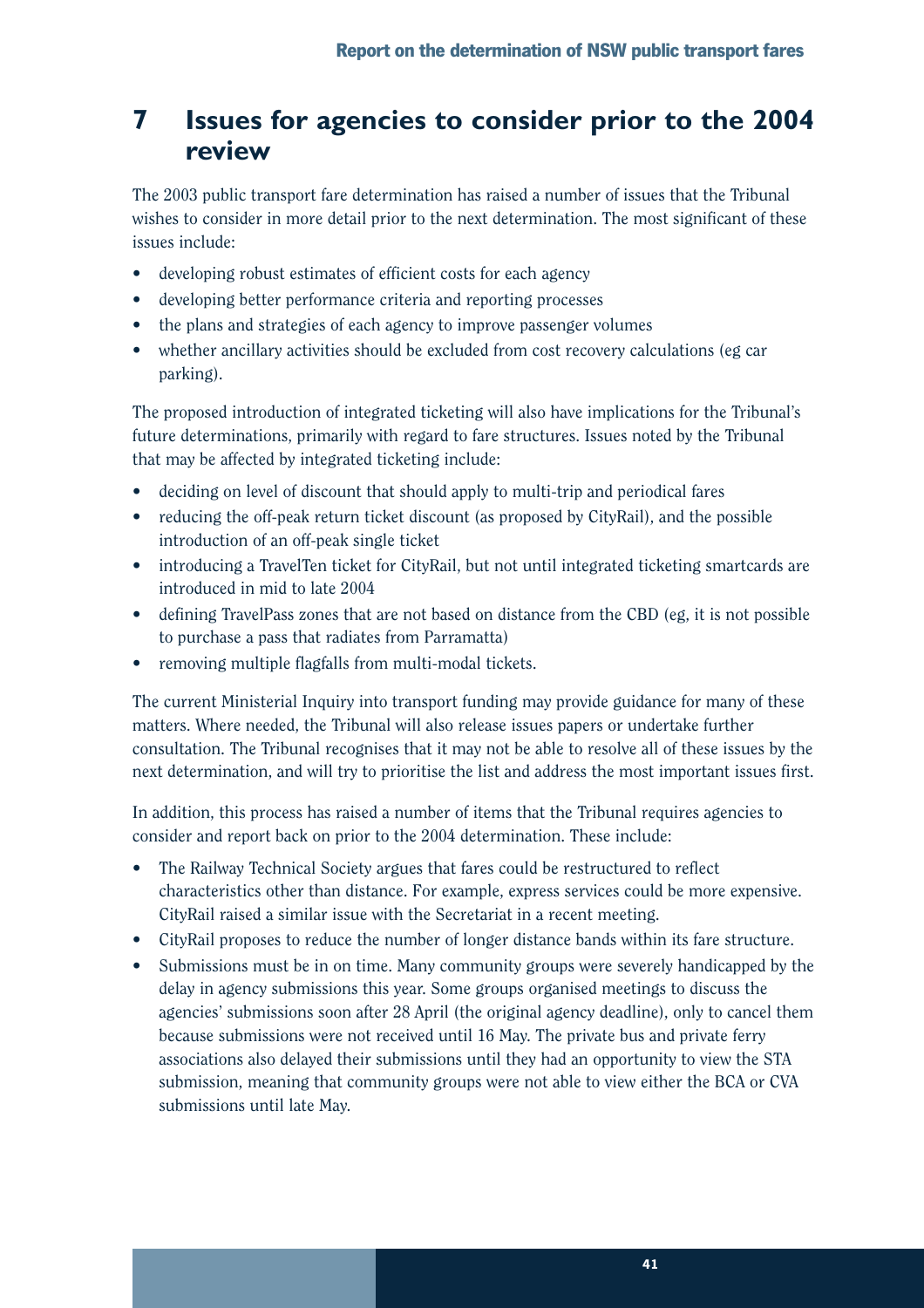## **7 Issues for agencies to consider prior to the 2004 review**

The 2003 public transport fare determination has raised a number of issues that the Tribunal wishes to consider in more detail prior to the next determination. The most significant of these issues include:

- developing robust estimates of efficient costs for each agency
- developing better performance criteria and reporting processes
- the plans and strategies of each agency to improve passenger volumes
- whether ancillary activities should be excluded from cost recovery calculations (eg car parking).

The proposed introduction of integrated ticketing will also have implications for the Tribunal's future determinations, primarily with regard to fare structures. Issues noted by the Tribunal that may be affected by integrated ticketing include:

- deciding on level of discount that should apply to multi-trip and periodical fares
- reducing the off-peak return ticket discount (as proposed by CityRail), and the possible introduction of an off-peak single ticket
- introducing a TravelTen ticket for CityRail, but not until integrated ticketing smartcards are introduced in mid to late 2004
- defining TravelPass zones that are not based on distance from the CBD (eg, it is not possible to purchase a pass that radiates from Parramatta)
- removing multiple flagfalls from multi-modal tickets.

The current Ministerial Inquiry into transport funding may provide guidance for many of these matters. Where needed, the Tribunal will also release issues papers or undertake further consultation. The Tribunal recognises that it may not be able to resolve all of these issues by the next determination, and will try to prioritise the list and address the most important issues first.

In addition, this process has raised a number of items that the Tribunal requires agencies to consider and report back on prior to the 2004 determination. These include:

- The Railway Technical Society argues that fares could be restructured to reflect characteristics other than distance. For example, express services could be more expensive. CityRail raised a similar issue with the Secretariat in a recent meeting.
- CityRail proposes to reduce the number of longer distance bands within its fare structure.
- Submissions must be in on time. Many community groups were severely handicapped by the delay in agency submissions this year. Some groups organised meetings to discuss the agencies' submissions soon after 28 April (the original agency deadline), only to cancel them because submissions were not received until 16 May. The private bus and private ferry associations also delayed their submissions until they had an opportunity to view the STA submission, meaning that community groups were not able to view either the BCA or CVA submissions until late May.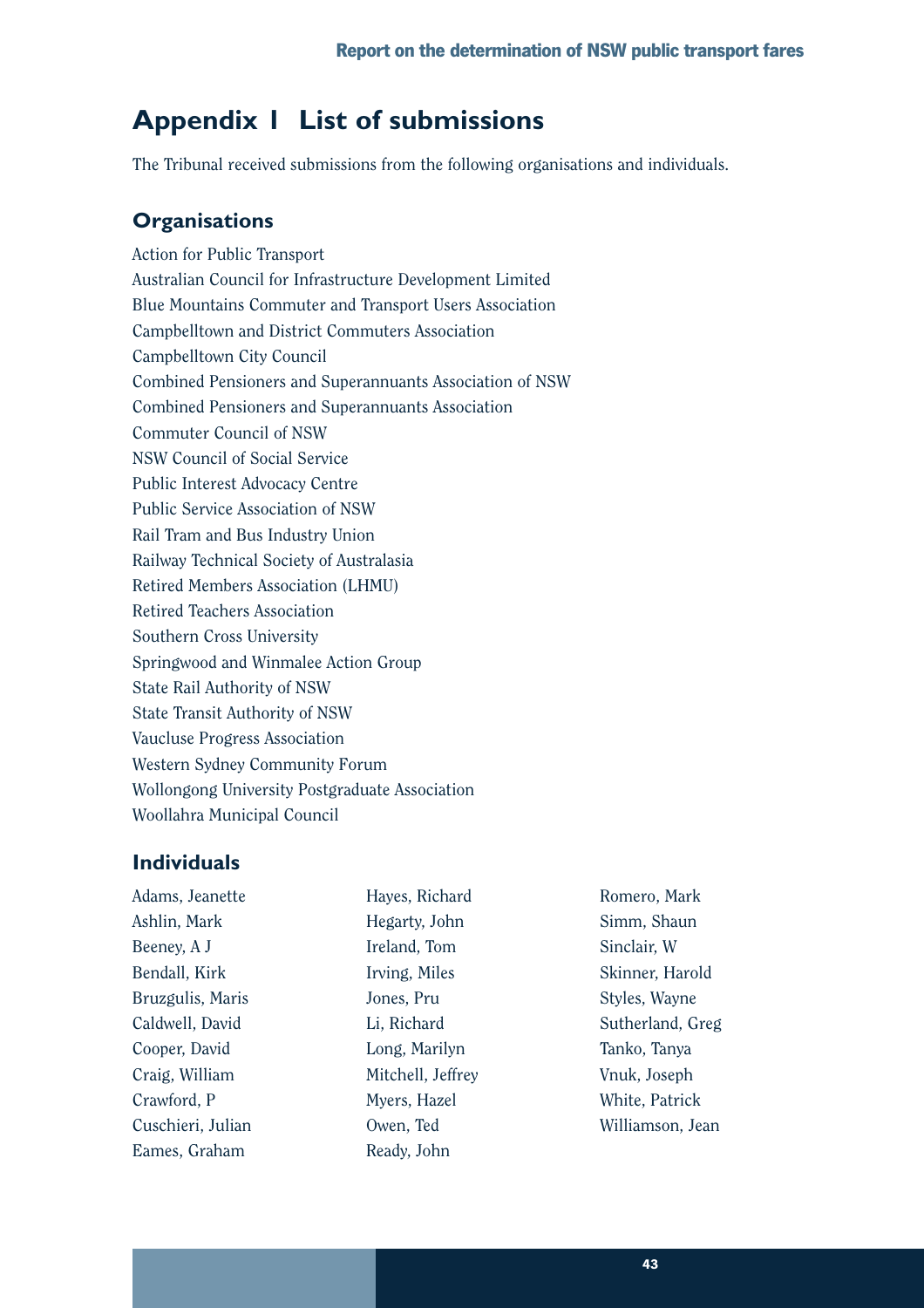## **Appendix 1 List of submissions**

The Tribunal received submissions from the following organisations and individuals.

## **Organisations**

Action for Public Transport Australian Council for Infrastructure Development Limited Blue Mountains Commuter and Transport Users Association Campbelltown and District Commuters Association Campbelltown City Council Combined Pensioners and Superannuants Association of NSW Combined Pensioners and Superannuants Association Commuter Council of NSW NSW Council of Social Service Public Interest Advocacy Centre Public Service Association of NSW Rail Tram and Bus Industry Union Railway Technical Society of Australasia Retired Members Association (LHMU) Retired Teachers Association Southern Cross University Springwood and Winmalee Action Group State Rail Authority of NSW State Transit Authority of NSW Vaucluse Progress Association Western Sydney Community Forum Wollongong University Postgraduate Association Woollahra Municipal Council

## **Individuals**

| Adams, Jeanette   | Hayes, Richard    | Romero, Mark     |
|-------------------|-------------------|------------------|
| Ashlin, Mark      | Hegarty, John     | Simm, Shaun      |
| Beeney, A J       | Ireland, Tom      | Sinclair, W      |
| Bendall, Kirk     | Irving, Miles     | Skinner, Harold  |
| Bruzgulis, Maris  | Jones, Pru        | Styles, Wayne    |
| Caldwell, David   | Li, Richard       | Sutherland, Greg |
| Cooper, David     | Long, Marilyn     | Tanko, Tanya     |
| Craig, William    | Mitchell, Jeffrey | Vnuk, Joseph     |
| Crawford, P       | Myers, Hazel      | White, Patrick   |
| Cuschieri, Julian | Owen, Ted         | Williamson, Jean |
| Eames, Graham     | Ready, John       |                  |
|                   |                   |                  |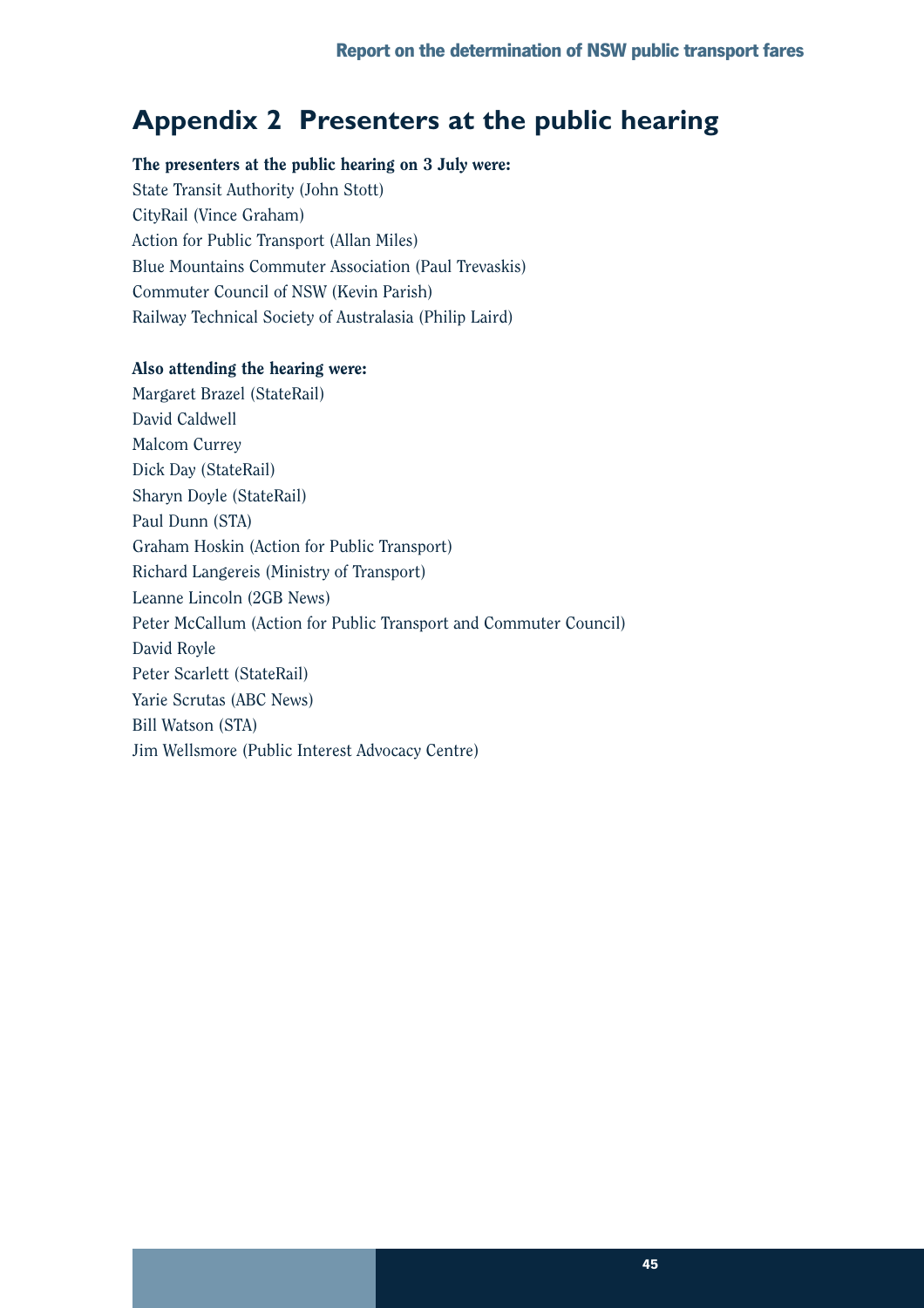## **Appendix 2 Presenters at the public hearing**

### The presenters at the public hearing on 3 July were:

State Transit Authority (John Stott) CityRail (Vince Graham) Action for Public Transport (Allan Miles) Blue Mountains Commuter Association (Paul Trevaskis) Commuter Council of NSW (Kevin Parish) Railway Technical Society of Australasia (Philip Laird)

### Also attending the hearing were:

Margaret Brazel (StateRail) David Caldwell Malcom Currey Dick Day (StateRail) Sharyn Doyle (StateRail) Paul Dunn (STA) Graham Hoskin (Action for Public Transport) Richard Langereis (Ministry of Transport) Leanne Lincoln (2GB News) Peter McCallum (Action for Public Transport and Commuter Council) David Royle Peter Scarlett (StateRail) Yarie Scrutas (ABC News) Bill Watson (STA) Jim Wellsmore (Public Interest Advocacy Centre)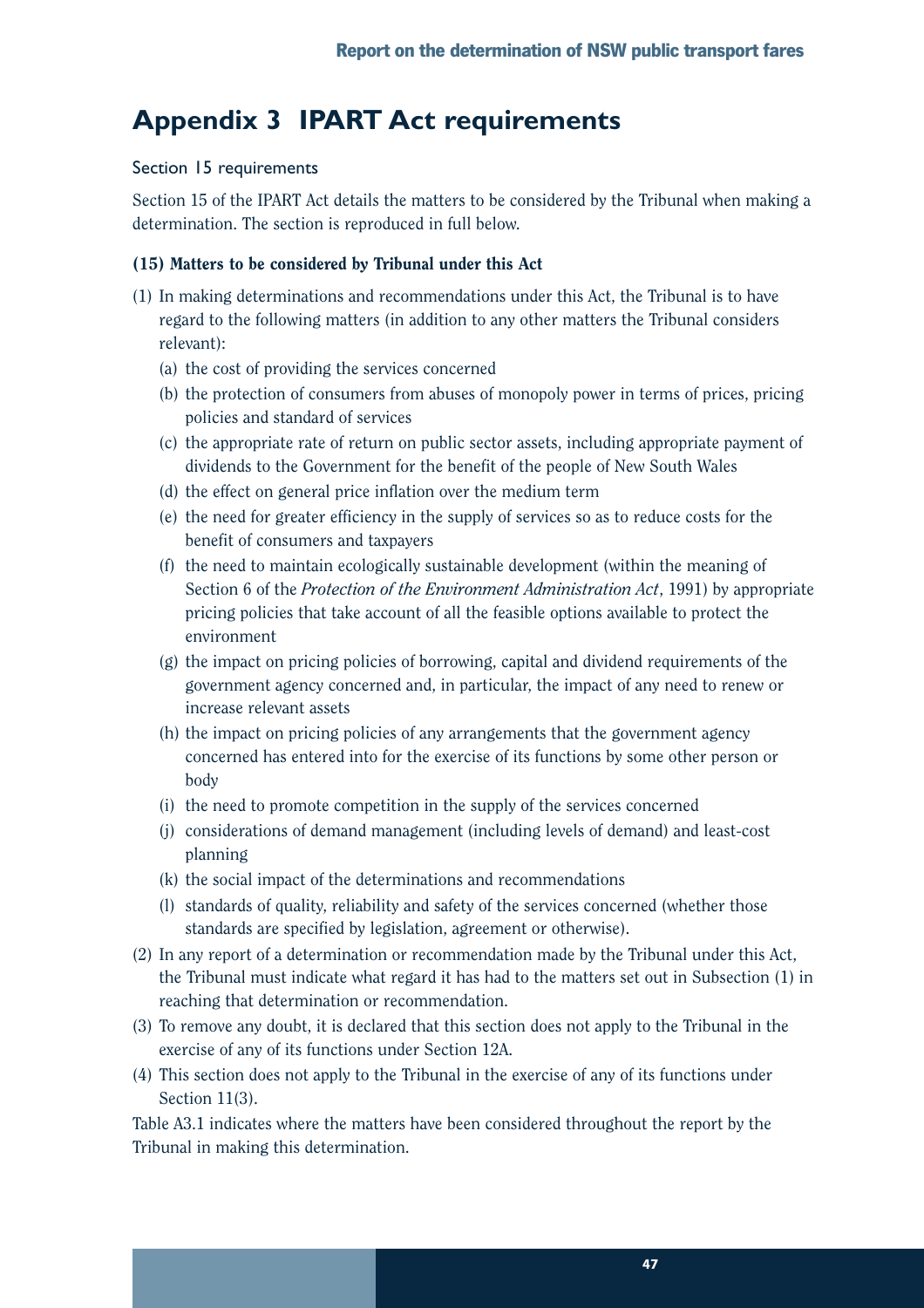## **Appendix 3 IPART Act requirements**

### Section 15 requirements

Section 15 of the IPART Act details the matters to be considered by the Tribunal when making a determination. The section is reproduced in full below.

### (15) Matters to be considered by Tribunal under this Act

- (1) In making determinations and recommendations under this Act, the Tribunal is to have regard to the following matters (in addition to any other matters the Tribunal considers relevant):
	- (a) the cost of providing the services concerned
	- (b) the protection of consumers from abuses of monopoly power in terms of prices, pricing policies and standard of services
	- (c) the appropriate rate of return on public sector assets, including appropriate payment of dividends to the Government for the benefit of the people of New South Wales
	- (d) the effect on general price inflation over the medium term
	- (e) the need for greater efficiency in the supply of services so as to reduce costs for the benefit of consumers and taxpayers
	- (f) the need to maintain ecologically sustainable development (within the meaning of Section 6 of the *Protection of the Environment Administration Act*, 1991) by appropriate pricing policies that take account of all the feasible options available to protect the environment
	- (g) the impact on pricing policies of borrowing, capital and dividend requirements of the government agency concerned and, in particular, the impact of any need to renew or increase relevant assets
	- (h) the impact on pricing policies of any arrangements that the government agency concerned has entered into for the exercise of its functions by some other person or body
	- (i) the need to promote competition in the supply of the services concerned
	- (j) considerations of demand management (including levels of demand) and least-cost planning
	- (k) the social impact of the determinations and recommendations
	- (l) standards of quality, reliability and safety of the services concerned (whether those standards are specified by legislation, agreement or otherwise).
- (2) In any report of a determination or recommendation made by the Tribunal under this Act, the Tribunal must indicate what regard it has had to the matters set out in Subsection (1) in reaching that determination or recommendation.
- (3) To remove any doubt, it is declared that this section does not apply to the Tribunal in the exercise of any of its functions under Section 12A.
- (4) This section does not apply to the Tribunal in the exercise of any of its functions under Section 11(3).

Table A3.1 indicates where the matters have been considered throughout the report by the Tribunal in making this determination.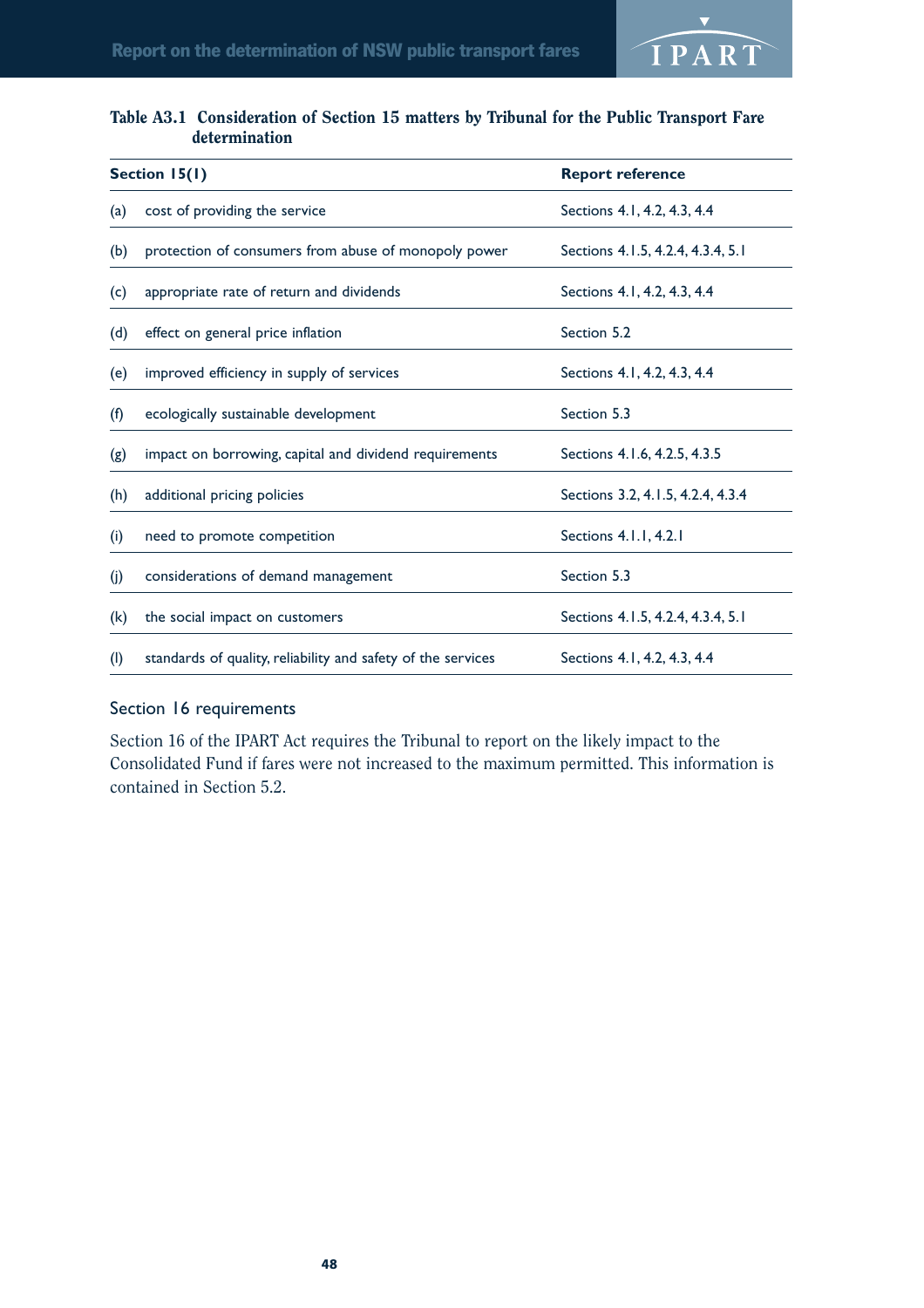![](_page_51_Picture_1.jpeg)

### Table A3.1 Consideration of Section 15 matters by Tribunal for the Public Transport Fare determination

|     | Section 15(1)                                                | <b>Report reference</b>           |
|-----|--------------------------------------------------------------|-----------------------------------|
| (a) | cost of providing the service                                | Sections 4.1, 4.2, 4.3, 4.4       |
| (b) | protection of consumers from abuse of monopoly power         | Sections 4.1.5, 4.2.4, 4.3.4, 5.1 |
| (c) | appropriate rate of return and dividends                     | Sections 4.1, 4.2, 4.3, 4.4       |
| (d) | effect on general price inflation                            | Section 5.2                       |
| (e) | improved efficiency in supply of services                    | Sections 4.1, 4.2, 4.3, 4.4       |
| (f) | ecologically sustainable development                         | Section 5.3                       |
| (g) | impact on borrowing, capital and dividend requirements       | Sections 4.1.6, 4.2.5, 4.3.5      |
| (h) | additional pricing policies                                  | Sections 3.2, 4.1.5, 4.2.4, 4.3.4 |
| (i) | need to promote competition                                  | Sections 4.1.1, 4.2.1             |
| (i) | considerations of demand management                          | Section 5.3                       |
| (k) | the social impact on customers                               | Sections 4.1.5, 4.2.4, 4.3.4, 5.1 |
| (1) | standards of quality, reliability and safety of the services | Sections 4.1, 4.2, 4.3, 4.4       |

### Section 16 requirements

Section 16 of the IPART Act requires the Tribunal to report on the likely impact to the Consolidated Fund if fares were not increased to the maximum permitted. This information is contained in Section 5.2.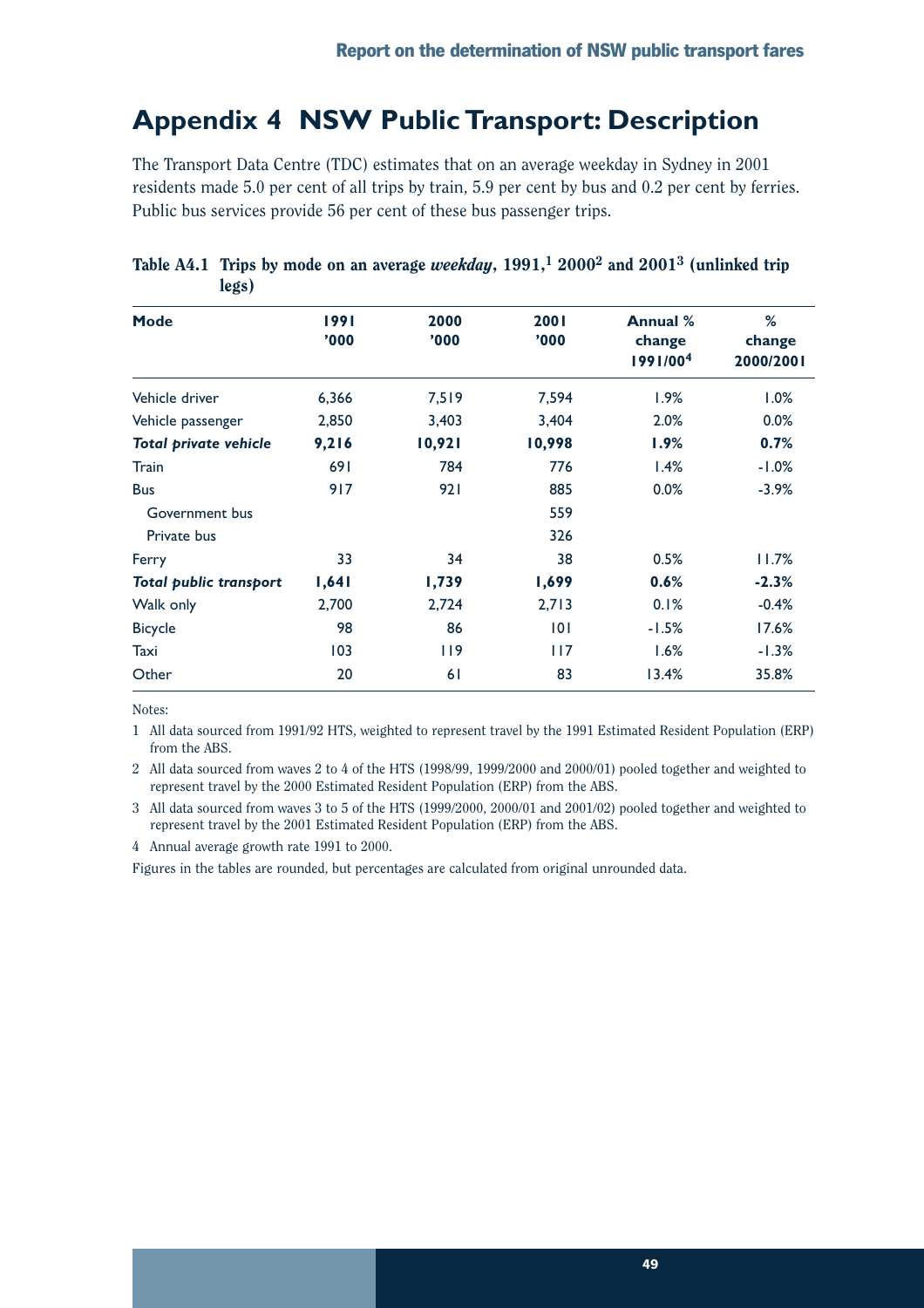## **Appendix 4 NSW Public Transport: Description**

The Transport Data Centre (TDC) estimates that on an average weekday in Sydney in 2001 residents made 5.0 per cent of all trips by train, 5.9 per cent by bus and 0.2 per cent by ferries. Public bus services provide 56 per cent of these bus passenger trips.

| Mode                          | 1991<br>'000 | 2000<br>'000 | 2001<br>'000' | Annual %<br>change | %<br>change |
|-------------------------------|--------------|--------------|---------------|--------------------|-------------|
|                               |              |              |               | 1991/004           | 2000/2001   |
| Vehicle driver                | 6,366        | 7,519        | 7,594         | 1.9%               | 1.0%        |
| Vehicle passenger             | 2,850        | 3,403        | 3,404         | 2.0%               | 0.0%        |
| <b>Total private vehicle</b>  | 9,216        | 10,921       | 10,998        | 1.9%               | 0.7%        |
| Train                         | 691          | 784          | 776           | 1.4%               | $-1.0%$     |
| <b>Bus</b>                    | 917          | 921          | 885           | 0.0%               | $-3.9%$     |
| Government bus                |              |              | 559           |                    |             |
| Private bus                   |              |              | 326           |                    |             |
| Ferry                         | 33           | 34           | 38            | 0.5%               | 11.7%       |
| <b>Total public transport</b> | 1,641        | 1,739        | 1,699         | 0.6%               | $-2.3%$     |
| Walk only                     | 2,700        | 2,724        | 2,713         | 0.1%               | $-0.4%$     |
| <b>Bicycle</b>                | 98           | 86           | 0             | $-1.5%$            | 17.6%       |
| Taxi                          | 103          | 119          | 117           | 1.6%               | $-1.3%$     |
| Other                         | 20           | 61           | 83            | 13.4%              | 35.8%       |

Table A4.1 Trips by mode on an average *weekday*, 1991,1 20002 and 20013 (unlinked trip legs)

Notes:

1 All data sourced from 1991/92 HTS, weighted to represent travel by the 1991 Estimated Resident Population (ERP) from the ABS.

2 All data sourced from waves 2 to 4 of the HTS (1998/99, 1999/2000 and 2000/01) pooled together and weighted to represent travel by the 2000 Estimated Resident Population (ERP) from the ABS.

3 All data sourced from waves 3 to 5 of the HTS (1999/2000, 2000/01 and 2001/02) pooled together and weighted to represent travel by the 2001 Estimated Resident Population (ERP) from the ABS.

4 Annual average growth rate 1991 to 2000.

Figures in the tables are rounded, but percentages are calculated from original unrounded data.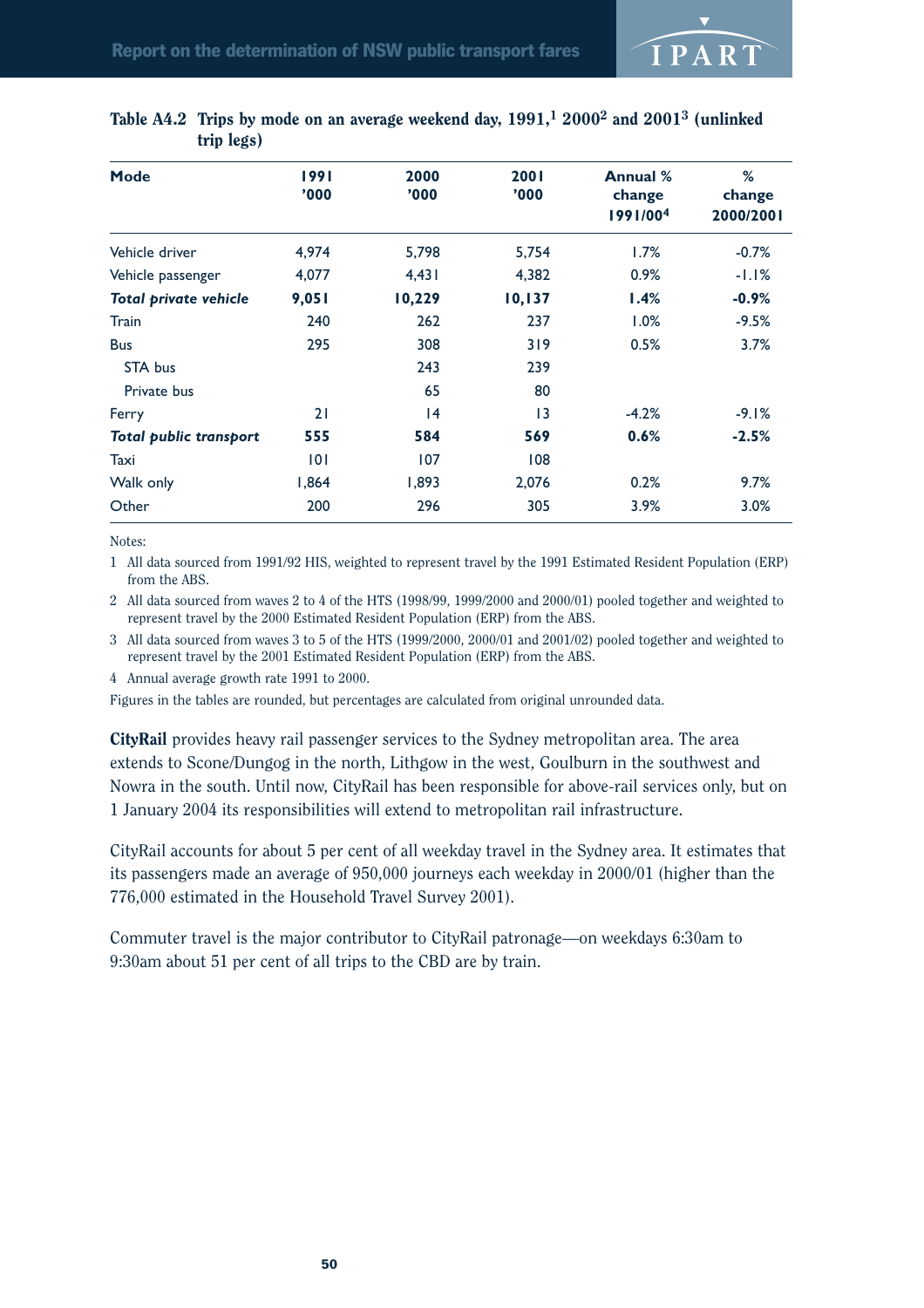![](_page_53_Picture_1.jpeg)

| Mode                          | 1991<br>'000 | 2000<br>'000 | 2001<br>'000 | Annual %<br>change | %<br>change |
|-------------------------------|--------------|--------------|--------------|--------------------|-------------|
|                               |              |              |              | 1991/004           | 2000/2001   |
| Vehicle driver                | 4,974        | 5,798        | 5,754        | 1.7%               | $-0.7%$     |
| Vehicle passenger             | 4,077        | 4,431        | 4,382        | 0.9%               | $-1.1%$     |
| <b>Total private vehicle</b>  | 9,051        | 10,229       | 10,137       | 1.4%               | $-0.9%$     |
| Train                         | 240          | 262          | 237          | 1.0%               | $-9.5%$     |
| <b>Bus</b>                    | 295          | 308          | 319          | 0.5%               | 3.7%        |
| STA bus                       |              | 243          | 239          |                    |             |
| Private bus                   |              | 65           | 80           |                    |             |
| Ferry                         | 21           | 4            | 13           | $-4.2%$            | $-9.1%$     |
| <b>Total public transport</b> | 555          | 584          | 569          | 0.6%               | $-2.5%$     |
| Taxi                          | 0            | 107          | 108          |                    |             |
| Walk only                     | 1,864        | 1,893        | 2,076        | 0.2%               | 9.7%        |
| Other                         | 200          | 296          | 305          | 3.9%               | 3.0%        |
|                               |              |              |              |                    |             |

### Table A4.2 Trips by mode on an average weekend day,  $1991<sup>1</sup> 2000<sup>2</sup>$  and  $2001<sup>3</sup>$  (unlinked trip legs)

Notes:

1 All data sourced from 1991/92 HIS, weighted to represent travel by the 1991 Estimated Resident Population (ERP) from the ABS.

2 All data sourced from waves 2 to 4 of the HTS (1998/99, 1999/2000 and 2000/01) pooled together and weighted to represent travel by the 2000 Estimated Resident Population (ERP) from the ABS.

3 All data sourced from waves 3 to 5 of the HTS (1999/2000, 2000/01 and 2001/02) pooled together and weighted to represent travel by the 2001 Estimated Resident Population (ERP) from the ABS.

4 Annual average growth rate 1991 to 2000.

Figures in the tables are rounded, but percentages are calculated from original unrounded data.

CityRail provides heavy rail passenger services to the Sydney metropolitan area. The area extends to Scone/Dungog in the north, Lithgow in the west, Goulburn in the southwest and Nowra in the south. Until now, CityRail has been responsible for above-rail services only, but on 1 January 2004 its responsibilities will extend to metropolitan rail infrastructure.

CityRail accounts for about 5 per cent of all weekday travel in the Sydney area. It estimates that its passengers made an average of 950,000 journeys each weekday in 2000/01 (higher than the 776,000 estimated in the Household Travel Survey 2001).

Commuter travel is the major contributor to CityRail patronage—on weekdays 6:30am to 9:30am about 51 per cent of all trips to the CBD are by train.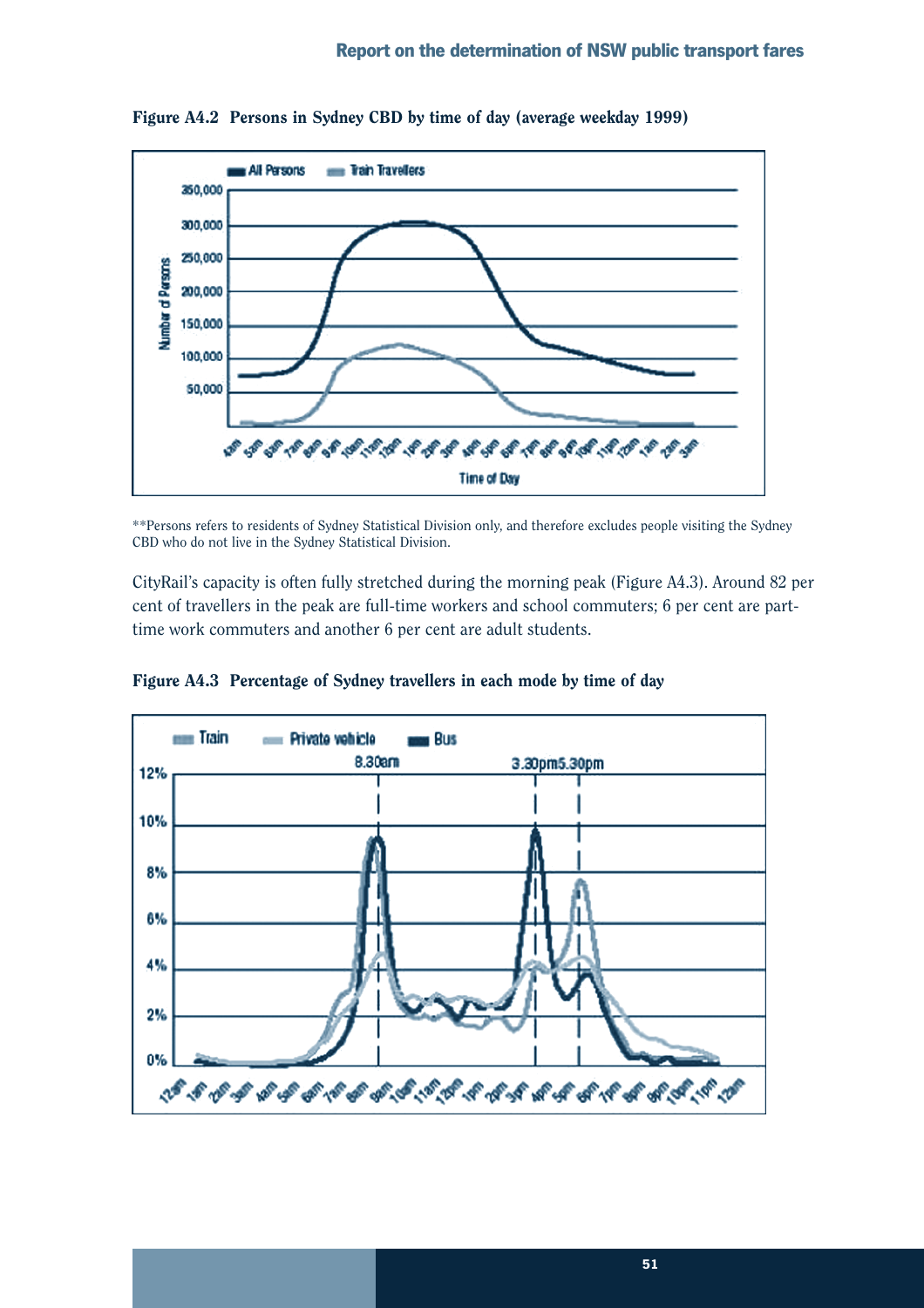![](_page_54_Figure_1.jpeg)

Figure A4.2 Persons in Sydney CBD by time of day (average weekday 1999)

\*\*Persons refers to residents of Sydney Statistical Division only, and therefore excludes people visiting the Sydney CBD who do not live in the Sydney Statistical Division.

CityRail's capacity is often fully stretched during the morning peak (Figure A4.3). Around 82 per cent of travellers in the peak are full-time workers and school commuters; 6 per cent are parttime work commuters and another 6 per cent are adult students.

![](_page_54_Figure_5.jpeg)

Figure A4.3 Percentage of Sydney travellers in each mode by time of day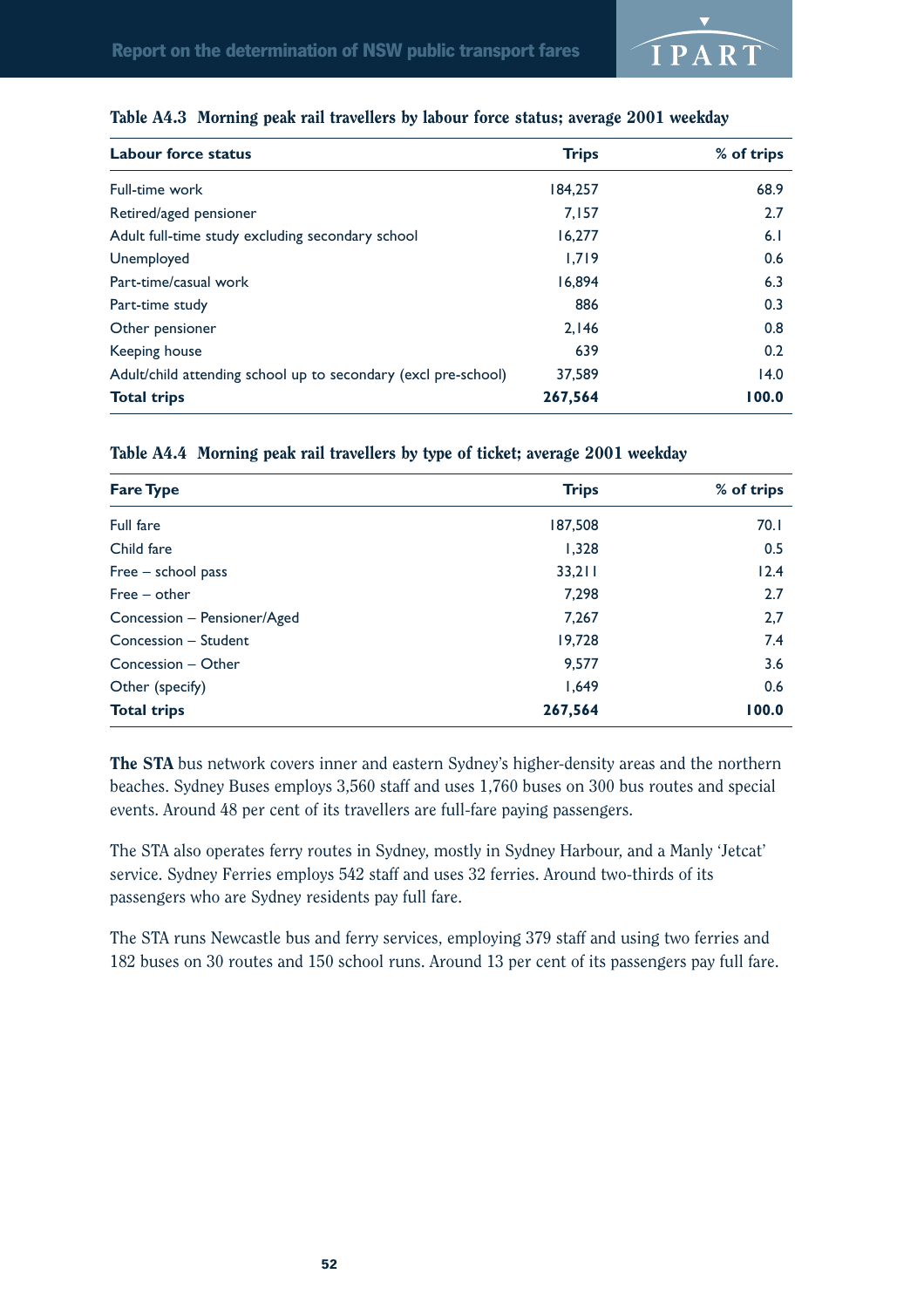![](_page_55_Picture_0.jpeg)

| <b>Labour force status</b>                                     | <b>Trips</b> | % of trips |
|----------------------------------------------------------------|--------------|------------|
| Full-time work                                                 | 184,257      | 68.9       |
| Retired/aged pensioner                                         | 7.157        | 2.7        |
| Adult full-time study excluding secondary school               | 16.277       | 6.1        |
| Unemployed                                                     | 1.719        | 0.6        |
| Part-time/casual work                                          | 16.894       | 6.3        |
| Part-time study                                                | 886          | 0.3        |
| Other pensioner                                                | 2.146        | 0.8        |
| Keeping house                                                  | 639          | 0.2        |
| Adult/child attending school up to secondary (excl pre-school) | 37,589       | 14.0       |
| <b>Total trips</b>                                             | 267,564      | 100.0      |

#### Table A4.3 Morning peak rail travellers by labour force status; average 2001 weekday

#### Table A4.4 Morning peak rail travellers by type of ticket; average 2001 weekday

| <b>Fare Type</b>            | <b>Trips</b> | % of trips |
|-----------------------------|--------------|------------|
| Full fare                   | 187,508      | 70.1       |
| Child fare                  | 1,328        | 0.5        |
| $Free - school pass$        | 33,211       | 12.4       |
| $Free - other$              | 7,298        | 2.7        |
| Concession - Pensioner/Aged | 7.267        | 2,7        |
| Concession - Student        | 19,728       | 7.4        |
| Concession - Other          | 9,577        | 3.6        |
| Other (specify)             | 1,649        | 0.6        |
| <b>Total trips</b>          | 267,564      | 100.0      |

The STA bus network covers inner and eastern Sydney's higher-density areas and the northern beaches. Sydney Buses employs 3,560 staff and uses 1,760 buses on 300 bus routes and special events. Around 48 per cent of its travellers are full-fare paying passengers.

The STA also operates ferry routes in Sydney, mostly in Sydney Harbour, and a Manly 'Jetcat' service. Sydney Ferries employs 542 staff and uses 32 ferries. Around two-thirds of its passengers who are Sydney residents pay full fare.

The STA runs Newcastle bus and ferry services, employing 379 staff and using two ferries and 182 buses on 30 routes and 150 school runs. Around 13 per cent of its passengers pay full fare.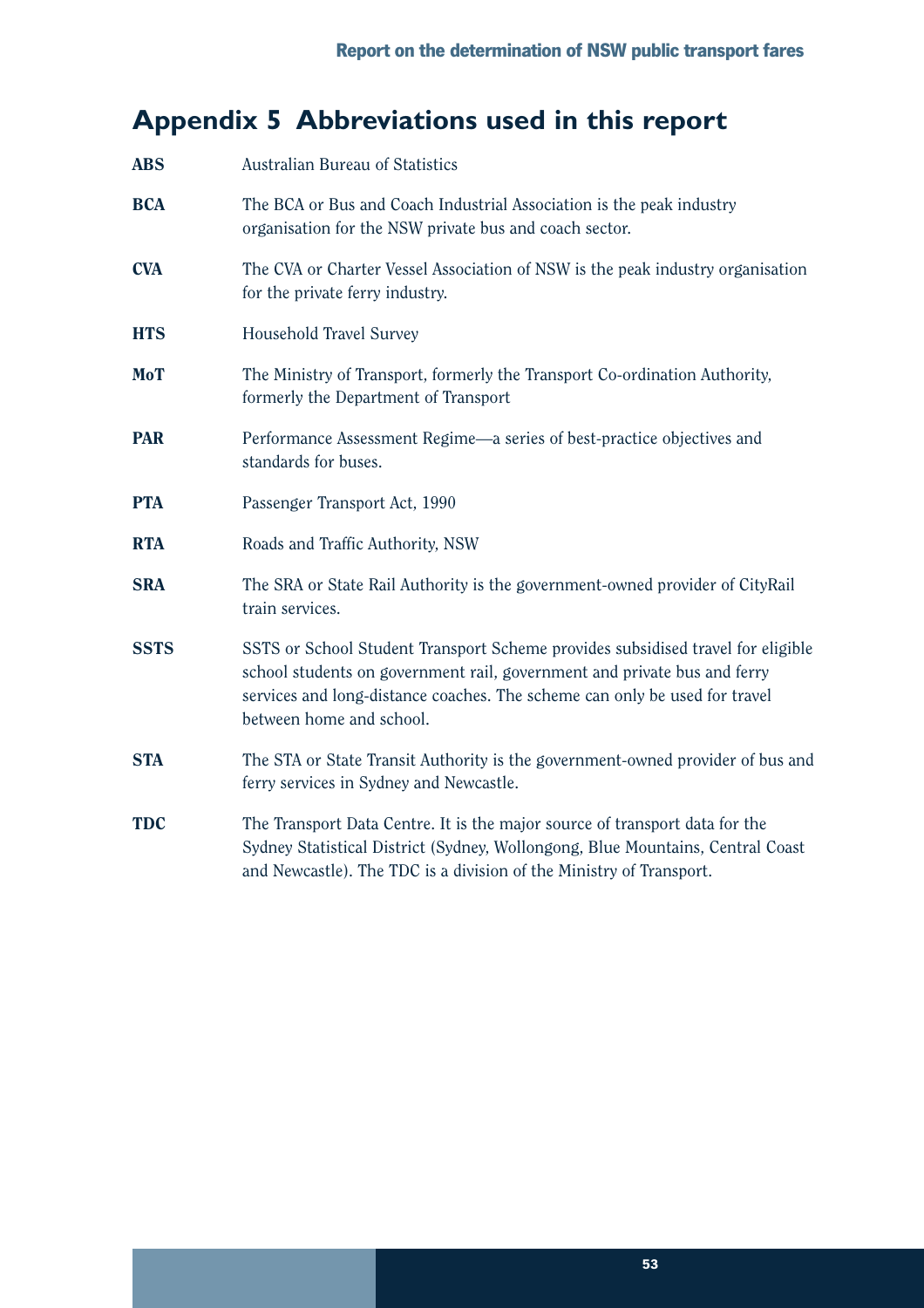# **Appendix 5 Abbreviations used in this report**

| <b>ABS</b>  | Australian Bureau of Statistics                                                                                                                                                                                                                                       |
|-------------|-----------------------------------------------------------------------------------------------------------------------------------------------------------------------------------------------------------------------------------------------------------------------|
| <b>BCA</b>  | The BCA or Bus and Coach Industrial Association is the peak industry<br>organisation for the NSW private bus and coach sector.                                                                                                                                        |
| <b>CVA</b>  | The CVA or Charter Vessel Association of NSW is the peak industry organisation<br>for the private ferry industry.                                                                                                                                                     |
| <b>HTS</b>  | Household Travel Survey                                                                                                                                                                                                                                               |
| <b>MoT</b>  | The Ministry of Transport, formerly the Transport Co-ordination Authority,<br>formerly the Department of Transport                                                                                                                                                    |
| <b>PAR</b>  | Performance Assessment Regime—a series of best-practice objectives and<br>standards for buses.                                                                                                                                                                        |
| <b>PTA</b>  | Passenger Transport Act, 1990                                                                                                                                                                                                                                         |
| <b>RTA</b>  | Roads and Traffic Authority, NSW                                                                                                                                                                                                                                      |
| <b>SRA</b>  | The SRA or State Rail Authority is the government-owned provider of CityRail<br>train services.                                                                                                                                                                       |
| <b>SSTS</b> | SSTS or School Student Transport Scheme provides subsidised travel for eligible<br>school students on government rail, government and private bus and ferry<br>services and long-distance coaches. The scheme can only be used for travel<br>between home and school. |
| <b>STA</b>  | The STA or State Transit Authority is the government-owned provider of bus and<br>ferry services in Sydney and Newcastle.                                                                                                                                             |
| <b>TDC</b>  | The Transport Data Centre. It is the major source of transport data for the<br>Sydney Statistical District (Sydney, Wollongong, Blue Mountains, Central Coast<br>and Newcastle). The TDC is a division of the Ministry of Transport.                                  |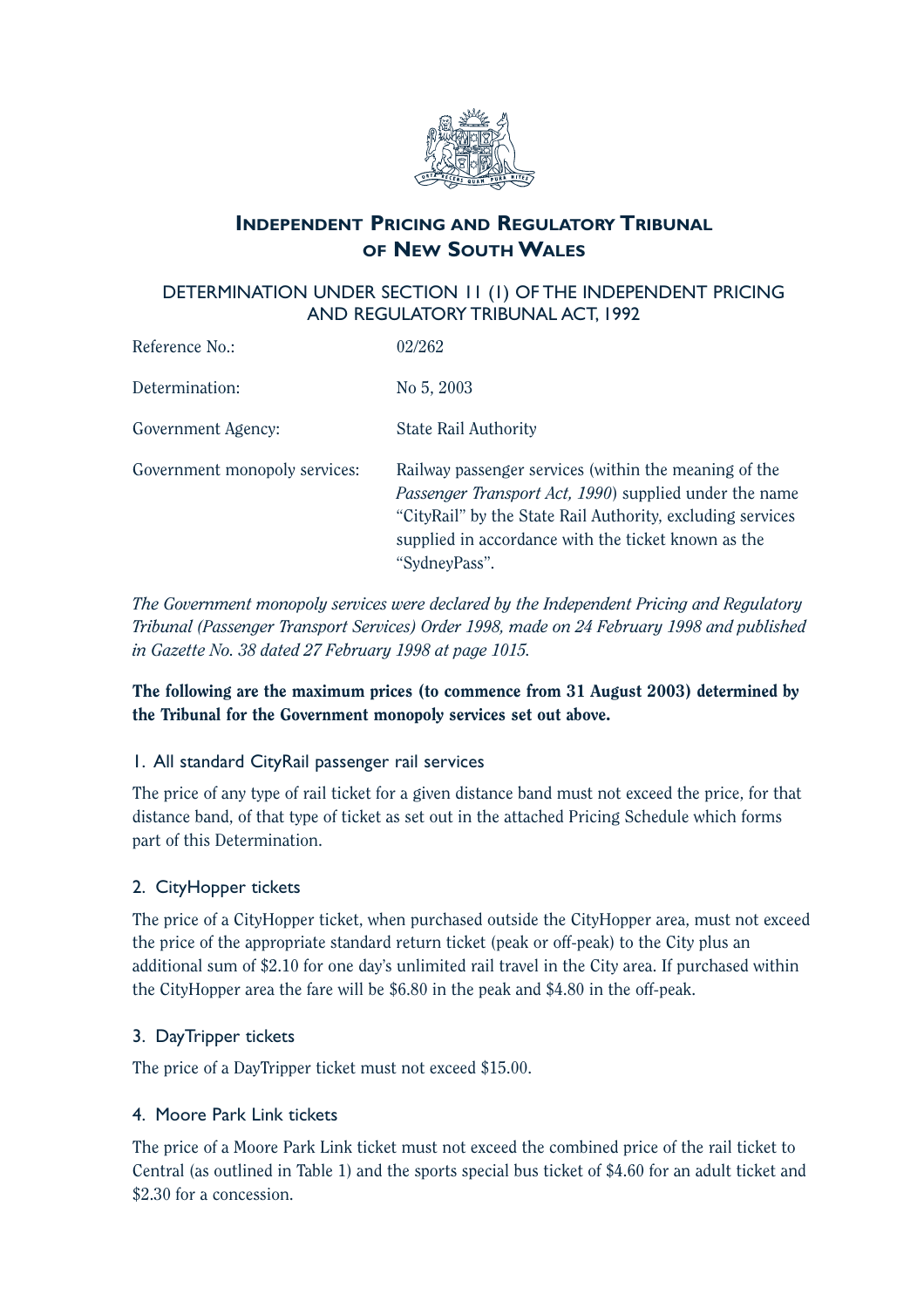![](_page_58_Picture_0.jpeg)

## **INDEPENDENT PRICING AND REGULATORY TRIBUNAL OF NEW SOUTH WALES**

## DETERMINATION UNDER SECTION 11 (1) OF THE INDEPENDENT PRICING AND REGULATORY TRIBUNAL ACT, 1992

| Reference No.:                | 02/262                                                                                                                                                                                                                                                        |
|-------------------------------|---------------------------------------------------------------------------------------------------------------------------------------------------------------------------------------------------------------------------------------------------------------|
| Determination:                | No 5, 2003                                                                                                                                                                                                                                                    |
| Government Agency:            | State Rail Authority                                                                                                                                                                                                                                          |
| Government monopoly services: | Railway passenger services (within the meaning of the<br><i>Passenger Transport Act, 1990</i> ) supplied under the name<br>"CityRail" by the State Rail Authority, excluding services<br>supplied in accordance with the ticket known as the<br>"SydneyPass". |

*The Government monopoly services were declared by the Independent Pricing and Regulatory Tribunal (Passenger Transport Services) Order 1998, made on 24 February 1998 and published in Gazette No. 38 dated 27 February 1998 at page 1015.*

## The following are the maximum prices (to commence from 31 August 2003) determined by the Tribunal for the Government monopoly services set out above.

## 1. All standard CityRail passenger rail services

The price of any type of rail ticket for a given distance band must not exceed the price, for that distance band, of that type of ticket as set out in the attached Pricing Schedule which forms part of this Determination.

## 2. CityHopper tickets

The price of a CityHopper ticket, when purchased outside the CityHopper area, must not exceed the price of the appropriate standard return ticket (peak or off-peak) to the City plus an additional sum of \$2.10 for one day's unlimited rail travel in the City area. If purchased within the CityHopper area the fare will be \$6.80 in the peak and \$4.80 in the off-peak.

## 3. DayTripper tickets

The price of a DayTripper ticket must not exceed \$15.00.

## 4. Moore Park Link tickets

The price of a Moore Park Link ticket must not exceed the combined price of the rail ticket to Central (as outlined in Table 1) and the sports special bus ticket of \$4.60 for an adult ticket and \$2.30 for a concession.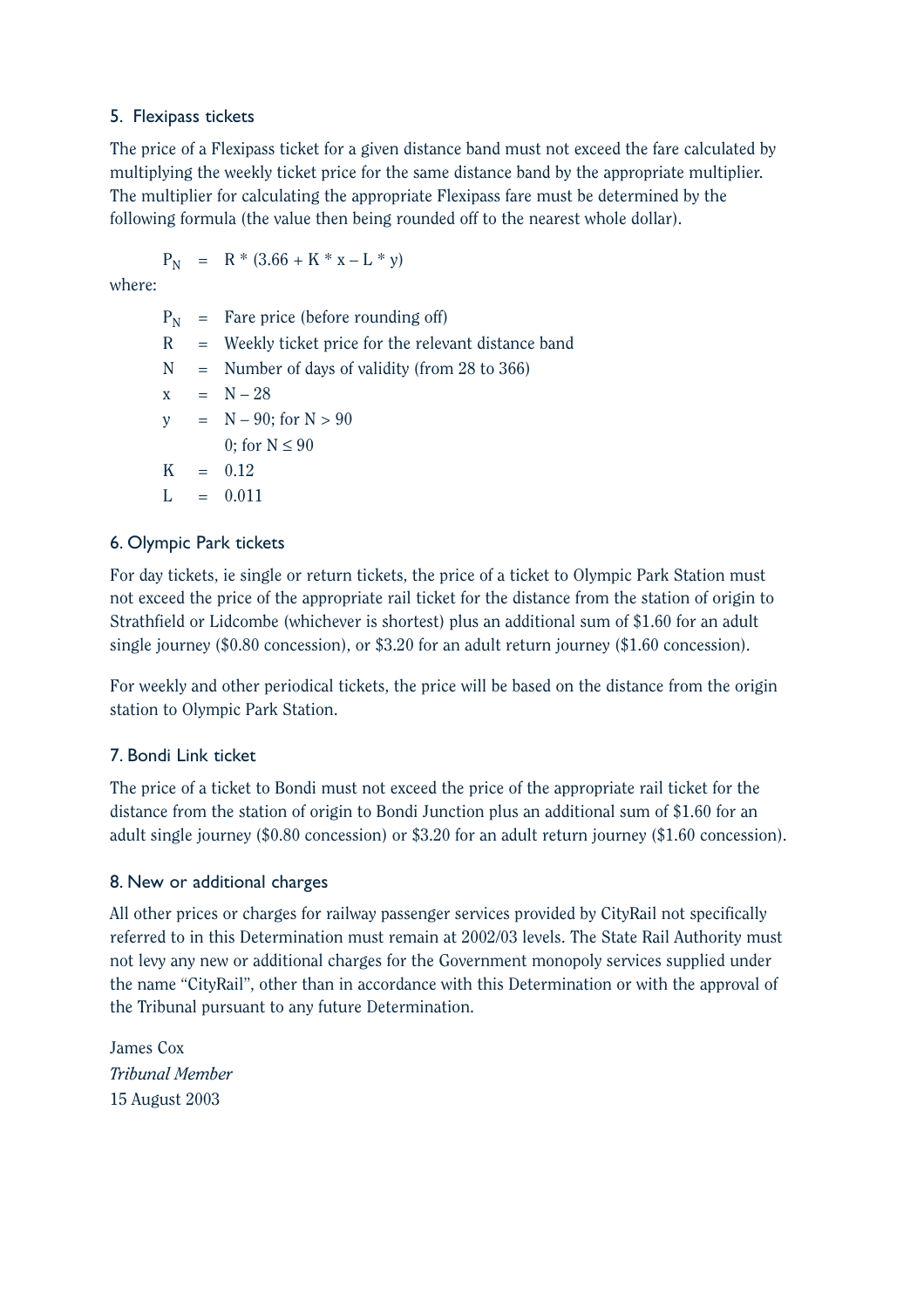### 5. Flexipass tickets

The price of a Flexipass ticket for a given distance band must not exceed the fare calculated by multiplying the weekly ticket price for the same distance band by the appropriate multiplier. The multiplier for calculating the appropriate Flexipass fare must be determined by the following formula (the value then being rounded off to the nearest whole dollar).

 $P_N = R * (3.66 + K * x - L * y)$ 

where:

 $P_N$  = Fare price (before rounding off)  $R$  = Weekly ticket price for the relevant distance band  $N =$  Number of days of validity (from 28 to 366)  $x = N - 28$  $y = N - 90$ ; for  $N > 90$ 0; for  $N \leq 90$  $K = 0.12$  $L = 0.011$ 

### 6. Olympic Park tickets

For day tickets, ie single or return tickets, the price of a ticket to Olympic Park Station must not exceed the price of the appropriate rail ticket for the distance from the station of origin to Strathfield or Lidcombe (whichever is shortest) plus an additional sum of \$1.60 for an adult single journey (\$0.80 concession), or \$3.20 for an adult return journey (\$1.60 concession).

For weekly and other periodical tickets, the price will be based on the distance from the origin station to Olympic Park Station.

## 7. Bondi Link ticket

The price of a ticket to Bondi must not exceed the price of the appropriate rail ticket for the distance from the station of origin to Bondi Junction plus an additional sum of \$1.60 for an adult single journey (\$0.80 concession) or \$3.20 for an adult return journey (\$1.60 concession).

### 8. New or additional charges

All other prices or charges for railway passenger services provided by CityRail not specifically referred to in this Determination must remain at 2002/03 levels. The State Rail Authority must not levy any new or additional charges for the Government monopoly services supplied under the name "CityRail", other than in accordance with this Determination or with the approval of the Tribunal pursuant to any future Determination.

James Cox *Tribunal Member* 15 August 2003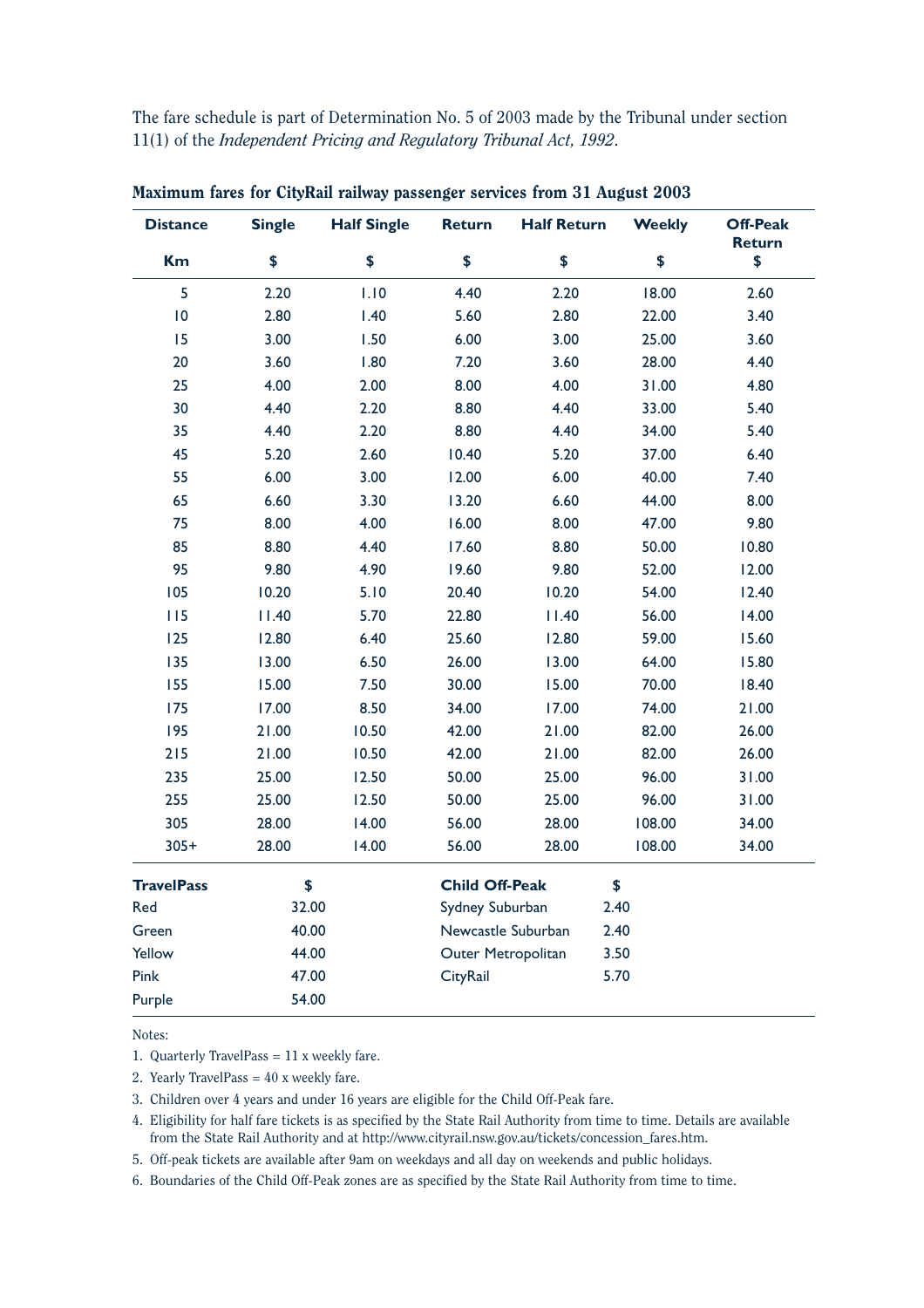The fare schedule is part of Determination No. 5 of 2003 made by the Tribunal under section 11(1) of the *Independent Pricing and Regulatory Tribunal Act, 1992*.

| <b>Distance</b>   | <b>Single</b> | <b>Half Single</b> | <b>Return</b>         | <b>Half Return</b> | <b>Weekly</b> | <b>Off-Peak</b><br>Return |
|-------------------|---------------|--------------------|-----------------------|--------------------|---------------|---------------------------|
| <b>Km</b>         | \$            | \$                 | \$                    | \$                 | \$            | \$                        |
| 5                 | 2.20          | 1.10               | 4.40                  | 2.20               | 18.00         | 2.60                      |
| 10                | 2.80          | 1.40               | 5.60                  | 2.80               | 22.00         | 3.40                      |
| 15                | 3.00          | 1.50               | 6.00                  | 3.00               | 25.00         | 3.60                      |
| 20                | 3.60          | 1.80               | 7.20                  | 3.60               | 28.00         | 4.40                      |
| 25                | 4.00          | 2.00               | 8.00                  | 4.00               | 31.00         | 4.80                      |
| 30                | 4.40          | 2.20               | 8.80                  | 4.40               | 33.00         | 5.40                      |
| 35                | 4.40          | 2.20               | 8.80                  | 4.40               | 34.00         | 5.40                      |
| 45                | 5.20          | 2.60               | 10.40                 | 5.20               | 37.00         | 6.40                      |
| 55                | 6.00          | 3.00               | 12.00                 | 6.00               | 40.00         | 7.40                      |
| 65                | 6.60          | 3.30               | 13.20                 | 6.60               | 44.00         | 8.00                      |
| 75                | 8.00          | 4.00               | 16.00                 | 8.00               | 47.00         | 9.80                      |
| 85                | 8.80          | 4.40               | 17.60                 | 8.80               | 50.00         | 10.80                     |
| 95                | 9.80          | 4.90               | 19.60                 | 9.80               | 52.00         | 12.00                     |
| 105               | 10.20         | 5.10               | 20.40                 | 10.20              | 54.00         | 12.40                     |
| 115               | 11.40         | 5.70               | 22.80                 | 11.40              | 56.00         | 14.00                     |
| 125               | 12.80         | 6.40               | 25.60                 | 12.80              | 59.00         | 15.60                     |
| 135               | 13.00         | 6.50               | 26.00                 | 13.00              | 64.00         | 15.80                     |
| 155               | 15.00         | 7.50               | 30.00                 | 15.00              | 70.00         | 18.40                     |
| 175               | 17.00         | 8.50               | 34.00                 | 17.00              | 74.00         | 21.00                     |
| 195               | 21.00         | 10.50              | 42.00                 | 21.00              | 82.00         | 26.00                     |
| $215$             | 21.00         | 10.50              | 42.00                 | 21.00              | 82.00         | 26.00                     |
| 235               | 25.00         | 12.50              | 50.00                 | 25.00              | 96.00         | 31.00                     |
| 255               | 25.00         | 12.50              | 50.00                 | 25.00              | 96.00         | 31.00                     |
| 305               | 28.00         | 14.00              | 56.00                 | 28.00              | 108.00        | 34.00                     |
| $305+$            | 28.00         | 14.00              | 56.00                 | 28.00              | 108.00        | 34.00                     |
| <b>TravelPass</b> | \$            |                    | <b>Child Off-Peak</b> |                    | \$            |                           |
| Red               | 32.00         |                    | Sydney Suburban       |                    | 2.40          |                           |
| Green             | 40.00         |                    |                       | Newcastle Suburban | 2.40          |                           |
| Yellow            | 44.00         |                    | Outer Metropolitan    |                    | 3.50          |                           |
| Pink              | 47.00         |                    | CityRail              |                    | 5.70          |                           |
| Purple            | 54.00         |                    |                       |                    |               |                           |

Maximum fares for CityRail railway passenger services from 31 August 2003

Notes:

1. Quarterly TravelPass = 11 x weekly fare.

2. Yearly TravelPass = 40 x weekly fare.

3. Children over 4 years and under 16 years are eligible for the Child Off-Peak fare.

4. Eligibility for half fare tickets is as specified by the State Rail Authority from time to time. Details are available from the State Rail Authority and at http://www.cityrail.nsw.gov.au/tickets/concession\_fares.htm.

5. Off-peak tickets are available after 9am on weekdays and all day on weekends and public holidays.

6. Boundaries of the Child Off-Peak zones are as specified by the State Rail Authority from time to time.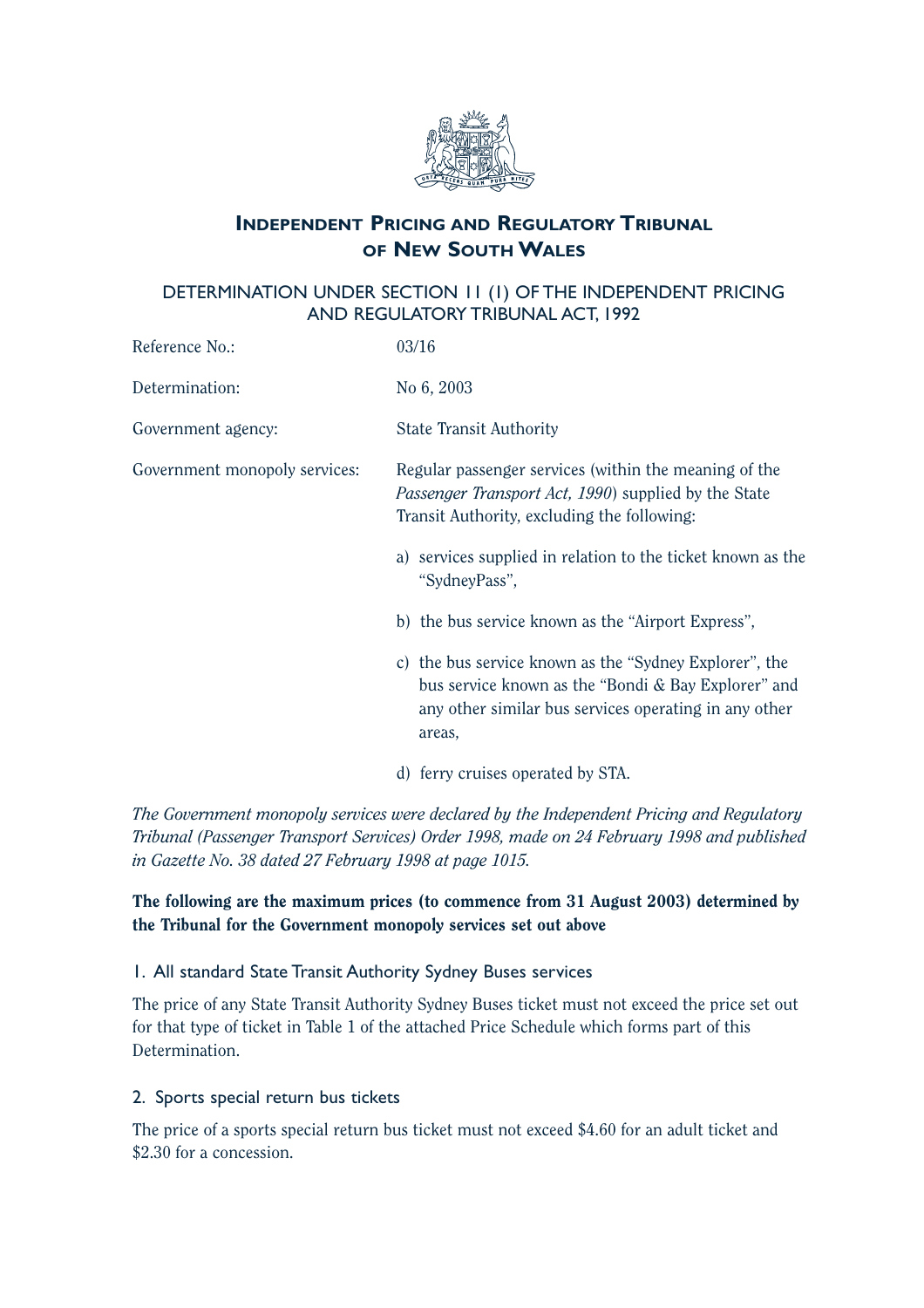![](_page_62_Picture_0.jpeg)

## **INDEPENDENT PRICING AND REGULATORY TRIBUNAL OF NEW SOUTH WALES**

## DETERMINATION UNDER SECTION 11 (1) OF THE INDEPENDENT PRICING AND REGULATORY TRIBUNAL ACT, 1992

| Reference No.:                | 03/16                                                                                                                                                                                                                                                                                                                                                                                                                                                                                          |
|-------------------------------|------------------------------------------------------------------------------------------------------------------------------------------------------------------------------------------------------------------------------------------------------------------------------------------------------------------------------------------------------------------------------------------------------------------------------------------------------------------------------------------------|
| Determination:                | No 6, 2003                                                                                                                                                                                                                                                                                                                                                                                                                                                                                     |
| Government agency:            | <b>State Transit Authority</b>                                                                                                                                                                                                                                                                                                                                                                                                                                                                 |
| Government monopoly services: | Regular passenger services (within the meaning of the<br><i>Passenger Transport Act, 1990</i> ) supplied by the State<br>Transit Authority, excluding the following:<br>a) services supplied in relation to the ticket known as the<br>"SydneyPass",<br>b) the bus service known as the "Airport Express",<br>c) the bus service known as the "Sydney Explorer", the<br>bus service known as the "Bondi & Bay Explorer" and<br>any other similar bus services operating in any other<br>areas, |
|                               |                                                                                                                                                                                                                                                                                                                                                                                                                                                                                                |

d) ferry cruises operated by STA.

*The Government monopoly services were declared by the Independent Pricing and Regulatory Tribunal (Passenger Transport Services) Order 1998, made on 24 February 1998 and published in Gazette No. 38 dated 27 February 1998 at page 1015.*

## The following are the maximum prices (to commence from 31 August 2003) determined by the Tribunal for the Government monopoly services set out above

## 1. All standard State Transit Authority Sydney Buses services

The price of any State Transit Authority Sydney Buses ticket must not exceed the price set out for that type of ticket in Table 1 of the attached Price Schedule which forms part of this Determination.

### 2. Sports special return bus tickets

The price of a sports special return bus ticket must not exceed \$4.60 for an adult ticket and \$2.30 for a concession.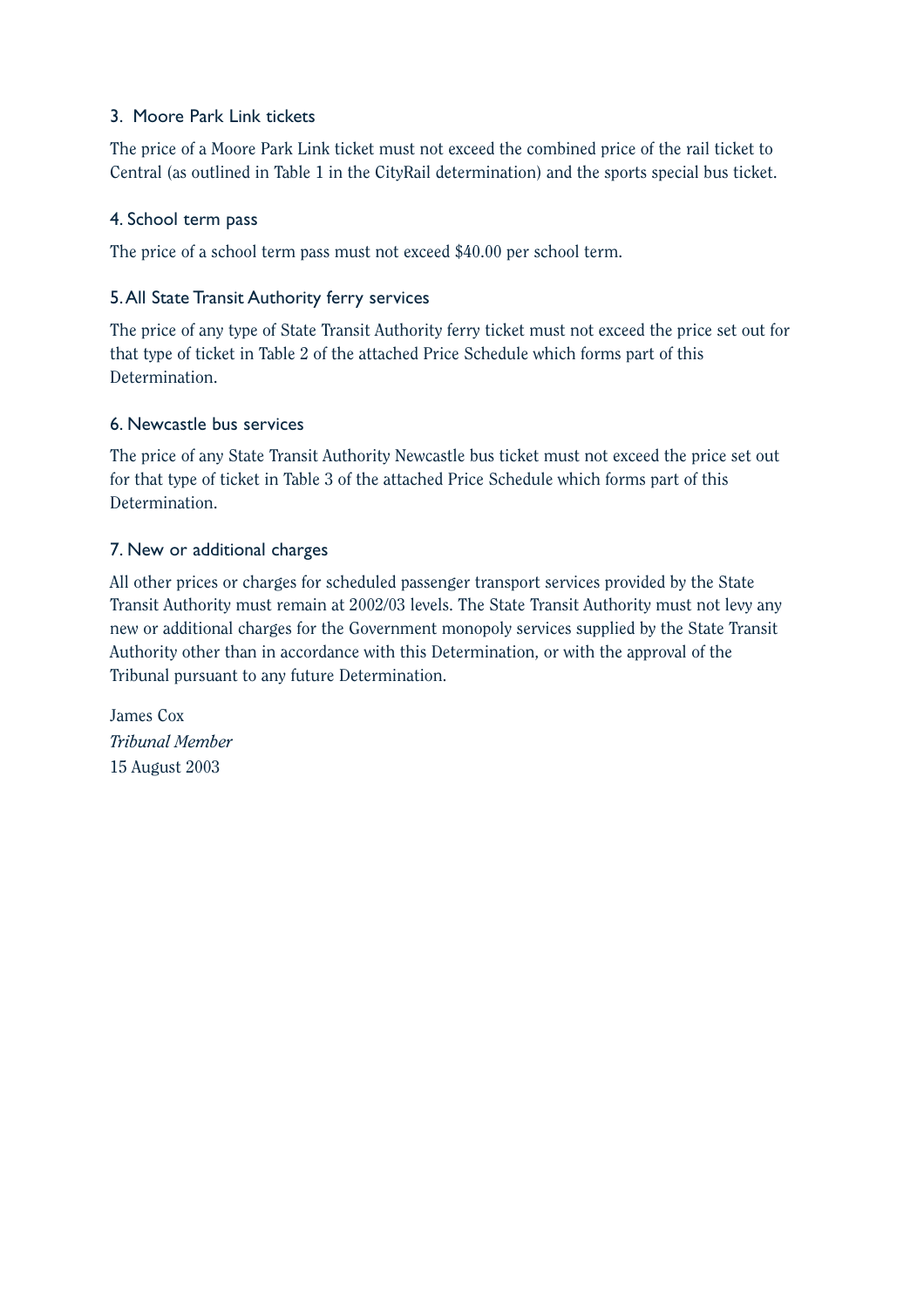### 3. Moore Park Link tickets

The price of a Moore Park Link ticket must not exceed the combined price of the rail ticket to Central (as outlined in Table 1 in the CityRail determination) and the sports special bus ticket.

### 4. School term pass

The price of a school term pass must not exceed \$40.00 per school term.

### 5.All State Transit Authority ferry services

The price of any type of State Transit Authority ferry ticket must not exceed the price set out for that type of ticket in Table 2 of the attached Price Schedule which forms part of this Determination.

### 6. Newcastle bus services

The price of any State Transit Authority Newcastle bus ticket must not exceed the price set out for that type of ticket in Table 3 of the attached Price Schedule which forms part of this Determination.

### 7. New or additional charges

All other prices or charges for scheduled passenger transport services provided by the State Transit Authority must remain at 2002/03 levels. The State Transit Authority must not levy any new or additional charges for the Government monopoly services supplied by the State Transit Authority other than in accordance with this Determination, or with the approval of the Tribunal pursuant to any future Determination.

James Cox *Tribunal Member* 15 August 2003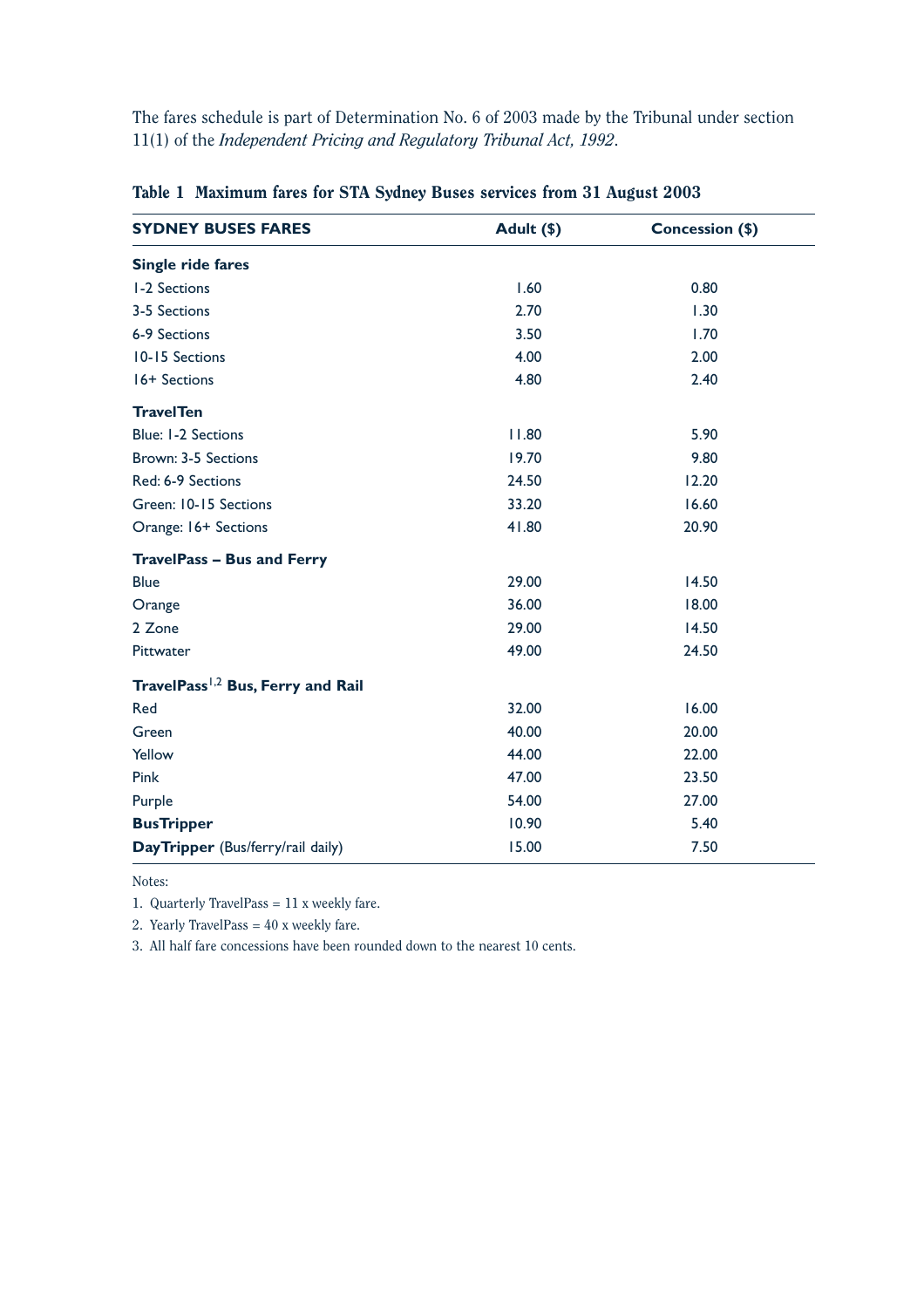The fares schedule is part of Determination No. 6 of 2003 made by the Tribunal under section 11(1) of the *Independent Pricing and Regulatory Tribunal Act, 1992*.

| <b>SYDNEY BUSES FARES</b>                     | Adult (\$) | Concession (\$) |
|-----------------------------------------------|------------|-----------------|
| Single ride fares                             |            |                 |
| <b>I-2 Sections</b>                           | 1.60       | 0.80            |
| 3-5 Sections                                  | 2.70       | 1.30            |
| 6-9 Sections                                  | 3.50       | 1.70            |
| 10-15 Sections                                | 4.00       | 2.00            |
| 16+ Sections                                  | 4.80       | 2.40            |
| <b>TravelTen</b>                              |            |                 |
| <b>Blue: I-2 Sections</b>                     | 11.80      | 5.90            |
| Brown: 3-5 Sections                           | 19.70      | 9.80            |
| Red: 6-9 Sections                             | 24.50      | 12.20           |
| Green: 10-15 Sections                         | 33.20      | 16.60           |
| Orange: 16+ Sections                          | 41.80      | 20.90           |
| <b>TravelPass - Bus and Ferry</b>             |            |                 |
| <b>Blue</b>                                   | 29.00      | 14.50           |
| Orange                                        | 36.00      | 18.00           |
| 2 Zone                                        | 29.00      | 14.50           |
| Pittwater                                     | 49.00      | 24.50           |
| TravelPass <sup>1,2</sup> Bus, Ferry and Rail |            |                 |
| Red                                           | 32.00      | 16.00           |
| Green                                         | 40.00      | 20.00           |
| Yellow                                        | 44.00      | 22.00           |
| Pink                                          | 47.00      | 23.50           |
| Purple                                        | 54.00      | 27.00           |
| <b>BusTripper</b>                             | 10.90      | 5.40            |
| DayTripper (Bus/ferry/rail daily)             | 15.00      | 7.50            |

### Table 1 Maximum fares for STA Sydney Buses services from 31 August 2003

Notes:

1. Quarterly TravelPass =  $11$  x weekly fare.

2. Yearly TravelPass =  $40x$  weekly fare.

3. All half fare concessions have been rounded down to the nearest 10 cents.